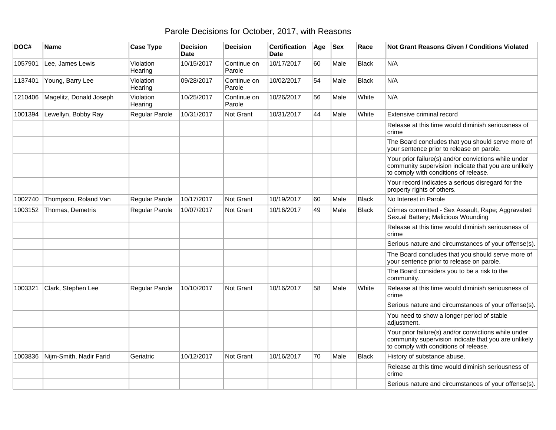## Parole Decisions for October, 2017, with Reasons

| DOC#    | <b>Name</b>             | <b>Case Type</b>     | <b>Decision</b><br>Date | <b>Decision</b>       | <b>Certification</b><br><b>Date</b> | Age | $ $ Sex | Race         | <b>Not Grant Reasons Given / Conditions Violated</b>                                                                                                  |
|---------|-------------------------|----------------------|-------------------------|-----------------------|-------------------------------------|-----|---------|--------------|-------------------------------------------------------------------------------------------------------------------------------------------------------|
| 1057901 | Lee, James Lewis        | Violation<br>Hearing | 10/15/2017              | Continue on<br>Parole | 10/17/2017                          | 60  | Male    | <b>Black</b> | N/A                                                                                                                                                   |
| 1137401 | Young, Barry Lee        | Violation<br>Hearing | 09/28/2017              | Continue on<br>Parole | 10/02/2017                          | 54  | Male    | <b>Black</b> | N/A                                                                                                                                                   |
| 1210406 | Magelitz, Donald Joseph | Violation<br>Hearing | 10/25/2017              | Continue on<br>Parole | 10/26/2017                          | 56  | Male    | White        | N/A                                                                                                                                                   |
| 1001394 | Lewellyn, Bobby Ray     | Regular Parole       | 10/31/2017              | <b>Not Grant</b>      | 10/31/2017                          | 44  | Male    | White        | Extensive criminal record                                                                                                                             |
|         |                         |                      |                         |                       |                                     |     |         |              | Release at this time would diminish seriousness of<br>crime                                                                                           |
|         |                         |                      |                         |                       |                                     |     |         |              | The Board concludes that you should serve more of<br>your sentence prior to release on parole.                                                        |
|         |                         |                      |                         |                       |                                     |     |         |              | Your prior failure(s) and/or convictions while under<br>community supervision indicate that you are unlikely<br>to comply with conditions of release. |
|         |                         |                      |                         |                       |                                     |     |         |              | Your record indicates a serious disregard for the<br>property rights of others.                                                                       |
| 1002740 | Thompson, Roland Van    | Regular Parole       | 10/17/2017              | <b>Not Grant</b>      | 10/19/2017                          | 60  | Male    | <b>Black</b> | No Interest in Parole                                                                                                                                 |
| 1003152 | Thomas, Demetris        | Regular Parole       | 10/07/2017              | <b>Not Grant</b>      | 10/16/2017                          | 49  | Male    | <b>Black</b> | Crimes committed - Sex Assault, Rape; Aggravated<br>Sexual Battery; Malicious Wounding                                                                |
|         |                         |                      |                         |                       |                                     |     |         |              | Release at this time would diminish seriousness of<br>crime                                                                                           |
|         |                         |                      |                         |                       |                                     |     |         |              | Serious nature and circumstances of your offense(s).                                                                                                  |
|         |                         |                      |                         |                       |                                     |     |         |              | The Board concludes that you should serve more of<br>your sentence prior to release on parole.                                                        |
|         |                         |                      |                         |                       |                                     |     |         |              | The Board considers you to be a risk to the<br>community.                                                                                             |
| 1003321 | Clark, Stephen Lee      | Regular Parole       | 10/10/2017              | <b>Not Grant</b>      | 10/16/2017                          | 58  | Male    | White        | Release at this time would diminish seriousness of<br>crime                                                                                           |
|         |                         |                      |                         |                       |                                     |     |         |              | Serious nature and circumstances of your offense(s).                                                                                                  |
|         |                         |                      |                         |                       |                                     |     |         |              | You need to show a longer period of stable<br>adjustment.                                                                                             |
|         |                         |                      |                         |                       |                                     |     |         |              | Your prior failure(s) and/or convictions while under<br>community supervision indicate that you are unlikely<br>to comply with conditions of release. |
| 1003836 | Nijm-Smith, Nadir Farid | Geriatric            | 10/12/2017              | <b>Not Grant</b>      | 10/16/2017                          | 70  | Male    | <b>Black</b> | History of substance abuse.                                                                                                                           |
|         |                         |                      |                         |                       |                                     |     |         |              | Release at this time would diminish seriousness of<br>crime                                                                                           |
|         |                         |                      |                         |                       |                                     |     |         |              | Serious nature and circumstances of your offense(s).                                                                                                  |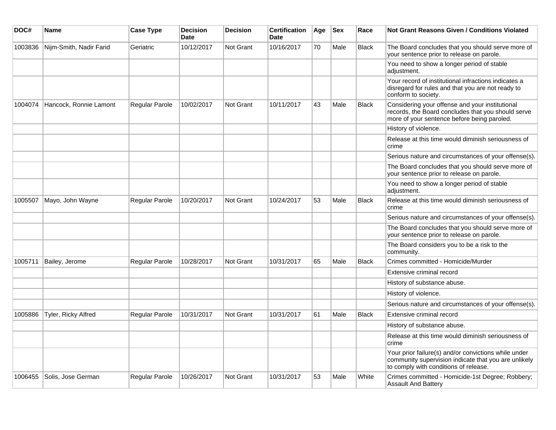| DOC#    | Name                    | <b>Case Type</b> | <b>Decision</b><br><b>Date</b> | <b>Decision</b>  | <b>Certification</b><br><b>Date</b> | Age | <b>Sex</b> | Race         | Not Grant Reasons Given / Conditions Violated                                                                                                         |
|---------|-------------------------|------------------|--------------------------------|------------------|-------------------------------------|-----|------------|--------------|-------------------------------------------------------------------------------------------------------------------------------------------------------|
| 1003836 | Nijm-Smith, Nadir Farid | Geriatric        | 10/12/2017                     | Not Grant        | 10/16/2017                          | 70  | Male       | <b>Black</b> | The Board concludes that you should serve more of<br>your sentence prior to release on parole.                                                        |
|         |                         |                  |                                |                  |                                     |     |            |              | You need to show a longer period of stable<br>adjustment.                                                                                             |
|         |                         |                  |                                |                  |                                     |     |            |              | Your record of institutional infractions indicates a<br>disregard for rules and that you are not ready to<br>conform to society.                      |
| 1004074 | Hancock, Ronnie Lamont  | Regular Parole   | 10/02/2017                     | <b>Not Grant</b> | 10/11/2017                          | 43  | Male       | <b>Black</b> | Considering your offense and your institutional<br>records, the Board concludes that you should serve<br>more of your sentence before being paroled.  |
|         |                         |                  |                                |                  |                                     |     |            |              | History of violence.                                                                                                                                  |
|         |                         |                  |                                |                  |                                     |     |            |              | Release at this time would diminish seriousness of<br>crime                                                                                           |
|         |                         |                  |                                |                  |                                     |     |            |              | Serious nature and circumstances of your offense(s).                                                                                                  |
|         |                         |                  |                                |                  |                                     |     |            |              | The Board concludes that you should serve more of<br>your sentence prior to release on parole.                                                        |
|         |                         |                  |                                |                  |                                     |     |            |              | You need to show a longer period of stable<br>adjustment.                                                                                             |
| 1005507 | Mayo, John Wayne        | Regular Parole   | 10/20/2017                     | <b>Not Grant</b> | 10/24/2017                          | 53  | Male       | <b>Black</b> | Release at this time would diminish seriousness of<br>crime                                                                                           |
|         |                         |                  |                                |                  |                                     |     |            |              | Serious nature and circumstances of your offense(s).                                                                                                  |
|         |                         |                  |                                |                  |                                     |     |            |              | The Board concludes that you should serve more of<br>your sentence prior to release on parole.                                                        |
|         |                         |                  |                                |                  |                                     |     |            |              | The Board considers you to be a risk to the<br>community.                                                                                             |
| 1005711 | Bailey, Jerome          | Regular Parole   | 10/28/2017                     | <b>Not Grant</b> | 10/31/2017                          | 65  | Male       | <b>Black</b> | Crimes committed - Homicide/Murder                                                                                                                    |
|         |                         |                  |                                |                  |                                     |     |            |              | Extensive criminal record                                                                                                                             |
|         |                         |                  |                                |                  |                                     |     |            |              | History of substance abuse.                                                                                                                           |
|         |                         |                  |                                |                  |                                     |     |            |              | History of violence.                                                                                                                                  |
|         |                         |                  |                                |                  |                                     |     |            |              | Serious nature and circumstances of your offense(s).                                                                                                  |
| 1005886 | Tyler, Ricky Alfred     | Regular Parole   | 10/31/2017                     | <b>Not Grant</b> | 10/31/2017                          | 61  | Male       | <b>Black</b> | Extensive criminal record                                                                                                                             |
|         |                         |                  |                                |                  |                                     |     |            |              | History of substance abuse.                                                                                                                           |
|         |                         |                  |                                |                  |                                     |     |            |              | Release at this time would diminish seriousness of<br>crime                                                                                           |
|         |                         |                  |                                |                  |                                     |     |            |              | Your prior failure(s) and/or convictions while under<br>community supervision indicate that you are unlikely<br>to comply with conditions of release. |
| 1006455 | Solis, Jose German      | Regular Parole   | 10/26/2017                     | Not Grant        | 10/31/2017                          | 53  | Male       | White        | Crimes committed - Homicide-1st Degree; Robbery;<br><b>Assault And Battery</b>                                                                        |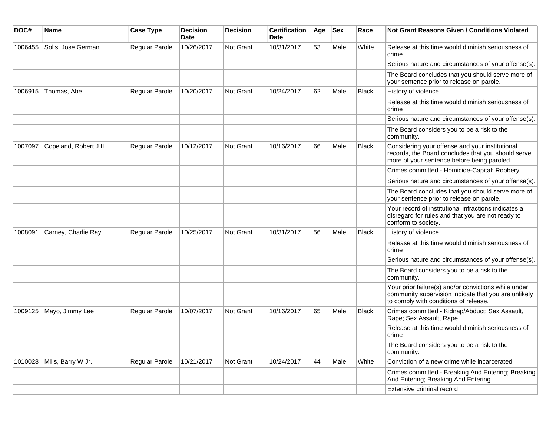| DOC#    | Name                   | <b>Case Type</b>      | <b>Decision</b><br>Date | <b>Decision</b>  | <b>Certification</b><br>Date | Age | <b>Sex</b> | Race         | <b>Not Grant Reasons Given / Conditions Violated</b>                                                                                                  |
|---------|------------------------|-----------------------|-------------------------|------------------|------------------------------|-----|------------|--------------|-------------------------------------------------------------------------------------------------------------------------------------------------------|
| 1006455 | Solis, Jose German     | Regular Parole        | 10/26/2017              | Not Grant        | 10/31/2017                   | 53  | Male       | White        | Release at this time would diminish seriousness of<br>crime                                                                                           |
|         |                        |                       |                         |                  |                              |     |            |              | Serious nature and circumstances of your offense(s).                                                                                                  |
|         |                        |                       |                         |                  |                              |     |            |              | The Board concludes that you should serve more of<br>your sentence prior to release on parole.                                                        |
| 1006915 | Thomas, Abe            | Regular Parole        | 10/20/2017              | <b>Not Grant</b> | 10/24/2017                   | 62  | Male       | <b>Black</b> | History of violence.                                                                                                                                  |
|         |                        |                       |                         |                  |                              |     |            |              | Release at this time would diminish seriousness of<br>crime                                                                                           |
|         |                        |                       |                         |                  |                              |     |            |              | Serious nature and circumstances of your offense(s).                                                                                                  |
|         |                        |                       |                         |                  |                              |     |            |              | The Board considers you to be a risk to the<br>community.                                                                                             |
| 1007097 | Copeland, Robert J III | <b>Regular Parole</b> | 10/12/2017              | Not Grant        | 10/16/2017                   | 66  | Male       | <b>Black</b> | Considering your offense and your institutional<br>records, the Board concludes that you should serve<br>more of your sentence before being paroled.  |
|         |                        |                       |                         |                  |                              |     |            |              | Crimes committed - Homicide-Capital; Robbery                                                                                                          |
|         |                        |                       |                         |                  |                              |     |            |              | Serious nature and circumstances of your offense(s).                                                                                                  |
|         |                        |                       |                         |                  |                              |     |            |              | The Board concludes that you should serve more of<br>your sentence prior to release on parole.                                                        |
|         |                        |                       |                         |                  |                              |     |            |              | Your record of institutional infractions indicates a<br>disregard for rules and that you are not ready to<br>conform to society.                      |
| 1008091 | Carney, Charlie Ray    | Regular Parole        | 10/25/2017              | <b>Not Grant</b> | 10/31/2017                   | 56  | Male       | <b>Black</b> | History of violence.                                                                                                                                  |
|         |                        |                       |                         |                  |                              |     |            |              | Release at this time would diminish seriousness of<br>crime                                                                                           |
|         |                        |                       |                         |                  |                              |     |            |              | Serious nature and circumstances of your offense(s).                                                                                                  |
|         |                        |                       |                         |                  |                              |     |            |              | The Board considers you to be a risk to the<br>community.                                                                                             |
|         |                        |                       |                         |                  |                              |     |            |              | Your prior failure(s) and/or convictions while under<br>community supervision indicate that you are unlikely<br>to comply with conditions of release. |
| 1009125 | Mayo, Jimmy Lee        | Regular Parole        | 10/07/2017              | <b>Not Grant</b> | 10/16/2017                   | 65  | Male       | <b>Black</b> | Crimes committed - Kidnap/Abduct; Sex Assault,<br>Rape; Sex Assault, Rape                                                                             |
|         |                        |                       |                         |                  |                              |     |            |              | Release at this time would diminish seriousness of<br>crime                                                                                           |
|         |                        |                       |                         |                  |                              |     |            |              | The Board considers you to be a risk to the<br>community.                                                                                             |
| 1010028 | Mills, Barry W Jr.     | Regular Parole        | 10/21/2017              | Not Grant        | 10/24/2017                   | 44  | Male       | White        | Conviction of a new crime while incarcerated                                                                                                          |
|         |                        |                       |                         |                  |                              |     |            |              | Crimes committed - Breaking And Entering; Breaking<br>And Entering; Breaking And Entering                                                             |
|         |                        |                       |                         |                  |                              |     |            |              | Extensive criminal record                                                                                                                             |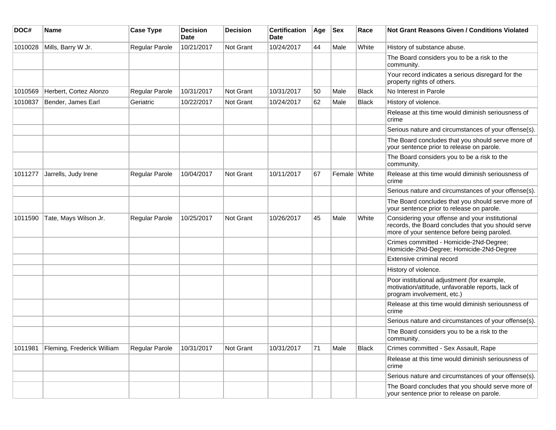| DOC#    | Name                       | <b>Case Type</b>      | <b>Decision</b><br><b>Date</b> | <b>Decision</b> | <b>Certification</b><br>Date | Age | <b>Sex</b>   | Race         | Not Grant Reasons Given / Conditions Violated                                                                                                        |
|---------|----------------------------|-----------------------|--------------------------------|-----------------|------------------------------|-----|--------------|--------------|------------------------------------------------------------------------------------------------------------------------------------------------------|
| 1010028 | Mills, Barry W Jr.         | Regular Parole        | 10/21/2017                     | Not Grant       | 10/24/2017                   | 44  | Male         | White        | History of substance abuse.                                                                                                                          |
|         |                            |                       |                                |                 |                              |     |              |              | The Board considers you to be a risk to the<br>community.                                                                                            |
|         |                            |                       |                                |                 |                              |     |              |              | Your record indicates a serious disregard for the<br>property rights of others.                                                                      |
| 1010569 | Herbert, Cortez Alonzo     | Regular Parole        | 10/31/2017                     | Not Grant       | 10/31/2017                   | 50  | Male         | <b>Black</b> | No Interest in Parole                                                                                                                                |
| 1010837 | Bender, James Earl         | Geriatric             | 10/22/2017                     | Not Grant       | 10/24/2017                   | 62  | Male         | <b>Black</b> | History of violence.                                                                                                                                 |
|         |                            |                       |                                |                 |                              |     |              |              | Release at this time would diminish seriousness of<br>crime                                                                                          |
|         |                            |                       |                                |                 |                              |     |              |              | Serious nature and circumstances of your offense(s).                                                                                                 |
|         |                            |                       |                                |                 |                              |     |              |              | The Board concludes that you should serve more of<br>your sentence prior to release on parole.                                                       |
|         |                            |                       |                                |                 |                              |     |              |              | The Board considers you to be a risk to the<br>community.                                                                                            |
| 1011277 | Jarrells, Judy Irene       | Regular Parole        | 10/04/2017                     | Not Grant       | 10/11/2017                   | 67  | Female White |              | Release at this time would diminish seriousness of<br>crime                                                                                          |
|         |                            |                       |                                |                 |                              |     |              |              | Serious nature and circumstances of your offense(s).                                                                                                 |
|         |                            |                       |                                |                 |                              |     |              |              | The Board concludes that you should serve more of<br>your sentence prior to release on parole.                                                       |
| 1011590 | Tate, Mays Wilson Jr.      | Regular Parole        | 10/25/2017                     | Not Grant       | 10/26/2017                   | 45  | Male         | White        | Considering your offense and your institutional<br>records, the Board concludes that you should serve<br>more of your sentence before being paroled. |
|         |                            |                       |                                |                 |                              |     |              |              | Crimes committed - Homicide-2Nd-Degree;<br>Homicide-2Nd-Degree; Homicide-2Nd-Degree                                                                  |
|         |                            |                       |                                |                 |                              |     |              |              | Extensive criminal record                                                                                                                            |
|         |                            |                       |                                |                 |                              |     |              |              | History of violence.                                                                                                                                 |
|         |                            |                       |                                |                 |                              |     |              |              | Poor institutional adjustment (for example,<br>motivation/attitude, unfavorable reports, lack of<br>program involvement, etc.)                       |
|         |                            |                       |                                |                 |                              |     |              |              | Release at this time would diminish seriousness of<br>crime                                                                                          |
|         |                            |                       |                                |                 |                              |     |              |              | Serious nature and circumstances of your offense(s).                                                                                                 |
|         |                            |                       |                                |                 |                              |     |              |              | The Board considers you to be a risk to the<br>community.                                                                                            |
| 1011981 | Fleming, Frederick William | <b>Regular Parole</b> | 10/31/2017                     | Not Grant       | 10/31/2017                   | 71  | Male         | Black        | Crimes committed - Sex Assault, Rape                                                                                                                 |
|         |                            |                       |                                |                 |                              |     |              |              | Release at this time would diminish seriousness of<br>crime                                                                                          |
|         |                            |                       |                                |                 |                              |     |              |              | Serious nature and circumstances of your offense(s).                                                                                                 |
|         |                            |                       |                                |                 |                              |     |              |              | The Board concludes that you should serve more of<br>your sentence prior to release on parole.                                                       |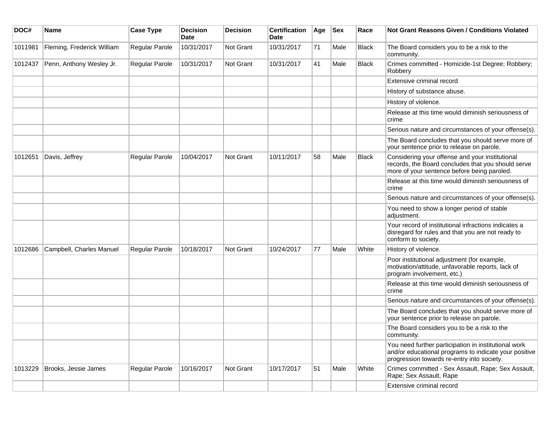| DOC#    | <b>Name</b>                | <b>Case Type</b>      | <b>Decision</b><br><b>Date</b> | <b>Decision</b> | <b>Certification</b><br>Date | Age | <b>Sex</b> | Race         | <b>Not Grant Reasons Given / Conditions Violated</b>                                                                                                        |
|---------|----------------------------|-----------------------|--------------------------------|-----------------|------------------------------|-----|------------|--------------|-------------------------------------------------------------------------------------------------------------------------------------------------------------|
| 1011981 | Fleming, Frederick William | Regular Parole        | 10/31/2017                     | Not Grant       | 10/31/2017                   | 71  | Male       | <b>Black</b> | The Board considers you to be a risk to the<br>community.                                                                                                   |
| 1012437 | Penn, Anthony Wesley Jr.   | Regular Parole        | 10/31/2017                     | Not Grant       | 10/31/2017                   | 41  | Male       | <b>Black</b> | Crimes committed - Homicide-1st Degree; Robbery;<br>Robbery                                                                                                 |
|         |                            |                       |                                |                 |                              |     |            |              | Extensive criminal record                                                                                                                                   |
|         |                            |                       |                                |                 |                              |     |            |              | History of substance abuse.                                                                                                                                 |
|         |                            |                       |                                |                 |                              |     |            |              | History of violence.                                                                                                                                        |
|         |                            |                       |                                |                 |                              |     |            |              | Release at this time would diminish seriousness of<br>crime                                                                                                 |
|         |                            |                       |                                |                 |                              |     |            |              | Serious nature and circumstances of your offense(s).                                                                                                        |
|         |                            |                       |                                |                 |                              |     |            |              | The Board concludes that you should serve more of<br>your sentence prior to release on parole.                                                              |
| 1012651 | Davis, Jeffrey             | Regular Parole        | 10/04/2017                     | Not Grant       | 10/11/2017                   | 58  | Male       | <b>Black</b> | Considering your offense and your institutional<br>records, the Board concludes that you should serve<br>more of your sentence before being paroled.        |
|         |                            |                       |                                |                 |                              |     |            |              | Release at this time would diminish seriousness of<br>crime                                                                                                 |
|         |                            |                       |                                |                 |                              |     |            |              | Serious nature and circumstances of your offense(s).                                                                                                        |
|         |                            |                       |                                |                 |                              |     |            |              | You need to show a longer period of stable<br>adjustment.                                                                                                   |
|         |                            |                       |                                |                 |                              |     |            |              | Your record of institutional infractions indicates a<br>disregard for rules and that you are not ready to<br>conform to society.                            |
| 1012686 | Campbell, Charles Manuel   | Regular Parole        | 10/18/2017                     | Not Grant       | 10/24/2017                   | 77  | Male       | White        | History of violence.                                                                                                                                        |
|         |                            |                       |                                |                 |                              |     |            |              | Poor institutional adjustment (for example,<br>motivation/attitude, unfavorable reports, lack of<br>program involvement, etc.)                              |
|         |                            |                       |                                |                 |                              |     |            |              | Release at this time would diminish seriousness of<br>crime                                                                                                 |
|         |                            |                       |                                |                 |                              |     |            |              | Serious nature and circumstances of your offense(s).                                                                                                        |
|         |                            |                       |                                |                 |                              |     |            |              | The Board concludes that you should serve more of<br>your sentence prior to release on parole.                                                              |
|         |                            |                       |                                |                 |                              |     |            |              | The Board considers you to be a risk to the<br>community.                                                                                                   |
|         |                            |                       |                                |                 |                              |     |            |              | You need further participation in institutional work<br>and/or educational programs to indicate your positive<br>progression towards re-entry into society. |
| 1013229 | Brooks, Jessie James       | <b>Regular Parole</b> | 10/16/2017                     | Not Grant       | 10/17/2017                   | 51  | Male       | White        | Crimes committed - Sex Assault, Rape; Sex Assault,<br>Rape; Sex Assault, Rape                                                                               |
|         |                            |                       |                                |                 |                              |     |            |              | Extensive criminal record                                                                                                                                   |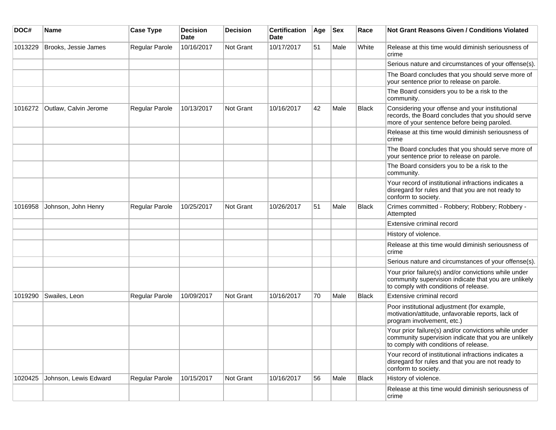| DOC#    | Name                  | <b>Case Type</b> | <b>Decision</b><br><b>Date</b> | Decision  | <b>Certification</b><br><b>Date</b> | Age | <b>Sex</b> | Race         | <b>Not Grant Reasons Given / Conditions Violated</b>                                                                                                  |
|---------|-----------------------|------------------|--------------------------------|-----------|-------------------------------------|-----|------------|--------------|-------------------------------------------------------------------------------------------------------------------------------------------------------|
| 1013229 | Brooks, Jessie James  | Regular Parole   | 10/16/2017                     | Not Grant | 10/17/2017                          | 51  | Male       | White        | Release at this time would diminish seriousness of<br>crime                                                                                           |
|         |                       |                  |                                |           |                                     |     |            |              | Serious nature and circumstances of your offense(s).                                                                                                  |
|         |                       |                  |                                |           |                                     |     |            |              | The Board concludes that you should serve more of<br>your sentence prior to release on parole.                                                        |
|         |                       |                  |                                |           |                                     |     |            |              | The Board considers you to be a risk to the<br>community.                                                                                             |
| 1016272 | Outlaw, Calvin Jerome | Regular Parole   | 10/13/2017                     | Not Grant | 10/16/2017                          | 42  | Male       | <b>Black</b> | Considering your offense and your institutional<br>records, the Board concludes that you should serve<br>more of your sentence before being paroled.  |
|         |                       |                  |                                |           |                                     |     |            |              | Release at this time would diminish seriousness of<br>crime                                                                                           |
|         |                       |                  |                                |           |                                     |     |            |              | The Board concludes that you should serve more of<br>your sentence prior to release on parole.                                                        |
|         |                       |                  |                                |           |                                     |     |            |              | The Board considers you to be a risk to the<br>community.                                                                                             |
|         |                       |                  |                                |           |                                     |     |            |              | Your record of institutional infractions indicates a<br>disregard for rules and that you are not ready to<br>conform to society.                      |
| 1016958 | Johnson, John Henry   | Regular Parole   | 10/25/2017                     | Not Grant | 10/26/2017                          | 51  | Male       | <b>Black</b> | Crimes committed - Robbery; Robbery; Robbery -<br>Attempted                                                                                           |
|         |                       |                  |                                |           |                                     |     |            |              | Extensive criminal record                                                                                                                             |
|         |                       |                  |                                |           |                                     |     |            |              | History of violence.                                                                                                                                  |
|         |                       |                  |                                |           |                                     |     |            |              | Release at this time would diminish seriousness of<br>crime                                                                                           |
|         |                       |                  |                                |           |                                     |     |            |              | Serious nature and circumstances of your offense(s).                                                                                                  |
|         |                       |                  |                                |           |                                     |     |            |              | Your prior failure(s) and/or convictions while under<br>community supervision indicate that you are unlikely<br>to comply with conditions of release. |
| 1019290 | Swailes, Leon         | Regular Parole   | 10/09/2017                     | Not Grant | 10/16/2017                          | 70  | Male       | <b>Black</b> | Extensive criminal record                                                                                                                             |
|         |                       |                  |                                |           |                                     |     |            |              | Poor institutional adjustment (for example,<br>motivation/attitude, unfavorable reports, lack of<br>program involvement, etc.)                        |
|         |                       |                  |                                |           |                                     |     |            |              | Your prior failure(s) and/or convictions while under<br>community supervision indicate that you are unlikely<br>to comply with conditions of release. |
|         |                       |                  |                                |           |                                     |     |            |              | Your record of institutional infractions indicates a<br>disregard for rules and that you are not ready to<br>conform to society.                      |
| 1020425 | Johnson, Lewis Edward | Regular Parole   | 10/15/2017                     | Not Grant | 10/16/2017                          | 56  | Male       | Black        | History of violence.                                                                                                                                  |
|         |                       |                  |                                |           |                                     |     |            |              | Release at this time would diminish seriousness of<br>crime                                                                                           |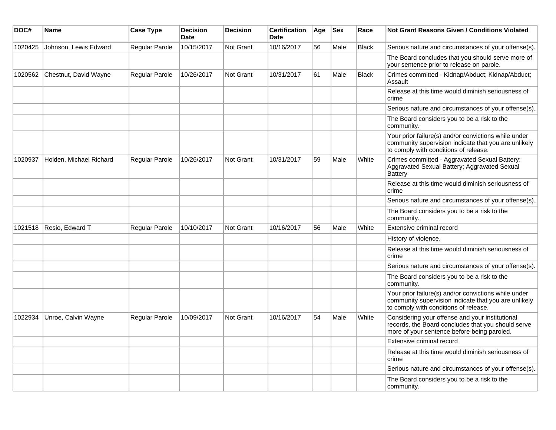| DOC#    | <b>Name</b>             | <b>Case Type</b> | <b>Decision</b><br><b>Date</b> | <b>Decision</b>  | <b>Certification</b><br><b>Date</b> | Age | <b>Sex</b> | Race         | <b>Not Grant Reasons Given / Conditions Violated</b>                                                                                                  |
|---------|-------------------------|------------------|--------------------------------|------------------|-------------------------------------|-----|------------|--------------|-------------------------------------------------------------------------------------------------------------------------------------------------------|
| 1020425 | Johnson, Lewis Edward   | Regular Parole   | 10/15/2017                     | <b>Not Grant</b> | 10/16/2017                          | 56  | Male       | <b>Black</b> | Serious nature and circumstances of your offense(s).                                                                                                  |
|         |                         |                  |                                |                  |                                     |     |            |              | The Board concludes that you should serve more of<br>your sentence prior to release on parole.                                                        |
| 1020562 | Chestnut, David Wayne   | Regular Parole   | 10/26/2017                     | <b>Not Grant</b> | 10/31/2017                          | 61  | Male       | <b>Black</b> | Crimes committed - Kidnap/Abduct; Kidnap/Abduct;<br>Assault                                                                                           |
|         |                         |                  |                                |                  |                                     |     |            |              | Release at this time would diminish seriousness of<br>crime                                                                                           |
|         |                         |                  |                                |                  |                                     |     |            |              | Serious nature and circumstances of your offense(s).                                                                                                  |
|         |                         |                  |                                |                  |                                     |     |            |              | The Board considers you to be a risk to the<br>community.                                                                                             |
|         |                         |                  |                                |                  |                                     |     |            |              | Your prior failure(s) and/or convictions while under<br>community supervision indicate that you are unlikely<br>to comply with conditions of release. |
| 1020937 | Holden, Michael Richard | Regular Parole   | 10/26/2017                     | Not Grant        | 10/31/2017                          | 59  | Male       | White        | Crimes committed - Aggravated Sexual Battery;<br>Aggravated Sexual Battery; Aggravated Sexual<br>Battery                                              |
|         |                         |                  |                                |                  |                                     |     |            |              | Release at this time would diminish seriousness of<br>crime                                                                                           |
|         |                         |                  |                                |                  |                                     |     |            |              | Serious nature and circumstances of your offense(s).                                                                                                  |
|         |                         |                  |                                |                  |                                     |     |            |              | The Board considers you to be a risk to the<br>community.                                                                                             |
| 1021518 | Resio, Edward T         | Regular Parole   | 10/10/2017                     | <b>Not Grant</b> | 10/16/2017                          | 56  | Male       | White        | Extensive criminal record                                                                                                                             |
|         |                         |                  |                                |                  |                                     |     |            |              | History of violence.                                                                                                                                  |
|         |                         |                  |                                |                  |                                     |     |            |              | Release at this time would diminish seriousness of<br>crime                                                                                           |
|         |                         |                  |                                |                  |                                     |     |            |              | Serious nature and circumstances of your offense(s).                                                                                                  |
|         |                         |                  |                                |                  |                                     |     |            |              | The Board considers you to be a risk to the<br>community.                                                                                             |
|         |                         |                  |                                |                  |                                     |     |            |              | Your prior failure(s) and/or convictions while under<br>community supervision indicate that you are unlikely<br>to comply with conditions of release. |
| 1022934 | Unroe, Calvin Wayne     | Regular Parole   | 10/09/2017                     | <b>Not Grant</b> | 10/16/2017                          | 54  | Male       | White        | Considering your offense and your institutional<br>records, the Board concludes that you should serve<br>more of your sentence before being paroled.  |
|         |                         |                  |                                |                  |                                     |     |            |              | Extensive criminal record                                                                                                                             |
|         |                         |                  |                                |                  |                                     |     |            |              | Release at this time would diminish seriousness of<br>crime                                                                                           |
|         |                         |                  |                                |                  |                                     |     |            |              | Serious nature and circumstances of your offense(s).                                                                                                  |
|         |                         |                  |                                |                  |                                     |     |            |              | The Board considers you to be a risk to the<br>community.                                                                                             |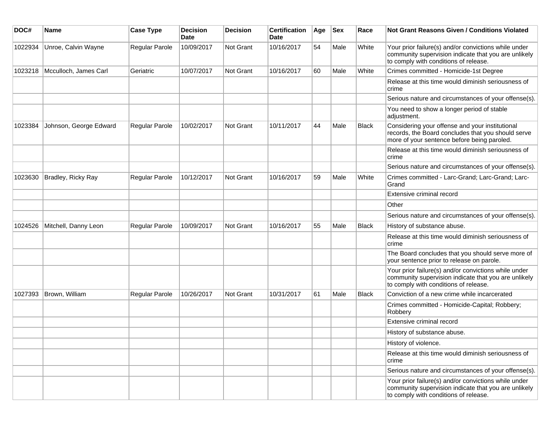| DOC#    | <b>Name</b>            | <b>Case Type</b>      | <b>Decision</b><br>Date | <b>Decision</b> | <b>Certification</b><br>Date | Age | <b>Sex</b> | Race         | Not Grant Reasons Given / Conditions Violated                                                                                                         |
|---------|------------------------|-----------------------|-------------------------|-----------------|------------------------------|-----|------------|--------------|-------------------------------------------------------------------------------------------------------------------------------------------------------|
| 1022934 | Unroe, Calvin Wayne    | Regular Parole        | 10/09/2017              | Not Grant       | 10/16/2017                   | 54  | Male       | White        | Your prior failure(s) and/or convictions while under<br>community supervision indicate that you are unlikely<br>to comply with conditions of release. |
| 1023218 | Mcculloch, James Carl  | Geriatric             | 10/07/2017              | Not Grant       | 10/16/2017                   | 60  | Male       | White        | Crimes committed - Homicide-1st Degree                                                                                                                |
|         |                        |                       |                         |                 |                              |     |            |              | Release at this time would diminish seriousness of<br>crime                                                                                           |
|         |                        |                       |                         |                 |                              |     |            |              | Serious nature and circumstances of your offense(s).                                                                                                  |
|         |                        |                       |                         |                 |                              |     |            |              | You need to show a longer period of stable<br>adjustment.                                                                                             |
| 1023384 | Johnson, George Edward | <b>Regular Parole</b> | 10/02/2017              | Not Grant       | 10/11/2017                   | 44  | Male       | <b>Black</b> | Considering your offense and your institutional<br>records, the Board concludes that you should serve<br>more of your sentence before being paroled.  |
|         |                        |                       |                         |                 |                              |     |            |              | Release at this time would diminish seriousness of<br>crime                                                                                           |
|         |                        |                       |                         |                 |                              |     |            |              | Serious nature and circumstances of your offense(s).                                                                                                  |
| 1023630 | Bradley, Ricky Ray     | Regular Parole        | 10/12/2017              | Not Grant       | 10/16/2017                   | 59  | Male       | White        | Crimes committed - Larc-Grand; Larc-Grand; Larc-<br>Grand                                                                                             |
|         |                        |                       |                         |                 |                              |     |            |              | Extensive criminal record                                                                                                                             |
|         |                        |                       |                         |                 |                              |     |            |              | Other                                                                                                                                                 |
|         |                        |                       |                         |                 |                              |     |            |              | Serious nature and circumstances of your offense(s).                                                                                                  |
| 1024526 | Mitchell, Danny Leon   | <b>Regular Parole</b> | 10/09/2017              | Not Grant       | 10/16/2017                   | 55  | Male       | <b>Black</b> | History of substance abuse.                                                                                                                           |
|         |                        |                       |                         |                 |                              |     |            |              | Release at this time would diminish seriousness of<br>crime                                                                                           |
|         |                        |                       |                         |                 |                              |     |            |              | The Board concludes that you should serve more of<br>your sentence prior to release on parole.                                                        |
|         |                        |                       |                         |                 |                              |     |            |              | Your prior failure(s) and/or convictions while under<br>community supervision indicate that you are unlikely<br>to comply with conditions of release. |
| 1027393 | Brown, William         | Regular Parole        | 10/26/2017              | Not Grant       | 10/31/2017                   | 61  | Male       | Black        | Conviction of a new crime while incarcerated                                                                                                          |
|         |                        |                       |                         |                 |                              |     |            |              | Crimes committed - Homicide-Capital; Robbery;<br>Robbery                                                                                              |
|         |                        |                       |                         |                 |                              |     |            |              | Extensive criminal record                                                                                                                             |
|         |                        |                       |                         |                 |                              |     |            |              | History of substance abuse.                                                                                                                           |
|         |                        |                       |                         |                 |                              |     |            |              | History of violence.                                                                                                                                  |
|         |                        |                       |                         |                 |                              |     |            |              | Release at this time would diminish seriousness of<br>crime                                                                                           |
|         |                        |                       |                         |                 |                              |     |            |              | Serious nature and circumstances of your offense(s).                                                                                                  |
|         |                        |                       |                         |                 |                              |     |            |              | Your prior failure(s) and/or convictions while under<br>community supervision indicate that you are unlikely<br>to comply with conditions of release. |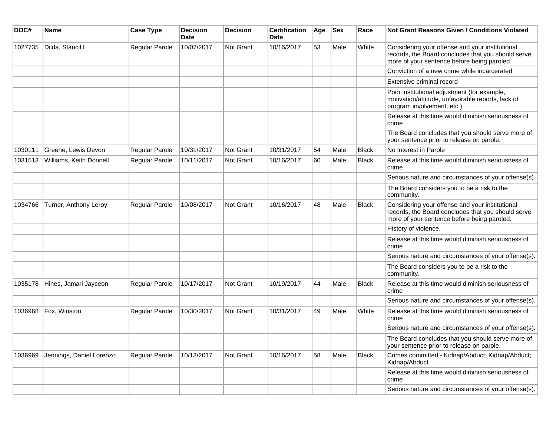| DOC#    | <b>Name</b>              | <b>Case Type</b>      | <b>Decision</b><br><b>Date</b> | <b>Decision</b> | <b>Certification</b><br>Date | Age | <b>Sex</b> | Race         | <b>Not Grant Reasons Given / Conditions Violated</b>                                                                                                 |
|---------|--------------------------|-----------------------|--------------------------------|-----------------|------------------------------|-----|------------|--------------|------------------------------------------------------------------------------------------------------------------------------------------------------|
| 1027735 | Dilda, Stancil L         | Regular Parole        | 10/07/2017                     | Not Grant       | 10/16/2017                   | 53  | Male       | White        | Considering your offense and your institutional<br>records, the Board concludes that you should serve<br>more of your sentence before being paroled. |
|         |                          |                       |                                |                 |                              |     |            |              | Conviction of a new crime while incarcerated                                                                                                         |
|         |                          |                       |                                |                 |                              |     |            |              | Extensive criminal record                                                                                                                            |
|         |                          |                       |                                |                 |                              |     |            |              | Poor institutional adjustment (for example,<br>motivation/attitude, unfavorable reports, lack of<br>program involvement, etc.)                       |
|         |                          |                       |                                |                 |                              |     |            |              | Release at this time would diminish seriousness of<br>crime                                                                                          |
|         |                          |                       |                                |                 |                              |     |            |              | The Board concludes that you should serve more of<br>your sentence prior to release on parole.                                                       |
| 1030111 | Greene, Lewis Devon      | Regular Parole        | 10/31/2017                     | Not Grant       | 10/31/2017                   | 54  | Male       | <b>Black</b> | No Interest in Parole                                                                                                                                |
| 1031513 | Williams, Keith Donnell  | Regular Parole        | 10/11/2017                     | Not Grant       | 10/16/2017                   | 60  | Male       | <b>Black</b> | Release at this time would diminish seriousness of<br>crime                                                                                          |
|         |                          |                       |                                |                 |                              |     |            |              | Serious nature and circumstances of your offense(s).                                                                                                 |
|         |                          |                       |                                |                 |                              |     |            |              | The Board considers you to be a risk to the<br>community.                                                                                            |
| 1034766 | Turner, Anthony Leroy    | <b>Regular Parole</b> | 10/08/2017                     | Not Grant       | 10/16/2017                   | 48  | Male       | <b>Black</b> | Considering your offense and your institutional<br>records, the Board concludes that you should serve<br>more of your sentence before being paroled. |
|         |                          |                       |                                |                 |                              |     |            |              | History of violence.                                                                                                                                 |
|         |                          |                       |                                |                 |                              |     |            |              | Release at this time would diminish seriousness of<br>crime                                                                                          |
|         |                          |                       |                                |                 |                              |     |            |              | Serious nature and circumstances of your offense(s).                                                                                                 |
|         |                          |                       |                                |                 |                              |     |            |              | The Board considers you to be a risk to the<br>community.                                                                                            |
| 1035178 | Hines, Jamari Jayceon    | <b>Regular Parole</b> | 10/17/2017                     | Not Grant       | 10/19/2017                   | 44  | Male       | <b>Black</b> | Release at this time would diminish seriousness of<br>crime                                                                                          |
|         |                          |                       |                                |                 |                              |     |            |              | Serious nature and circumstances of your offense(s).                                                                                                 |
| 1036968 | Fox, Winston             | Regular Parole        | 10/30/2017                     | Not Grant       | 10/31/2017                   | 49  | Male       | White        | Release at this time would diminish seriousness of<br>crime                                                                                          |
|         |                          |                       |                                |                 |                              |     |            |              | Serious nature and circumstances of your offense(s).                                                                                                 |
|         |                          |                       |                                |                 |                              |     |            |              | The Board concludes that you should serve more of<br>your sentence prior to release on parole.                                                       |
| 1036969 | Jennings, Daniel Lorenzo | Regular Parole        | 10/13/2017                     | Not Grant       | 10/16/2017                   | 58  | Male       | <b>Black</b> | Crimes committed - Kidnap/Abduct; Kidnap/Abduct;<br>Kidnap/Abduct                                                                                    |
|         |                          |                       |                                |                 |                              |     |            |              | Release at this time would diminish seriousness of<br>crime                                                                                          |
|         |                          |                       |                                |                 |                              |     |            |              | Serious nature and circumstances of your offense(s).                                                                                                 |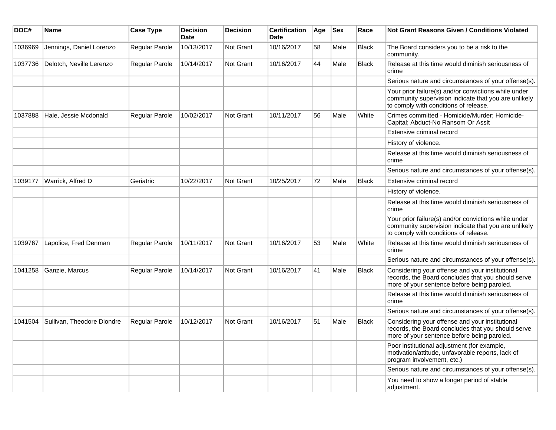| DOC#    | Name                       | <b>Case Type</b>      | <b>Decision</b><br><b>Date</b> | <b>Decision</b>  | <b>Certification</b><br><b>Date</b> | Age | <b>Sex</b> | Race         | <b>Not Grant Reasons Given / Conditions Violated</b>                                                                                                  |
|---------|----------------------------|-----------------------|--------------------------------|------------------|-------------------------------------|-----|------------|--------------|-------------------------------------------------------------------------------------------------------------------------------------------------------|
| 1036969 | Jennings, Daniel Lorenzo   | <b>Regular Parole</b> | 10/13/2017                     | <b>Not Grant</b> | 10/16/2017                          | 58  | Male       | <b>Black</b> | The Board considers you to be a risk to the<br>community.                                                                                             |
| 1037736 | Delotch, Neville Lerenzo   | Regular Parole        | 10/14/2017                     | Not Grant        | 10/16/2017                          | 44  | Male       | Black        | Release at this time would diminish seriousness of<br>crime                                                                                           |
|         |                            |                       |                                |                  |                                     |     |            |              | Serious nature and circumstances of your offense(s).                                                                                                  |
|         |                            |                       |                                |                  |                                     |     |            |              | Your prior failure(s) and/or convictions while under<br>community supervision indicate that you are unlikely<br>to comply with conditions of release. |
| 1037888 | Hale, Jessie Mcdonald      | <b>Regular Parole</b> | 10/02/2017                     | <b>Not Grant</b> | 10/11/2017                          | 56  | Male       | White        | Crimes committed - Homicide/Murder; Homicide-<br>Capital; Abduct-No Ransom Or Asslt                                                                   |
|         |                            |                       |                                |                  |                                     |     |            |              | Extensive criminal record                                                                                                                             |
|         |                            |                       |                                |                  |                                     |     |            |              | History of violence.                                                                                                                                  |
|         |                            |                       |                                |                  |                                     |     |            |              | Release at this time would diminish seriousness of<br>crime                                                                                           |
|         |                            |                       |                                |                  |                                     |     |            |              | Serious nature and circumstances of your offense(s).                                                                                                  |
| 1039177 | Warrick, Alfred D          | Geriatric             | 10/22/2017                     | <b>Not Grant</b> | 10/25/2017                          | 72  | Male       | <b>Black</b> | Extensive criminal record                                                                                                                             |
|         |                            |                       |                                |                  |                                     |     |            |              | History of violence.                                                                                                                                  |
|         |                            |                       |                                |                  |                                     |     |            |              | Release at this time would diminish seriousness of<br>crime                                                                                           |
|         |                            |                       |                                |                  |                                     |     |            |              | Your prior failure(s) and/or convictions while under<br>community supervision indicate that you are unlikely<br>to comply with conditions of release. |
| 1039767 | Lapolice, Fred Denman      | <b>Regular Parole</b> | 10/11/2017                     | <b>Not Grant</b> | 10/16/2017                          | 53  | Male       | White        | Release at this time would diminish seriousness of<br>crime                                                                                           |
|         |                            |                       |                                |                  |                                     |     |            |              | Serious nature and circumstances of your offense(s).                                                                                                  |
| 1041258 | Ganzie, Marcus             | <b>Regular Parole</b> | 10/14/2017                     | Not Grant        | 10/16/2017                          | 41  | Male       | <b>Black</b> | Considering your offense and your institutional<br>records, the Board concludes that you should serve<br>more of your sentence before being paroled.  |
|         |                            |                       |                                |                  |                                     |     |            |              | Release at this time would diminish seriousness of<br>crime                                                                                           |
|         |                            |                       |                                |                  |                                     |     |            |              | Serious nature and circumstances of your offense(s).                                                                                                  |
| 1041504 | Sullivan, Theodore Diondre | <b>Regular Parole</b> | 10/12/2017                     | <b>Not Grant</b> | 10/16/2017                          | 51  | Male       | <b>Black</b> | Considering your offense and your institutional<br>records, the Board concludes that you should serve<br>more of your sentence before being paroled.  |
|         |                            |                       |                                |                  |                                     |     |            |              | Poor institutional adjustment (for example,<br>motivation/attitude, unfavorable reports, lack of<br>program involvement, etc.)                        |
|         |                            |                       |                                |                  |                                     |     |            |              | Serious nature and circumstances of your offense(s).                                                                                                  |
|         |                            |                       |                                |                  |                                     |     |            |              | You need to show a longer period of stable<br>adjustment.                                                                                             |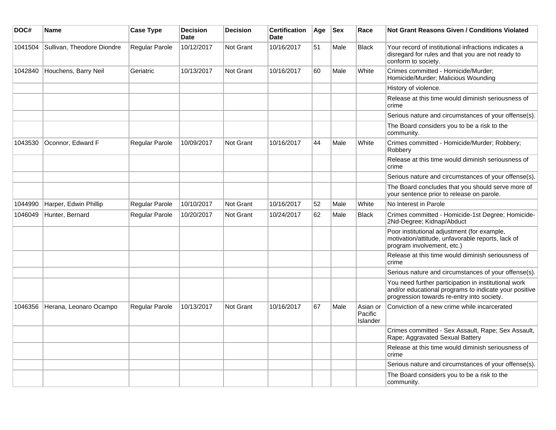| DOC#    | Name                       | <b>Case Type</b>      | <b>Decision</b><br><b>Date</b> | <b>Decision</b>  | <b>Certification</b><br><b>Date</b> | Age | <b>Sex</b> | Race                            | Not Grant Reasons Given / Conditions Violated                                                                                                               |
|---------|----------------------------|-----------------------|--------------------------------|------------------|-------------------------------------|-----|------------|---------------------------------|-------------------------------------------------------------------------------------------------------------------------------------------------------------|
| 1041504 | Sullivan, Theodore Diondre | Regular Parole        | 10/12/2017                     | Not Grant        | 10/16/2017                          | 51  | Male       | <b>Black</b>                    | Your record of institutional infractions indicates a<br>disregard for rules and that you are not ready to<br>conform to society.                            |
| 1042840 | Houchens, Barry Neil       | Geriatric             | 10/13/2017                     | Not Grant        | 10/16/2017                          | 60  | Male       | White                           | Crimes committed - Homicide/Murder;<br>Homicide/Murder; Malicious Wounding                                                                                  |
|         |                            |                       |                                |                  |                                     |     |            |                                 | History of violence.                                                                                                                                        |
|         |                            |                       |                                |                  |                                     |     |            |                                 | Release at this time would diminish seriousness of<br>crime                                                                                                 |
|         |                            |                       |                                |                  |                                     |     |            |                                 | Serious nature and circumstances of your offense(s).                                                                                                        |
|         |                            |                       |                                |                  |                                     |     |            |                                 | The Board considers you to be a risk to the<br>community.                                                                                                   |
| 1043530 | Oconnor, Edward F          | <b>Regular Parole</b> | 10/09/2017                     | Not Grant        | 10/16/2017                          | 44  | Male       | White                           | Crimes committed - Homicide/Murder; Robbery;<br>Robbery                                                                                                     |
|         |                            |                       |                                |                  |                                     |     |            |                                 | Release at this time would diminish seriousness of<br>crime                                                                                                 |
|         |                            |                       |                                |                  |                                     |     |            |                                 | Serious nature and circumstances of your offense(s).                                                                                                        |
|         |                            |                       |                                |                  |                                     |     |            |                                 | The Board concludes that you should serve more of<br>your sentence prior to release on parole.                                                              |
| 1044990 | Harper, Edwin Phillip      | Regular Parole        | 10/10/2017                     | Not Grant        | 10/16/2017                          | 52  | Male       | White                           | No Interest in Parole                                                                                                                                       |
| 1046049 | Hunter, Bernard            | Regular Parole        | 10/20/2017                     | <b>Not Grant</b> | 10/24/2017                          | 62  | Male       | <b>Black</b>                    | Crimes committed - Homicide-1st Degree; Homicide-<br>2Nd-Degree; Kidnap/Abduct                                                                              |
|         |                            |                       |                                |                  |                                     |     |            |                                 | Poor institutional adjustment (for example,<br>motivation/attitude, unfavorable reports, lack of<br>program involvement, etc.)                              |
|         |                            |                       |                                |                  |                                     |     |            |                                 | Release at this time would diminish seriousness of<br>crime                                                                                                 |
|         |                            |                       |                                |                  |                                     |     |            |                                 | Serious nature and circumstances of your offense(s).                                                                                                        |
|         |                            |                       |                                |                  |                                     |     |            |                                 | You need further participation in institutional work<br>and/or educational programs to indicate your positive<br>progression towards re-entry into society. |
| 1046356 | Herana, Leonaro Ocampo     | Regular Parole        | 10/13/2017                     | <b>Not Grant</b> | 10/16/2017                          | 67  | Male       | Asian or<br>Pacific<br>Islander | Conviction of a new crime while incarcerated                                                                                                                |
|         |                            |                       |                                |                  |                                     |     |            |                                 | Crimes committed - Sex Assault, Rape; Sex Assault,<br>Rape; Aggravated Sexual Battery                                                                       |
|         |                            |                       |                                |                  |                                     |     |            |                                 | Release at this time would diminish seriousness of<br>crime                                                                                                 |
|         |                            |                       |                                |                  |                                     |     |            |                                 | Serious nature and circumstances of your offense(s).                                                                                                        |
|         |                            |                       |                                |                  |                                     |     |            |                                 | The Board considers you to be a risk to the<br>community.                                                                                                   |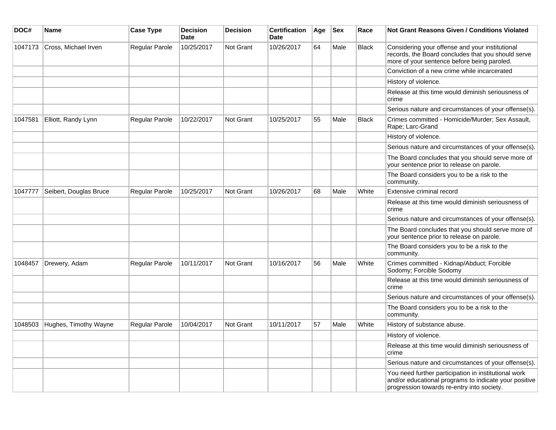| DOC#    | <b>Name</b>            | <b>Case Type</b> | <b>Decision</b><br><b>Date</b> | <b>Decision</b>  | <b>Certification</b><br><b>Date</b> | Age | <b>Sex</b> | Race         | <b>Not Grant Reasons Given / Conditions Violated</b>                                                                                                        |
|---------|------------------------|------------------|--------------------------------|------------------|-------------------------------------|-----|------------|--------------|-------------------------------------------------------------------------------------------------------------------------------------------------------------|
| 1047173 | Cross, Michael Irven   | Regular Parole   | 10/25/2017                     | Not Grant        | 10/26/2017                          | 64  | Male       | <b>Black</b> | Considering your offense and your institutional<br>records, the Board concludes that you should serve<br>more of your sentence before being paroled.        |
|         |                        |                  |                                |                  |                                     |     |            |              | Conviction of a new crime while incarcerated                                                                                                                |
|         |                        |                  |                                |                  |                                     |     |            |              | History of violence.                                                                                                                                        |
|         |                        |                  |                                |                  |                                     |     |            |              | Release at this time would diminish seriousness of<br>crime                                                                                                 |
|         |                        |                  |                                |                  |                                     |     |            |              | Serious nature and circumstances of your offense(s).                                                                                                        |
| 1047581 | Elliott, Randy Lynn    | Regular Parole   | 10/22/2017                     | <b>Not Grant</b> | 10/25/2017                          | 55  | Male       | <b>Black</b> | Crimes committed - Homicide/Murder; Sex Assault,<br>Rape; Larc-Grand                                                                                        |
|         |                        |                  |                                |                  |                                     |     |            |              | History of violence.                                                                                                                                        |
|         |                        |                  |                                |                  |                                     |     |            |              | Serious nature and circumstances of your offense(s).                                                                                                        |
|         |                        |                  |                                |                  |                                     |     |            |              | The Board concludes that you should serve more of<br>your sentence prior to release on parole.                                                              |
|         |                        |                  |                                |                  |                                     |     |            |              | The Board considers you to be a risk to the<br>community.                                                                                                   |
| 1047777 | Seibert, Douglas Bruce | Regular Parole   | 10/25/2017                     | <b>Not Grant</b> | 10/26/2017                          | 68  | Male       | White        | Extensive criminal record                                                                                                                                   |
|         |                        |                  |                                |                  |                                     |     |            |              | Release at this time would diminish seriousness of<br>crime                                                                                                 |
|         |                        |                  |                                |                  |                                     |     |            |              | Serious nature and circumstances of your offense(s).                                                                                                        |
|         |                        |                  |                                |                  |                                     |     |            |              | The Board concludes that you should serve more of<br>your sentence prior to release on parole.                                                              |
|         |                        |                  |                                |                  |                                     |     |            |              | The Board considers you to be a risk to the<br>community.                                                                                                   |
| 1048457 | Drewery, Adam          | Regular Parole   | 10/11/2017                     | Not Grant        | 10/16/2017                          | 56  | Male       | White        | Crimes committed - Kidnap/Abduct; Forcible<br>Sodomy; Forcible Sodomy                                                                                       |
|         |                        |                  |                                |                  |                                     |     |            |              | Release at this time would diminish seriousness of<br>crime                                                                                                 |
|         |                        |                  |                                |                  |                                     |     |            |              | Serious nature and circumstances of your offense(s).                                                                                                        |
|         |                        |                  |                                |                  |                                     |     |            |              | The Board considers you to be a risk to the<br>community.                                                                                                   |
| 1048503 | Hughes, Timothy Wayne  | Regular Parole   | 10/04/2017                     | <b>Not Grant</b> | 10/11/2017                          | 57  | Male       | White        | History of substance abuse.                                                                                                                                 |
|         |                        |                  |                                |                  |                                     |     |            |              | History of violence.                                                                                                                                        |
|         |                        |                  |                                |                  |                                     |     |            |              | Release at this time would diminish seriousness of<br>crime                                                                                                 |
|         |                        |                  |                                |                  |                                     |     |            |              | Serious nature and circumstances of your offense(s).                                                                                                        |
|         |                        |                  |                                |                  |                                     |     |            |              | You need further participation in institutional work<br>and/or educational programs to indicate your positive<br>progression towards re-entry into society. |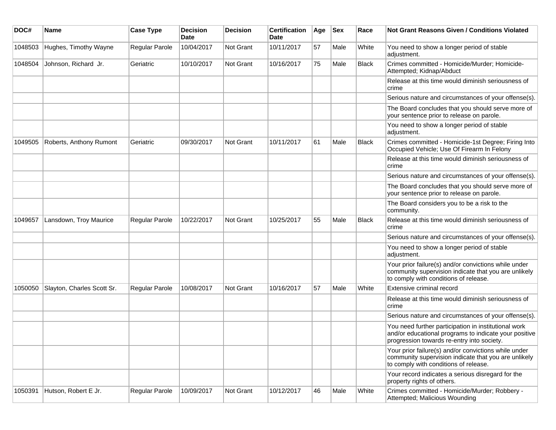| DOC#    | <b>Name</b>                | <b>Case Type</b> | <b>Decision</b><br><b>Date</b> | <b>Decision</b> | <b>Certification</b><br>Date | Age | <b>Sex</b> | Race  | <b>Not Grant Reasons Given / Conditions Violated</b>                                                                                                        |
|---------|----------------------------|------------------|--------------------------------|-----------------|------------------------------|-----|------------|-------|-------------------------------------------------------------------------------------------------------------------------------------------------------------|
| 1048503 | Hughes, Timothy Wayne      | Regular Parole   | 10/04/2017                     | Not Grant       | 10/11/2017                   | 57  | Male       | White | You need to show a longer period of stable<br>adjustment.                                                                                                   |
| 1048504 | Johnson, Richard Jr.       | Geriatric        | 10/10/2017                     | Not Grant       | 10/16/2017                   | 75  | Male       | Black | Crimes committed - Homicide/Murder; Homicide-<br>Attempted; Kidnap/Abduct                                                                                   |
|         |                            |                  |                                |                 |                              |     |            |       | Release at this time would diminish seriousness of<br>crime                                                                                                 |
|         |                            |                  |                                |                 |                              |     |            |       | Serious nature and circumstances of your offense(s).                                                                                                        |
|         |                            |                  |                                |                 |                              |     |            |       | The Board concludes that you should serve more of<br>your sentence prior to release on parole.                                                              |
|         |                            |                  |                                |                 |                              |     |            |       | You need to show a longer period of stable<br>adjustment.                                                                                                   |
| 1049505 | Roberts, Anthony Rumont    | Geriatric        | 09/30/2017                     | Not Grant       | 10/11/2017                   | 61  | Male       | Black | Crimes committed - Homicide-1st Degree; Firing Into<br>Occupied Vehicle; Use Of Firearm In Felony                                                           |
|         |                            |                  |                                |                 |                              |     |            |       | Release at this time would diminish seriousness of<br>crime                                                                                                 |
|         |                            |                  |                                |                 |                              |     |            |       | Serious nature and circumstances of your offense(s).                                                                                                        |
|         |                            |                  |                                |                 |                              |     |            |       | The Board concludes that you should serve more of<br>your sentence prior to release on parole.                                                              |
|         |                            |                  |                                |                 |                              |     |            |       | The Board considers you to be a risk to the<br>community.                                                                                                   |
| 1049657 | Lansdown, Troy Maurice     | Regular Parole   | 10/22/2017                     | Not Grant       | 10/25/2017                   | 55  | Male       | Black | Release at this time would diminish seriousness of<br>crime                                                                                                 |
|         |                            |                  |                                |                 |                              |     |            |       | Serious nature and circumstances of your offense(s).                                                                                                        |
|         |                            |                  |                                |                 |                              |     |            |       | You need to show a longer period of stable<br>adjustment.                                                                                                   |
|         |                            |                  |                                |                 |                              |     |            |       | Your prior failure(s) and/or convictions while under<br>community supervision indicate that you are unlikely<br>to comply with conditions of release.       |
| 1050050 | Slayton, Charles Scott Sr. | Regular Parole   | 10/08/2017                     | Not Grant       | 10/16/2017                   | 57  | Male       | White | Extensive criminal record                                                                                                                                   |
|         |                            |                  |                                |                 |                              |     |            |       | Release at this time would diminish seriousness of<br>crime                                                                                                 |
|         |                            |                  |                                |                 |                              |     |            |       | Serious nature and circumstances of your offense(s).                                                                                                        |
|         |                            |                  |                                |                 |                              |     |            |       | You need further participation in institutional work<br>and/or educational programs to indicate your positive<br>progression towards re-entry into society. |
|         |                            |                  |                                |                 |                              |     |            |       | Your prior failure(s) and/or convictions while under<br>community supervision indicate that you are unlikely<br>to comply with conditions of release.       |
|         |                            |                  |                                |                 |                              |     |            |       | Your record indicates a serious disregard for the<br>property rights of others.                                                                             |
| 1050391 | Hutson, Robert E Jr.       | Regular Parole   | 10/09/2017                     | Not Grant       | 10/12/2017                   | 46  | Male       | White | Crimes committed - Homicide/Murder; Robbery -<br>Attempted; Malicious Wounding                                                                              |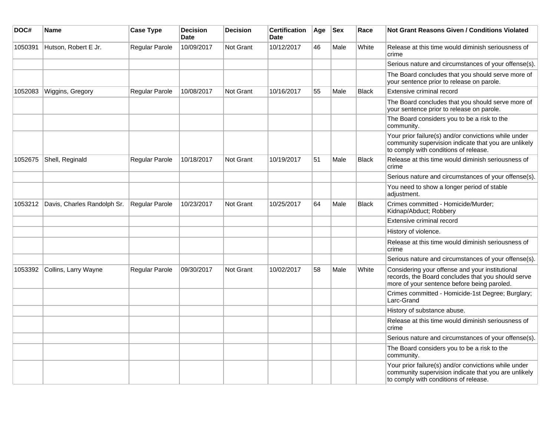| DOC#    | Name                        | <b>Case Type</b> | <b>Decision</b><br><b>Date</b> | <b>Decision</b> | <b>Certification</b><br>Date | Age | <b>Sex</b> | Race         | Not Grant Reasons Given / Conditions Violated                                                                                                         |
|---------|-----------------------------|------------------|--------------------------------|-----------------|------------------------------|-----|------------|--------------|-------------------------------------------------------------------------------------------------------------------------------------------------------|
| 1050391 | Hutson, Robert E Jr.        | Regular Parole   | 10/09/2017                     | Not Grant       | 10/12/2017                   | 46  | Male       | White        | Release at this time would diminish seriousness of<br>crime                                                                                           |
|         |                             |                  |                                |                 |                              |     |            |              | Serious nature and circumstances of your offense(s).                                                                                                  |
|         |                             |                  |                                |                 |                              |     |            |              | The Board concludes that you should serve more of<br>your sentence prior to release on parole.                                                        |
| 1052083 | Wiggins, Gregory            | Regular Parole   | 10/08/2017                     | Not Grant       | 10/16/2017                   | 55  | Male       | Black        | Extensive criminal record                                                                                                                             |
|         |                             |                  |                                |                 |                              |     |            |              | The Board concludes that you should serve more of<br>your sentence prior to release on parole.                                                        |
|         |                             |                  |                                |                 |                              |     |            |              | The Board considers you to be a risk to the<br>community.                                                                                             |
|         |                             |                  |                                |                 |                              |     |            |              | Your prior failure(s) and/or convictions while under<br>community supervision indicate that you are unlikely<br>to comply with conditions of release. |
| 1052675 | Shell, Reginald             | Regular Parole   | 10/18/2017                     | Not Grant       | 10/19/2017                   | 51  | Male       | <b>Black</b> | Release at this time would diminish seriousness of<br>crime                                                                                           |
|         |                             |                  |                                |                 |                              |     |            |              | Serious nature and circumstances of your offense(s).                                                                                                  |
|         |                             |                  |                                |                 |                              |     |            |              | You need to show a longer period of stable<br>adjustment.                                                                                             |
| 1053212 | Davis, Charles Randolph Sr. | Regular Parole   | 10/23/2017                     | Not Grant       | 10/25/2017                   | 64  | Male       | <b>Black</b> | Crimes committed - Homicide/Murder;<br>Kidnap/Abduct; Robbery                                                                                         |
|         |                             |                  |                                |                 |                              |     |            |              | Extensive criminal record                                                                                                                             |
|         |                             |                  |                                |                 |                              |     |            |              | History of violence.                                                                                                                                  |
|         |                             |                  |                                |                 |                              |     |            |              | Release at this time would diminish seriousness of<br>crime                                                                                           |
|         |                             |                  |                                |                 |                              |     |            |              | Serious nature and circumstances of your offense(s).                                                                                                  |
| 1053392 | Collins, Larry Wayne        | Regular Parole   | 09/30/2017                     | Not Grant       | 10/02/2017                   | 58  | Male       | White        | Considering your offense and your institutional<br>records, the Board concludes that you should serve<br>more of your sentence before being paroled.  |
|         |                             |                  |                                |                 |                              |     |            |              | Crimes committed - Homicide-1st Degree; Burglary;<br>Larc-Grand                                                                                       |
|         |                             |                  |                                |                 |                              |     |            |              | History of substance abuse.                                                                                                                           |
|         |                             |                  |                                |                 |                              |     |            |              | Release at this time would diminish seriousness of<br>crime                                                                                           |
|         |                             |                  |                                |                 |                              |     |            |              | Serious nature and circumstances of your offense(s).                                                                                                  |
|         |                             |                  |                                |                 |                              |     |            |              | The Board considers you to be a risk to the<br>community.                                                                                             |
|         |                             |                  |                                |                 |                              |     |            |              | Your prior failure(s) and/or convictions while under<br>community supervision indicate that you are unlikely<br>to comply with conditions of release. |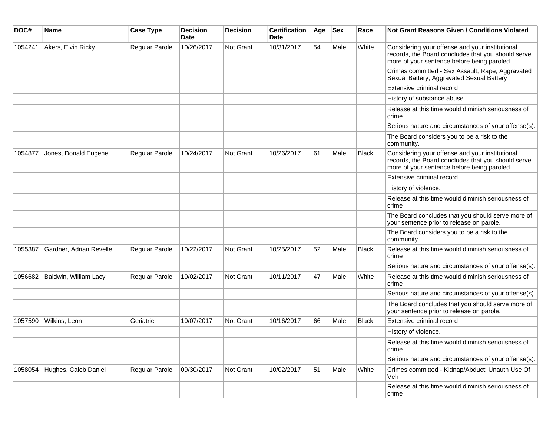| DOC#    | <b>Name</b>             | <b>Case Type</b>      | <b>Decision</b><br><b>Date</b> | <b>Decision</b> | <b>Certification</b><br>Date | Age | <b>Sex</b> | Race         | <b>Not Grant Reasons Given / Conditions Violated</b>                                                                                                 |
|---------|-------------------------|-----------------------|--------------------------------|-----------------|------------------------------|-----|------------|--------------|------------------------------------------------------------------------------------------------------------------------------------------------------|
| 1054241 | Akers, Elvin Ricky      | Regular Parole        | 10/26/2017                     | Not Grant       | 10/31/2017                   | 54  | Male       | White        | Considering your offense and your institutional<br>records, the Board concludes that you should serve<br>more of your sentence before being paroled. |
|         |                         |                       |                                |                 |                              |     |            |              | Crimes committed - Sex Assault, Rape; Aggravated<br>Sexual Battery; Aggravated Sexual Battery                                                        |
|         |                         |                       |                                |                 |                              |     |            |              | Extensive criminal record                                                                                                                            |
|         |                         |                       |                                |                 |                              |     |            |              | History of substance abuse.                                                                                                                          |
|         |                         |                       |                                |                 |                              |     |            |              | Release at this time would diminish seriousness of<br>crime                                                                                          |
|         |                         |                       |                                |                 |                              |     |            |              | Serious nature and circumstances of your offense(s).                                                                                                 |
|         |                         |                       |                                |                 |                              |     |            |              | The Board considers you to be a risk to the<br>community.                                                                                            |
| 1054877 | Jones, Donald Eugene    | Regular Parole        | 10/24/2017                     | Not Grant       | 10/26/2017                   | 61  | Male       | <b>Black</b> | Considering your offense and your institutional<br>records, the Board concludes that you should serve<br>more of your sentence before being paroled. |
|         |                         |                       |                                |                 |                              |     |            |              | Extensive criminal record                                                                                                                            |
|         |                         |                       |                                |                 |                              |     |            |              | History of violence.                                                                                                                                 |
|         |                         |                       |                                |                 |                              |     |            |              | Release at this time would diminish seriousness of<br>crime                                                                                          |
|         |                         |                       |                                |                 |                              |     |            |              | The Board concludes that you should serve more of<br>your sentence prior to release on parole.                                                       |
|         |                         |                       |                                |                 |                              |     |            |              | The Board considers you to be a risk to the<br>community.                                                                                            |
| 1055387 | Gardner, Adrian Revelle | Regular Parole        | 10/22/2017                     | Not Grant       | 10/25/2017                   | 52  | Male       | <b>Black</b> | Release at this time would diminish seriousness of<br>crime                                                                                          |
|         |                         |                       |                                |                 |                              |     |            |              | Serious nature and circumstances of your offense(s).                                                                                                 |
| 1056682 | Baldwin, William Lacy   | <b>Regular Parole</b> | 10/02/2017                     | Not Grant       | 10/11/2017                   | 47  | Male       | White        | Release at this time would diminish seriousness of<br>crime                                                                                          |
|         |                         |                       |                                |                 |                              |     |            |              | Serious nature and circumstances of your offense(s).                                                                                                 |
|         |                         |                       |                                |                 |                              |     |            |              | The Board concludes that you should serve more of<br>your sentence prior to release on parole.                                                       |
| 1057590 | Wilkins, Leon           | Geriatric             | 10/07/2017                     | Not Grant       | 10/16/2017                   | 66  | Male       | <b>Black</b> | Extensive criminal record                                                                                                                            |
|         |                         |                       |                                |                 |                              |     |            |              | History of violence.                                                                                                                                 |
|         |                         |                       |                                |                 |                              |     |            |              | Release at this time would diminish seriousness of<br>crime                                                                                          |
|         |                         |                       |                                |                 |                              |     |            |              | Serious nature and circumstances of your offense(s).                                                                                                 |
| 1058054 | Hughes, Caleb Daniel    | Regular Parole        | 09/30/2017                     | Not Grant       | 10/02/2017                   | 51  | Male       | White        | Crimes committed - Kidnap/Abduct; Unauth Use Of<br>Veh                                                                                               |
|         |                         |                       |                                |                 |                              |     |            |              | Release at this time would diminish seriousness of<br>crime                                                                                          |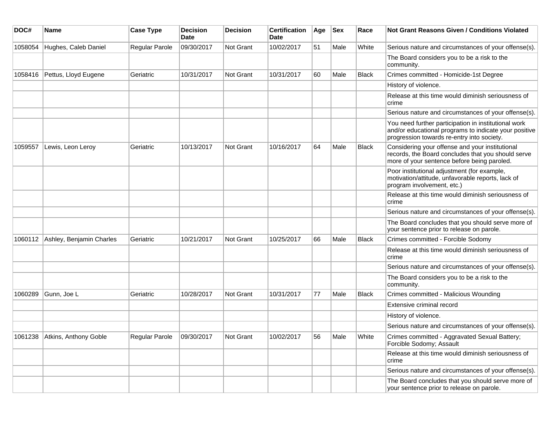| DOC#    | Name                          | <b>Case Type</b> | <b>Decision</b><br><b>Date</b> | <b>Decision</b>  | <b>Certification</b><br><b>Date</b> | Age | <b>Sex</b> | Race         | Not Grant Reasons Given / Conditions Violated                                                                                                               |
|---------|-------------------------------|------------------|--------------------------------|------------------|-------------------------------------|-----|------------|--------------|-------------------------------------------------------------------------------------------------------------------------------------------------------------|
| 1058054 | Hughes, Caleb Daniel          | Regular Parole   | 09/30/2017                     | Not Grant        | 10/02/2017                          | 51  | Male       | White        | Serious nature and circumstances of your offense(s).                                                                                                        |
|         |                               |                  |                                |                  |                                     |     |            |              | The Board considers you to be a risk to the<br>community.                                                                                                   |
| 1058416 | Pettus, Lloyd Eugene          | Geriatric        | 10/31/2017                     | <b>Not Grant</b> | 10/31/2017                          | 60  | Male       | <b>Black</b> | Crimes committed - Homicide-1st Degree                                                                                                                      |
|         |                               |                  |                                |                  |                                     |     |            |              | History of violence.                                                                                                                                        |
|         |                               |                  |                                |                  |                                     |     |            |              | Release at this time would diminish seriousness of<br>crime                                                                                                 |
|         |                               |                  |                                |                  |                                     |     |            |              | Serious nature and circumstances of your offense(s).                                                                                                        |
|         |                               |                  |                                |                  |                                     |     |            |              | You need further participation in institutional work<br>and/or educational programs to indicate your positive<br>progression towards re-entry into society. |
| 1059557 | Lewis, Leon Leroy             | Geriatric        | 10/13/2017                     | <b>Not Grant</b> | 10/16/2017                          | 64  | Male       | <b>Black</b> | Considering your offense and your institutional<br>records, the Board concludes that you should serve<br>more of your sentence before being paroled.        |
|         |                               |                  |                                |                  |                                     |     |            |              | Poor institutional adjustment (for example,<br>motivation/attitude, unfavorable reports, lack of<br>program involvement, etc.)                              |
|         |                               |                  |                                |                  |                                     |     |            |              | Release at this time would diminish seriousness of<br>crime                                                                                                 |
|         |                               |                  |                                |                  |                                     |     |            |              | Serious nature and circumstances of your offense(s).                                                                                                        |
|         |                               |                  |                                |                  |                                     |     |            |              | The Board concludes that you should serve more of<br>your sentence prior to release on parole.                                                              |
| 1060112 | Ashley, Benjamin Charles      | Geriatric        | 10/21/2017                     | Not Grant        | 10/25/2017                          | 66  | Male       | <b>Black</b> | Crimes committed - Forcible Sodomy                                                                                                                          |
|         |                               |                  |                                |                  |                                     |     |            |              | Release at this time would diminish seriousness of<br>crime                                                                                                 |
|         |                               |                  |                                |                  |                                     |     |            |              | Serious nature and circumstances of your offense(s).                                                                                                        |
|         |                               |                  |                                |                  |                                     |     |            |              | The Board considers you to be a risk to the<br>community.                                                                                                   |
| 1060289 | Gunn, Joe L                   | Geriatric        | 10/28/2017                     | <b>Not Grant</b> | 10/31/2017                          | 77  | Male       | Black        | Crimes committed - Malicious Wounding                                                                                                                       |
|         |                               |                  |                                |                  |                                     |     |            |              | Extensive criminal record                                                                                                                                   |
|         |                               |                  |                                |                  |                                     |     |            |              | History of violence.                                                                                                                                        |
|         |                               |                  |                                |                  |                                     |     |            |              | Serious nature and circumstances of your offense(s).                                                                                                        |
|         | 1061238 Atkins, Anthony Goble | Regular Parole   | 09/30/2017                     | Not Grant        | 10/02/2017                          | 56  | Male       | White        | Crimes committed - Aggravated Sexual Battery;<br>Forcible Sodomy; Assault                                                                                   |
|         |                               |                  |                                |                  |                                     |     |            |              | Release at this time would diminish seriousness of<br>crime                                                                                                 |
|         |                               |                  |                                |                  |                                     |     |            |              | Serious nature and circumstances of your offense(s).                                                                                                        |
|         |                               |                  |                                |                  |                                     |     |            |              | The Board concludes that you should serve more of<br>your sentence prior to release on parole.                                                              |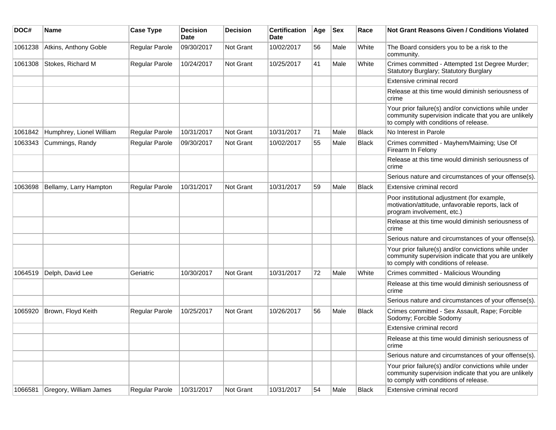| DOC#    | <b>Name</b>              | <b>Case Type</b> | <b>Decision</b><br>Date | <b>Decision</b>  | <b>Certification</b><br>Date | Age | <b>Sex</b> | Race         | Not Grant Reasons Given / Conditions Violated                                                                                                         |
|---------|--------------------------|------------------|-------------------------|------------------|------------------------------|-----|------------|--------------|-------------------------------------------------------------------------------------------------------------------------------------------------------|
| 1061238 | Atkins, Anthony Goble    | Regular Parole   | 09/30/2017              | Not Grant        | 10/02/2017                   | 56  | Male       | White        | The Board considers you to be a risk to the<br>community.                                                                                             |
| 1061308 | Stokes, Richard M        | Regular Parole   | 10/24/2017              | Not Grant        | 10/25/2017                   | 41  | Male       | White        | Crimes committed - Attempted 1st Degree Murder;<br>Statutory Burglary; Statutory Burglary                                                             |
|         |                          |                  |                         |                  |                              |     |            |              | Extensive criminal record                                                                                                                             |
|         |                          |                  |                         |                  |                              |     |            |              | Release at this time would diminish seriousness of<br>crime                                                                                           |
|         |                          |                  |                         |                  |                              |     |            |              | Your prior failure(s) and/or convictions while under<br>community supervision indicate that you are unlikely<br>to comply with conditions of release. |
| 1061842 | Humphrey, Lionel William | Regular Parole   | 10/31/2017              | Not Grant        | 10/31/2017                   | 71  | Male       | <b>Black</b> | No Interest in Parole                                                                                                                                 |
| 1063343 | Cummings, Randy          | Regular Parole   | 09/30/2017              | <b>Not Grant</b> | 10/02/2017                   | 55  | Male       | <b>Black</b> | Crimes committed - Mayhem/Maiming; Use Of<br>Firearm In Felony                                                                                        |
|         |                          |                  |                         |                  |                              |     |            |              | Release at this time would diminish seriousness of<br>crime                                                                                           |
|         |                          |                  |                         |                  |                              |     |            |              | Serious nature and circumstances of your offense(s).                                                                                                  |
| 1063698 | Bellamy, Larry Hampton   | Regular Parole   | 10/31/2017              | Not Grant        | 10/31/2017                   | 59  | Male       | <b>Black</b> | Extensive criminal record                                                                                                                             |
|         |                          |                  |                         |                  |                              |     |            |              | Poor institutional adjustment (for example,<br>motivation/attitude, unfavorable reports, lack of<br>program involvement, etc.)                        |
|         |                          |                  |                         |                  |                              |     |            |              | Release at this time would diminish seriousness of<br>crime                                                                                           |
|         |                          |                  |                         |                  |                              |     |            |              | Serious nature and circumstances of your offense(s).                                                                                                  |
|         |                          |                  |                         |                  |                              |     |            |              | Your prior failure(s) and/or convictions while under<br>community supervision indicate that you are unlikely<br>to comply with conditions of release. |
| 1064519 | Delph, David Lee         | Geriatric        | 10/30/2017              | Not Grant        | 10/31/2017                   | 72  | Male       | White        | Crimes committed - Malicious Wounding                                                                                                                 |
|         |                          |                  |                         |                  |                              |     |            |              | Release at this time would diminish seriousness of<br>crime                                                                                           |
|         |                          |                  |                         |                  |                              |     |            |              | Serious nature and circumstances of your offense(s).                                                                                                  |
| 1065920 | Brown, Floyd Keith       | Regular Parole   | 10/25/2017              | Not Grant        | 10/26/2017                   | 56  | Male       | Black        | Crimes committed - Sex Assault, Rape; Forcible<br>Sodomy; Forcible Sodomy                                                                             |
|         |                          |                  |                         |                  |                              |     |            |              | Extensive criminal record                                                                                                                             |
|         |                          |                  |                         |                  |                              |     |            |              | Release at this time would diminish seriousness of<br>crime                                                                                           |
|         |                          |                  |                         |                  |                              |     |            |              | Serious nature and circumstances of your offense(s).                                                                                                  |
|         |                          |                  |                         |                  |                              |     |            |              | Your prior failure(s) and/or convictions while under<br>community supervision indicate that you are unlikely<br>to comply with conditions of release. |
| 1066581 | Gregory, William James   | Regular Parole   | 10/31/2017              | Not Grant        | 10/31/2017                   | 54  | Male       | Black        | Extensive criminal record                                                                                                                             |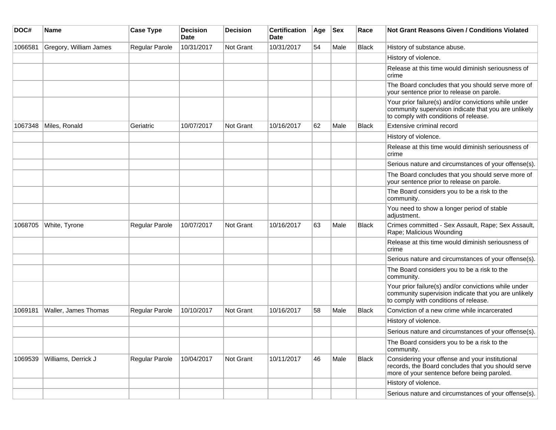| DOC#    | Name                   | <b>Case Type</b>      | <b>Decision</b><br>Date | <b>Decision</b>  | <b>Certification</b><br>Date | Age | <b>Sex</b> | Race         | <b>Not Grant Reasons Given / Conditions Violated</b>                                                                                                  |
|---------|------------------------|-----------------------|-------------------------|------------------|------------------------------|-----|------------|--------------|-------------------------------------------------------------------------------------------------------------------------------------------------------|
| 1066581 | Gregory, William James | <b>Regular Parole</b> | 10/31/2017              | Not Grant        | 10/31/2017                   | 54  | Male       | <b>Black</b> | History of substance abuse.                                                                                                                           |
|         |                        |                       |                         |                  |                              |     |            |              | History of violence.                                                                                                                                  |
|         |                        |                       |                         |                  |                              |     |            |              | Release at this time would diminish seriousness of<br>crime                                                                                           |
|         |                        |                       |                         |                  |                              |     |            |              | The Board concludes that you should serve more of<br>your sentence prior to release on parole.                                                        |
|         |                        |                       |                         |                  |                              |     |            |              | Your prior failure(s) and/or convictions while under<br>community supervision indicate that you are unlikely<br>to comply with conditions of release. |
| 1067348 | Miles, Ronald          | Geriatric             | 10/07/2017              | <b>Not Grant</b> | 10/16/2017                   | 62  | Male       | <b>Black</b> | Extensive criminal record                                                                                                                             |
|         |                        |                       |                         |                  |                              |     |            |              | History of violence.                                                                                                                                  |
|         |                        |                       |                         |                  |                              |     |            |              | Release at this time would diminish seriousness of<br>crime                                                                                           |
|         |                        |                       |                         |                  |                              |     |            |              | Serious nature and circumstances of your offense(s).                                                                                                  |
|         |                        |                       |                         |                  |                              |     |            |              | The Board concludes that you should serve more of<br>your sentence prior to release on parole.                                                        |
|         |                        |                       |                         |                  |                              |     |            |              | The Board considers you to be a risk to the<br>community.                                                                                             |
|         |                        |                       |                         |                  |                              |     |            |              | You need to show a longer period of stable<br>adjustment.                                                                                             |
| 1068705 | White, Tyrone          | Regular Parole        | 10/07/2017              | Not Grant        | 10/16/2017                   | 63  | Male       | <b>Black</b> | Crimes committed - Sex Assault, Rape; Sex Assault,<br>Rape; Malicious Wounding                                                                        |
|         |                        |                       |                         |                  |                              |     |            |              | Release at this time would diminish seriousness of<br>crime                                                                                           |
|         |                        |                       |                         |                  |                              |     |            |              | Serious nature and circumstances of your offense(s).                                                                                                  |
|         |                        |                       |                         |                  |                              |     |            |              | The Board considers you to be a risk to the<br>community.                                                                                             |
|         |                        |                       |                         |                  |                              |     |            |              | Your prior failure(s) and/or convictions while under<br>community supervision indicate that you are unlikely<br>to comply with conditions of release. |
| 1069181 | Waller, James Thomas   | Regular Parole        | 10/10/2017              | <b>Not Grant</b> | 10/16/2017                   | 58  | Male       | Black        | Conviction of a new crime while incarcerated                                                                                                          |
|         |                        |                       |                         |                  |                              |     |            |              | History of violence.                                                                                                                                  |
|         |                        |                       |                         |                  |                              |     |            |              | Serious nature and circumstances of your offense(s).                                                                                                  |
|         |                        |                       |                         |                  |                              |     |            |              | The Board considers you to be a risk to the<br>community.                                                                                             |
| 1069539 | Williams, Derrick J    | Regular Parole        | 10/04/2017              | Not Grant        | 10/11/2017                   | 46  | Male       | <b>Black</b> | Considering your offense and your institutional<br>records, the Board concludes that you should serve<br>more of your sentence before being paroled.  |
|         |                        |                       |                         |                  |                              |     |            |              | History of violence.                                                                                                                                  |
|         |                        |                       |                         |                  |                              |     |            |              | Serious nature and circumstances of your offense(s).                                                                                                  |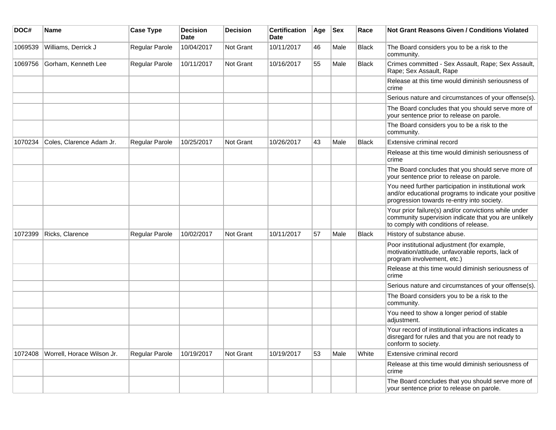| DOC#    | Name                       | <b>Case Type</b> | <b>Decision</b><br><b>Date</b> | <b>Decision</b> | <b>Certification</b><br><b>Date</b> | Age | <b>Sex</b> | Race         | <b>Not Grant Reasons Given / Conditions Violated</b>                                                                                                        |
|---------|----------------------------|------------------|--------------------------------|-----------------|-------------------------------------|-----|------------|--------------|-------------------------------------------------------------------------------------------------------------------------------------------------------------|
| 1069539 | Williams, Derrick J        | Regular Parole   | 10/04/2017                     | Not Grant       | 10/11/2017                          | 46  | Male       | <b>Black</b> | The Board considers you to be a risk to the<br>community.                                                                                                   |
| 1069756 | Gorham, Kenneth Lee        | Regular Parole   | 10/11/2017                     | Not Grant       | 10/16/2017                          | 55  | Male       | <b>Black</b> | Crimes committed - Sex Assault, Rape; Sex Assault,<br>Rape; Sex Assault, Rape                                                                               |
|         |                            |                  |                                |                 |                                     |     |            |              | Release at this time would diminish seriousness of<br>crime                                                                                                 |
|         |                            |                  |                                |                 |                                     |     |            |              | Serious nature and circumstances of your offense(s).                                                                                                        |
|         |                            |                  |                                |                 |                                     |     |            |              | The Board concludes that you should serve more of<br>your sentence prior to release on parole.                                                              |
|         |                            |                  |                                |                 |                                     |     |            |              | The Board considers you to be a risk to the<br>community.                                                                                                   |
| 1070234 | Coles, Clarence Adam Jr.   | Regular Parole   | 10/25/2017                     | Not Grant       | 10/26/2017                          | 43  | Male       | Black        | Extensive criminal record                                                                                                                                   |
|         |                            |                  |                                |                 |                                     |     |            |              | Release at this time would diminish seriousness of<br>crime                                                                                                 |
|         |                            |                  |                                |                 |                                     |     |            |              | The Board concludes that you should serve more of<br>your sentence prior to release on parole.                                                              |
|         |                            |                  |                                |                 |                                     |     |            |              | You need further participation in institutional work<br>and/or educational programs to indicate your positive<br>progression towards re-entry into society. |
|         |                            |                  |                                |                 |                                     |     |            |              | Your prior failure(s) and/or convictions while under<br>community supervision indicate that you are unlikely<br>to comply with conditions of release.       |
| 1072399 | Ricks, Clarence            | Regular Parole   | 10/02/2017                     | Not Grant       | 10/11/2017                          | 57  | Male       | Black        | History of substance abuse.                                                                                                                                 |
|         |                            |                  |                                |                 |                                     |     |            |              | Poor institutional adjustment (for example,<br>motivation/attitude, unfavorable reports, lack of<br>program involvement, etc.)                              |
|         |                            |                  |                                |                 |                                     |     |            |              | Release at this time would diminish seriousness of<br>crime                                                                                                 |
|         |                            |                  |                                |                 |                                     |     |            |              | Serious nature and circumstances of your offense(s).                                                                                                        |
|         |                            |                  |                                |                 |                                     |     |            |              | The Board considers you to be a risk to the<br>community.                                                                                                   |
|         |                            |                  |                                |                 |                                     |     |            |              | You need to show a longer period of stable<br>adjustment.                                                                                                   |
|         |                            |                  |                                |                 |                                     |     |            |              | Your record of institutional infractions indicates a<br>disregard for rules and that you are not ready to<br>conform to society.                            |
| 1072408 | Worrell, Horace Wilson Jr. | Regular Parole   | 10/19/2017                     | Not Grant       | 10/19/2017                          | 53  | Male       | White        | Extensive criminal record                                                                                                                                   |
|         |                            |                  |                                |                 |                                     |     |            |              | Release at this time would diminish seriousness of<br>crime                                                                                                 |
|         |                            |                  |                                |                 |                                     |     |            |              | The Board concludes that you should serve more of<br>your sentence prior to release on parole.                                                              |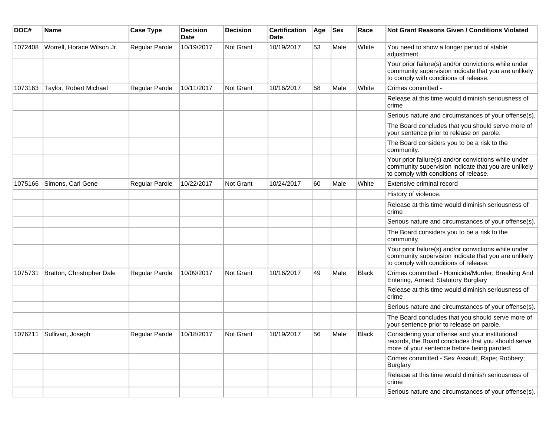| DOC#    | Name                       | <b>Case Type</b> | <b>Decision</b><br>Date | <b>Decision</b>  | <b>Certification</b><br>Date | Age | <b>Sex</b> | Race         | <b>Not Grant Reasons Given / Conditions Violated</b>                                                                                                  |
|---------|----------------------------|------------------|-------------------------|------------------|------------------------------|-----|------------|--------------|-------------------------------------------------------------------------------------------------------------------------------------------------------|
| 1072408 | Worrell, Horace Wilson Jr. | Regular Parole   | 10/19/2017              | Not Grant        | 10/19/2017                   | 53  | Male       | White        | You need to show a longer period of stable<br>adjustment.                                                                                             |
|         |                            |                  |                         |                  |                              |     |            |              | Your prior failure(s) and/or convictions while under<br>community supervision indicate that you are unlikely<br>to comply with conditions of release. |
| 1073163 | Taylor, Robert Michael     | Regular Parole   | 10/11/2017              | <b>Not Grant</b> | 10/16/2017                   | 58  | Male       | White        | Crimes committed -                                                                                                                                    |
|         |                            |                  |                         |                  |                              |     |            |              | Release at this time would diminish seriousness of<br>crime                                                                                           |
|         |                            |                  |                         |                  |                              |     |            |              | Serious nature and circumstances of your offense(s).                                                                                                  |
|         |                            |                  |                         |                  |                              |     |            |              | The Board concludes that you should serve more of<br>your sentence prior to release on parole.                                                        |
|         |                            |                  |                         |                  |                              |     |            |              | The Board considers you to be a risk to the<br>community.                                                                                             |
|         |                            |                  |                         |                  |                              |     |            |              | Your prior failure(s) and/or convictions while under<br>community supervision indicate that you are unlikely<br>to comply with conditions of release. |
| 1075166 | Simons, Carl Gene          | Regular Parole   | 10/22/2017              | <b>Not Grant</b> | 10/24/2017                   | 60  | Male       | White        | Extensive criminal record                                                                                                                             |
|         |                            |                  |                         |                  |                              |     |            |              | History of violence.                                                                                                                                  |
|         |                            |                  |                         |                  |                              |     |            |              | Release at this time would diminish seriousness of<br>crime                                                                                           |
|         |                            |                  |                         |                  |                              |     |            |              | Serious nature and circumstances of your offense(s).                                                                                                  |
|         |                            |                  |                         |                  |                              |     |            |              | The Board considers you to be a risk to the<br>community.                                                                                             |
|         |                            |                  |                         |                  |                              |     |            |              | Your prior failure(s) and/or convictions while under<br>community supervision indicate that you are unlikely<br>to comply with conditions of release. |
| 1075731 | Bratton, Christopher Dale  | Regular Parole   | 10/09/2017              | <b>Not Grant</b> | 10/16/2017                   | 49  | Male       | Black        | Crimes committed - Homicide/Murder; Breaking And<br>Entering, Armed; Statutory Burglary                                                               |
|         |                            |                  |                         |                  |                              |     |            |              | Release at this time would diminish seriousness of<br>crime                                                                                           |
|         |                            |                  |                         |                  |                              |     |            |              | Serious nature and circumstances of your offense(s).                                                                                                  |
|         |                            |                  |                         |                  |                              |     |            |              | The Board concludes that you should serve more of<br>your sentence prior to release on parole.                                                        |
| 1076211 | Sullivan, Joseph           | Regular Parole   | 10/18/2017              | <b>Not Grant</b> | 10/19/2017                   | 56  | Male       | <b>Black</b> | Considering your offense and your institutional<br>records, the Board concludes that you should serve<br>more of your sentence before being paroled.  |
|         |                            |                  |                         |                  |                              |     |            |              | Crimes committed - Sex Assault, Rape; Robbery;<br><b>Burglary</b>                                                                                     |
|         |                            |                  |                         |                  |                              |     |            |              | Release at this time would diminish seriousness of<br>crime                                                                                           |
|         |                            |                  |                         |                  |                              |     |            |              | Serious nature and circumstances of your offense(s).                                                                                                  |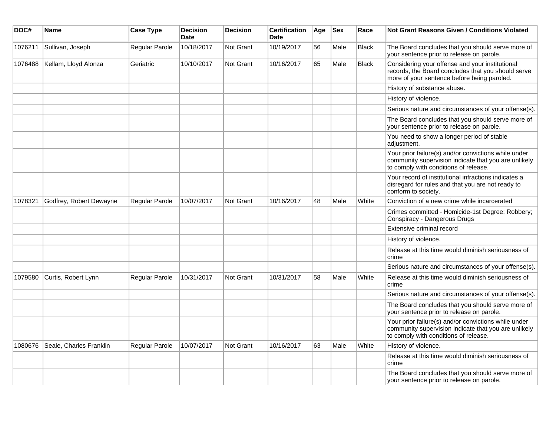| DOC#    | <b>Name</b>             | <b>Case Type</b> | <b>Decision</b><br><b>Date</b> | <b>Decision</b>  | <b>Certification</b><br>Date | Age | <b>Sex</b> | Race         | <b>Not Grant Reasons Given / Conditions Violated</b>                                                                                                  |
|---------|-------------------------|------------------|--------------------------------|------------------|------------------------------|-----|------------|--------------|-------------------------------------------------------------------------------------------------------------------------------------------------------|
| 1076211 | Sullivan, Joseph        | Regular Parole   | 10/18/2017                     | Not Grant        | 10/19/2017                   | 56  | Male       | Black        | The Board concludes that you should serve more of<br>your sentence prior to release on parole.                                                        |
| 1076488 | Kellam, Lloyd Alonza    | Geriatric        | 10/10/2017                     | <b>Not Grant</b> | 10/16/2017                   | 65  | Male       | <b>Black</b> | Considering your offense and your institutional<br>records, the Board concludes that you should serve<br>more of your sentence before being paroled.  |
|         |                         |                  |                                |                  |                              |     |            |              | History of substance abuse.                                                                                                                           |
|         |                         |                  |                                |                  |                              |     |            |              | History of violence.                                                                                                                                  |
|         |                         |                  |                                |                  |                              |     |            |              | Serious nature and circumstances of your offense(s).                                                                                                  |
|         |                         |                  |                                |                  |                              |     |            |              | The Board concludes that you should serve more of<br>your sentence prior to release on parole.                                                        |
|         |                         |                  |                                |                  |                              |     |            |              | You need to show a longer period of stable<br>adjustment.                                                                                             |
|         |                         |                  |                                |                  |                              |     |            |              | Your prior failure(s) and/or convictions while under<br>community supervision indicate that you are unlikely<br>to comply with conditions of release. |
|         |                         |                  |                                |                  |                              |     |            |              | Your record of institutional infractions indicates a<br>disregard for rules and that you are not ready to<br>conform to society.                      |
| 1078321 | Godfrey, Robert Dewayne | Regular Parole   | 10/07/2017                     | <b>Not Grant</b> | 10/16/2017                   | 48  | Male       | White        | Conviction of a new crime while incarcerated                                                                                                          |
|         |                         |                  |                                |                  |                              |     |            |              | Crimes committed - Homicide-1st Degree; Robbery;<br>Conspiracy - Dangerous Drugs                                                                      |
|         |                         |                  |                                |                  |                              |     |            |              | Extensive criminal record                                                                                                                             |
|         |                         |                  |                                |                  |                              |     |            |              | History of violence.                                                                                                                                  |
|         |                         |                  |                                |                  |                              |     |            |              | Release at this time would diminish seriousness of<br>crime                                                                                           |
|         |                         |                  |                                |                  |                              |     |            |              | Serious nature and circumstances of your offense(s).                                                                                                  |
| 1079580 | Curtis, Robert Lynn     | Regular Parole   | 10/31/2017                     | <b>Not Grant</b> | 10/31/2017                   | 58  | Male       | White        | Release at this time would diminish seriousness of<br>crime                                                                                           |
|         |                         |                  |                                |                  |                              |     |            |              | Serious nature and circumstances of your offense(s).                                                                                                  |
|         |                         |                  |                                |                  |                              |     |            |              | The Board concludes that you should serve more of<br>your sentence prior to release on parole.                                                        |
|         |                         |                  |                                |                  |                              |     |            |              | Your prior failure(s) and/or convictions while under<br>community supervision indicate that you are unlikely<br>to comply with conditions of release. |
| 1080676 | Seale, Charles Franklin | Regular Parole   | 10/07/2017                     | <b>Not Grant</b> | 10/16/2017                   | 63  | Male       | White        | History of violence.                                                                                                                                  |
|         |                         |                  |                                |                  |                              |     |            |              | Release at this time would diminish seriousness of<br>crime                                                                                           |
|         |                         |                  |                                |                  |                              |     |            |              | The Board concludes that you should serve more of<br>your sentence prior to release on parole.                                                        |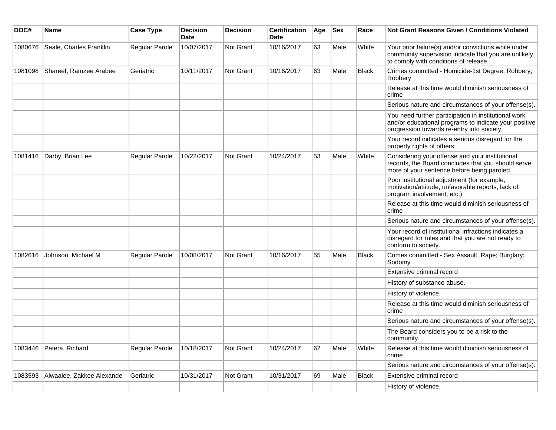| DOC#    | Name                      | <b>Case Type</b> | <b>Decision</b><br><b>Date</b> | <b>Decision</b> | <b>Certification</b><br><b>Date</b> | Age | <b>Sex</b> | Race         | <b>Not Grant Reasons Given / Conditions Violated</b>                                                                                                        |
|---------|---------------------------|------------------|--------------------------------|-----------------|-------------------------------------|-----|------------|--------------|-------------------------------------------------------------------------------------------------------------------------------------------------------------|
| 1080676 | Seale, Charles Franklin   | Regular Parole   | 10/07/2017                     | Not Grant       | 10/16/2017                          | 63  | Male       | White        | Your prior failure(s) and/or convictions while under<br>community supervision indicate that you are unlikely<br>to comply with conditions of release.       |
| 1081098 | Shareef, Ramzee Arabee    | Geriatric        | 10/11/2017                     | Not Grant       | 10/16/2017                          | 63  | Male       | <b>Black</b> | Crimes committed - Homicide-1st Degree; Robbery;<br>Robbery                                                                                                 |
|         |                           |                  |                                |                 |                                     |     |            |              | Release at this time would diminish seriousness of<br>crime                                                                                                 |
|         |                           |                  |                                |                 |                                     |     |            |              | Serious nature and circumstances of your offense(s).                                                                                                        |
|         |                           |                  |                                |                 |                                     |     |            |              | You need further participation in institutional work<br>and/or educational programs to indicate your positive<br>progression towards re-entry into society. |
|         |                           |                  |                                |                 |                                     |     |            |              | Your record indicates a serious disregard for the<br>property rights of others.                                                                             |
| 1081416 | Darby, Brian Lee          | Regular Parole   | 10/22/2017                     | Not Grant       | 10/24/2017                          | 53  | Male       | White        | Considering your offense and your institutional<br>records, the Board concludes that you should serve<br>more of your sentence before being paroled.        |
|         |                           |                  |                                |                 |                                     |     |            |              | Poor institutional adjustment (for example,<br>motivation/attitude, unfavorable reports, lack of<br>program involvement, etc.)                              |
|         |                           |                  |                                |                 |                                     |     |            |              | Release at this time would diminish seriousness of<br>crime                                                                                                 |
|         |                           |                  |                                |                 |                                     |     |            |              | Serious nature and circumstances of your offense(s).                                                                                                        |
|         |                           |                  |                                |                 |                                     |     |            |              | Your record of institutional infractions indicates a<br>disregard for rules and that you are not ready to<br>conform to society.                            |
| 1082616 | Johnson, Michael M        | Regular Parole   | 10/08/2017                     | Not Grant       | 10/16/2017                          | 55  | Male       | <b>Black</b> | Crimes committed - Sex Assault, Rape; Burglary;<br>Sodomv                                                                                                   |
|         |                           |                  |                                |                 |                                     |     |            |              | Extensive criminal record                                                                                                                                   |
|         |                           |                  |                                |                 |                                     |     |            |              | History of substance abuse.                                                                                                                                 |
|         |                           |                  |                                |                 |                                     |     |            |              | History of violence.                                                                                                                                        |
|         |                           |                  |                                |                 |                                     |     |            |              | Release at this time would diminish seriousness of<br>crime                                                                                                 |
|         |                           |                  |                                |                 |                                     |     |            |              | Serious nature and circumstances of your offense(s).                                                                                                        |
|         |                           |                  |                                |                 |                                     |     |            |              | The Board considers you to be a risk to the<br>community.                                                                                                   |
| 1083446 | Patera, Richard           | Regular Parole   | 10/18/2017                     | Not Grant       | 10/24/2017                          | 62  | Male       | White        | Release at this time would diminish seriousness of<br>crime                                                                                                 |
|         |                           |                  |                                |                 |                                     |     |            |              | Serious nature and circumstances of your offense(s).                                                                                                        |
| 1083593 | Alwaalee, Zakkee Alexande | Geriatric        | 10/31/2017                     | Not Grant       | 10/31/2017                          | 69  | Male       | <b>Black</b> | Extensive criminal record                                                                                                                                   |
|         |                           |                  |                                |                 |                                     |     |            |              | History of violence.                                                                                                                                        |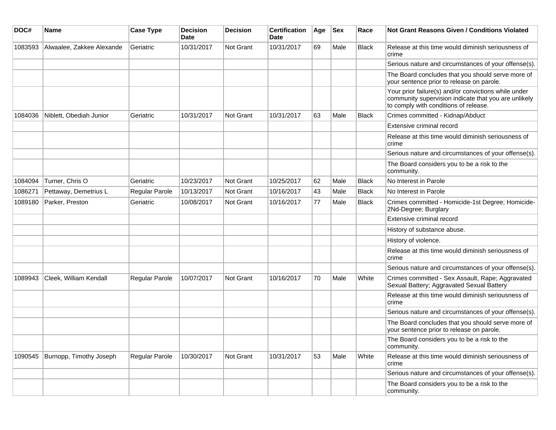| DOC#    | <b>Name</b>               | <b>Case Type</b> | <b>Decision</b><br><b>Date</b> | <b>Decision</b>  | <b>Certification</b><br>Date | Age | <b>Sex</b> | Race         | <b>Not Grant Reasons Given / Conditions Violated</b>                                                                                                  |
|---------|---------------------------|------------------|--------------------------------|------------------|------------------------------|-----|------------|--------------|-------------------------------------------------------------------------------------------------------------------------------------------------------|
| 1083593 | Alwaalee, Zakkee Alexande | Geriatric        | 10/31/2017                     | <b>Not Grant</b> | 10/31/2017                   | 69  | Male       | Black        | Release at this time would diminish seriousness of<br>crime                                                                                           |
|         |                           |                  |                                |                  |                              |     |            |              | Serious nature and circumstances of your offense(s).                                                                                                  |
|         |                           |                  |                                |                  |                              |     |            |              | The Board concludes that you should serve more of<br>your sentence prior to release on parole.                                                        |
|         |                           |                  |                                |                  |                              |     |            |              | Your prior failure(s) and/or convictions while under<br>community supervision indicate that you are unlikely<br>to comply with conditions of release. |
| 1084036 | Niblett, Obediah Junior   | Geriatric        | 10/31/2017                     | <b>Not Grant</b> | 10/31/2017                   | 63  | Male       | <b>Black</b> | Crimes committed - Kidnap/Abduct                                                                                                                      |
|         |                           |                  |                                |                  |                              |     |            |              | Extensive criminal record                                                                                                                             |
|         |                           |                  |                                |                  |                              |     |            |              | Release at this time would diminish seriousness of<br>crime                                                                                           |
|         |                           |                  |                                |                  |                              |     |            |              | Serious nature and circumstances of your offense(s).                                                                                                  |
|         |                           |                  |                                |                  |                              |     |            |              | The Board considers you to be a risk to the<br>community.                                                                                             |
| 1084094 | Turner, Chris O           | Geriatric        | 10/23/2017                     | Not Grant        | 10/25/2017                   | 62  | Male       | <b>Black</b> | No Interest in Parole                                                                                                                                 |
| 1086271 | Pettaway, Demetrius L     | Regular Parole   | 10/13/2017                     | Not Grant        | 10/16/2017                   | 43  | Male       | <b>Black</b> | No Interest in Parole                                                                                                                                 |
| 1089180 | Parker, Preston           | Geriatric        | 10/08/2017                     | <b>Not Grant</b> | 10/16/2017                   | 77  | Male       | Black        | Crimes committed - Homicide-1st Degree; Homicide-<br>2Nd-Degree; Burglary                                                                             |
|         |                           |                  |                                |                  |                              |     |            |              | Extensive criminal record                                                                                                                             |
|         |                           |                  |                                |                  |                              |     |            |              | History of substance abuse.                                                                                                                           |
|         |                           |                  |                                |                  |                              |     |            |              | History of violence.                                                                                                                                  |
|         |                           |                  |                                |                  |                              |     |            |              | Release at this time would diminish seriousness of<br>crime                                                                                           |
|         |                           |                  |                                |                  |                              |     |            |              | Serious nature and circumstances of your offense(s).                                                                                                  |
| 1089943 | Cleek, William Kendall    | Regular Parole   | 10/07/2017                     | <b>Not Grant</b> | 10/16/2017                   | 70  | Male       | White        | Crimes committed - Sex Assault, Rape; Aggravated<br>Sexual Battery; Aggravated Sexual Battery                                                         |
|         |                           |                  |                                |                  |                              |     |            |              | Release at this time would diminish seriousness of<br>crime                                                                                           |
|         |                           |                  |                                |                  |                              |     |            |              | Serious nature and circumstances of your offense(s).                                                                                                  |
|         |                           |                  |                                |                  |                              |     |            |              | The Board concludes that you should serve more of<br>your sentence prior to release on parole.                                                        |
|         |                           |                  |                                |                  |                              |     |            |              | The Board considers you to be a risk to the<br>community.                                                                                             |
| 1090545 | Burnopp, Timothy Joseph   | Regular Parole   | 10/30/2017                     | Not Grant        | 10/31/2017                   | 53  | Male       | White        | Release at this time would diminish seriousness of<br>crime                                                                                           |
|         |                           |                  |                                |                  |                              |     |            |              | Serious nature and circumstances of your offense(s).                                                                                                  |
|         |                           |                  |                                |                  |                              |     |            |              | The Board considers you to be a risk to the<br>community.                                                                                             |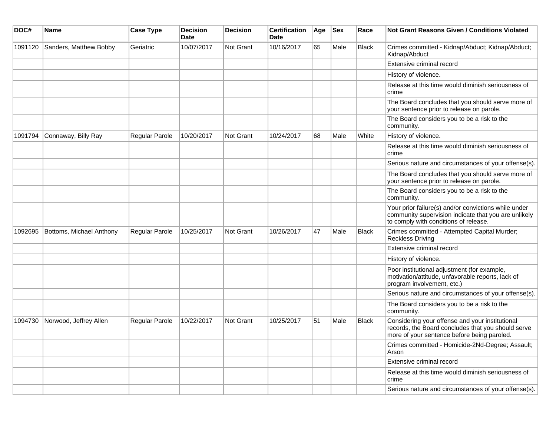| DOC#    | <b>Name</b>              | <b>Case Type</b>      | <b>Decision</b><br><b>Date</b> | <b>Decision</b>  | <b>Certification</b><br>Date | Age | <b>Sex</b> | Race         | <b>Not Grant Reasons Given / Conditions Violated</b>                                                                                                  |
|---------|--------------------------|-----------------------|--------------------------------|------------------|------------------------------|-----|------------|--------------|-------------------------------------------------------------------------------------------------------------------------------------------------------|
| 1091120 | Sanders, Matthew Bobby   | Geriatric             | 10/07/2017                     | <b>Not Grant</b> | 10/16/2017                   | 65  | Male       | <b>Black</b> | Crimes committed - Kidnap/Abduct; Kidnap/Abduct;<br>Kidnap/Abduct                                                                                     |
|         |                          |                       |                                |                  |                              |     |            |              | Extensive criminal record                                                                                                                             |
|         |                          |                       |                                |                  |                              |     |            |              | History of violence.                                                                                                                                  |
|         |                          |                       |                                |                  |                              |     |            |              | Release at this time would diminish seriousness of<br>crime                                                                                           |
|         |                          |                       |                                |                  |                              |     |            |              | The Board concludes that you should serve more of<br>your sentence prior to release on parole.                                                        |
|         |                          |                       |                                |                  |                              |     |            |              | The Board considers you to be a risk to the<br>community.                                                                                             |
| 1091794 | Connaway, Billy Ray      | <b>Regular Parole</b> | 10/20/2017                     | <b>Not Grant</b> | 10/24/2017                   | 68  | Male       | White        | History of violence.                                                                                                                                  |
|         |                          |                       |                                |                  |                              |     |            |              | Release at this time would diminish seriousness of<br>crime                                                                                           |
|         |                          |                       |                                |                  |                              |     |            |              | Serious nature and circumstances of your offense(s).                                                                                                  |
|         |                          |                       |                                |                  |                              |     |            |              | The Board concludes that you should serve more of<br>your sentence prior to release on parole.                                                        |
|         |                          |                       |                                |                  |                              |     |            |              | The Board considers you to be a risk to the<br>community.                                                                                             |
|         |                          |                       |                                |                  |                              |     |            |              | Your prior failure(s) and/or convictions while under<br>community supervision indicate that you are unlikely<br>to comply with conditions of release. |
| 1092695 | Bottoms, Michael Anthony | Regular Parole        | 10/25/2017                     | Not Grant        | 10/26/2017                   | 47  | Male       | <b>Black</b> | Crimes committed - Attempted Capital Murder;<br><b>Reckless Driving</b>                                                                               |
|         |                          |                       |                                |                  |                              |     |            |              | Extensive criminal record                                                                                                                             |
|         |                          |                       |                                |                  |                              |     |            |              | History of violence.                                                                                                                                  |
|         |                          |                       |                                |                  |                              |     |            |              | Poor institutional adjustment (for example,<br>motivation/attitude, unfavorable reports, lack of<br>program involvement, etc.)                        |
|         |                          |                       |                                |                  |                              |     |            |              | Serious nature and circumstances of your offense(s).                                                                                                  |
|         |                          |                       |                                |                  |                              |     |            |              | The Board considers you to be a risk to the<br>community.                                                                                             |
| 1094730 | Norwood, Jeffrey Allen   | Regular Parole        | 10/22/2017                     | <b>Not Grant</b> | 10/25/2017                   | 51  | Male       | Black        | Considering your offense and your institutional<br>records, the Board concludes that you should serve<br>more of your sentence before being paroled.  |
|         |                          |                       |                                |                  |                              |     |            |              | Crimes committed - Homicide-2Nd-Degree; Assault;<br>Arson                                                                                             |
|         |                          |                       |                                |                  |                              |     |            |              | Extensive criminal record                                                                                                                             |
|         |                          |                       |                                |                  |                              |     |            |              | Release at this time would diminish seriousness of<br>crime                                                                                           |
|         |                          |                       |                                |                  |                              |     |            |              | Serious nature and circumstances of your offense(s).                                                                                                  |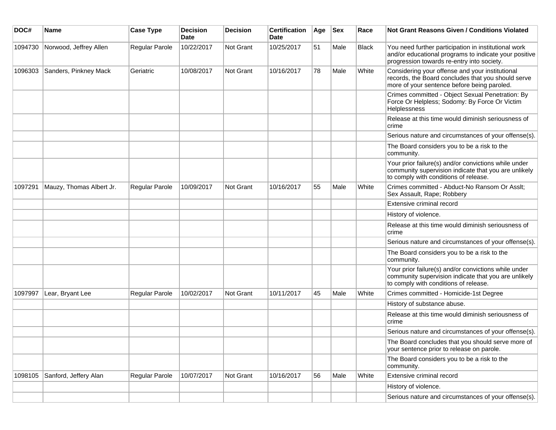| DOC#    | <b>Name</b>              | <b>Case Type</b> | <b>Decision</b><br><b>Date</b> | <b>Decision</b>  | <b>Certification</b><br>Date | Age | <b>Sex</b> | Race  | <b>Not Grant Reasons Given / Conditions Violated</b>                                                                                                        |
|---------|--------------------------|------------------|--------------------------------|------------------|------------------------------|-----|------------|-------|-------------------------------------------------------------------------------------------------------------------------------------------------------------|
| 1094730 | Norwood, Jeffrey Allen   | Regular Parole   | 10/22/2017                     | Not Grant        | 10/25/2017                   | 51  | Male       | Black | You need further participation in institutional work<br>and/or educational programs to indicate your positive<br>progression towards re-entry into society. |
| 1096303 | Sanders, Pinkney Mack    | Geriatric        | 10/08/2017                     | Not Grant        | 10/16/2017                   | 78  | Male       | White | Considering your offense and your institutional<br>records, the Board concludes that you should serve<br>more of your sentence before being paroled.        |
|         |                          |                  |                                |                  |                              |     |            |       | Crimes committed - Object Sexual Penetration: By<br>Force Or Helpless; Sodomy: By Force Or Victim<br>Helplessness                                           |
|         |                          |                  |                                |                  |                              |     |            |       | Release at this time would diminish seriousness of<br>crime                                                                                                 |
|         |                          |                  |                                |                  |                              |     |            |       | Serious nature and circumstances of your offense(s).                                                                                                        |
|         |                          |                  |                                |                  |                              |     |            |       | The Board considers you to be a risk to the<br>community.                                                                                                   |
|         |                          |                  |                                |                  |                              |     |            |       | Your prior failure(s) and/or convictions while under<br>community supervision indicate that you are unlikely<br>to comply with conditions of release.       |
| 1097291 | Mauzy, Thomas Albert Jr. | Regular Parole   | 10/09/2017                     | <b>Not Grant</b> | 10/16/2017                   | 55  | Male       | White | Crimes committed - Abduct-No Ransom Or Asslt;<br>Sex Assault, Rape; Robbery                                                                                 |
|         |                          |                  |                                |                  |                              |     |            |       | Extensive criminal record                                                                                                                                   |
|         |                          |                  |                                |                  |                              |     |            |       | History of violence.                                                                                                                                        |
|         |                          |                  |                                |                  |                              |     |            |       | Release at this time would diminish seriousness of<br>crime                                                                                                 |
|         |                          |                  |                                |                  |                              |     |            |       | Serious nature and circumstances of your offense(s).                                                                                                        |
|         |                          |                  |                                |                  |                              |     |            |       | The Board considers you to be a risk to the<br>community.                                                                                                   |
|         |                          |                  |                                |                  |                              |     |            |       | Your prior failure(s) and/or convictions while under<br>community supervision indicate that you are unlikely<br>to comply with conditions of release.       |
| 1097997 | Lear, Bryant Lee         | Regular Parole   | 10/02/2017                     | <b>Not Grant</b> | 10/11/2017                   | 45  | Male       | White | Crimes committed - Homicide-1st Degree                                                                                                                      |
|         |                          |                  |                                |                  |                              |     |            |       | History of substance abuse.                                                                                                                                 |
|         |                          |                  |                                |                  |                              |     |            |       | Release at this time would diminish seriousness of<br>crime                                                                                                 |
|         |                          |                  |                                |                  |                              |     |            |       | Serious nature and circumstances of your offense(s).                                                                                                        |
|         |                          |                  |                                |                  |                              |     |            |       | The Board concludes that you should serve more of<br>your sentence prior to release on parole.                                                              |
|         |                          |                  |                                |                  |                              |     |            |       | The Board considers you to be a risk to the<br>community.                                                                                                   |
| 1098105 | Sanford, Jeffery Alan    | Regular Parole   | 10/07/2017                     | Not Grant        | 10/16/2017                   | 56  | Male       | White | Extensive criminal record                                                                                                                                   |
|         |                          |                  |                                |                  |                              |     |            |       | History of violence.                                                                                                                                        |
|         |                          |                  |                                |                  |                              |     |            |       | Serious nature and circumstances of your offense(s).                                                                                                        |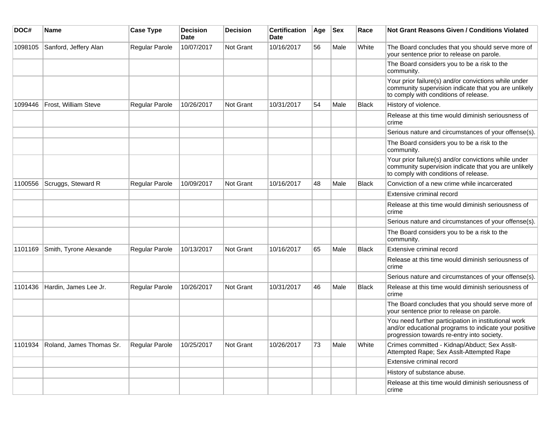| DOC#    | <b>Name</b>              | <b>Case Type</b> | <b>Decision</b><br><b>Date</b> | <b>Decision</b> | <b>Certification</b><br>Date | Age | $ $ Sex | Race         | Not Grant Reasons Given / Conditions Violated                                                                                                               |
|---------|--------------------------|------------------|--------------------------------|-----------------|------------------------------|-----|---------|--------------|-------------------------------------------------------------------------------------------------------------------------------------------------------------|
| 1098105 | Sanford, Jeffery Alan    | Regular Parole   | 10/07/2017                     | Not Grant       | 10/16/2017                   | 56  | Male    | White        | The Board concludes that you should serve more of<br>your sentence prior to release on parole.                                                              |
|         |                          |                  |                                |                 |                              |     |         |              | The Board considers you to be a risk to the<br>community.                                                                                                   |
|         |                          |                  |                                |                 |                              |     |         |              | Your prior failure(s) and/or convictions while under<br>community supervision indicate that you are unlikely<br>to comply with conditions of release.       |
| 1099446 | Frost, William Steve     | Regular Parole   | 10/26/2017                     | Not Grant       | 10/31/2017                   | 54  | Male    | <b>Black</b> | History of violence.                                                                                                                                        |
|         |                          |                  |                                |                 |                              |     |         |              | Release at this time would diminish seriousness of<br>crime                                                                                                 |
|         |                          |                  |                                |                 |                              |     |         |              | Serious nature and circumstances of your offense(s).                                                                                                        |
|         |                          |                  |                                |                 |                              |     |         |              | The Board considers you to be a risk to the<br>community.                                                                                                   |
|         |                          |                  |                                |                 |                              |     |         |              | Your prior failure(s) and/or convictions while under<br>community supervision indicate that you are unlikely<br>to comply with conditions of release.       |
| 1100556 | Scruggs, Steward R       | Regular Parole   | 10/09/2017                     | Not Grant       | 10/16/2017                   | 48  | Male    | <b>Black</b> | Conviction of a new crime while incarcerated                                                                                                                |
|         |                          |                  |                                |                 |                              |     |         |              | Extensive criminal record                                                                                                                                   |
|         |                          |                  |                                |                 |                              |     |         |              | Release at this time would diminish seriousness of<br>crime                                                                                                 |
|         |                          |                  |                                |                 |                              |     |         |              | Serious nature and circumstances of your offense(s).                                                                                                        |
|         |                          |                  |                                |                 |                              |     |         |              | The Board considers you to be a risk to the<br>community.                                                                                                   |
| 1101169 | Smith, Tyrone Alexande   | Regular Parole   | 10/13/2017                     | Not Grant       | 10/16/2017                   | 65  | Male    | Black        | Extensive criminal record                                                                                                                                   |
|         |                          |                  |                                |                 |                              |     |         |              | Release at this time would diminish seriousness of<br>crime                                                                                                 |
|         |                          |                  |                                |                 |                              |     |         |              | Serious nature and circumstances of your offense(s).                                                                                                        |
| 1101436 | Hardin, James Lee Jr.    | Regular Parole   | 10/26/2017                     | Not Grant       | 10/31/2017                   | 46  | Male    | <b>Black</b> | Release at this time would diminish seriousness of<br>crime                                                                                                 |
|         |                          |                  |                                |                 |                              |     |         |              | The Board concludes that you should serve more of<br>your sentence prior to release on parole.                                                              |
|         |                          |                  |                                |                 |                              |     |         |              | You need further participation in institutional work<br>and/or educational programs to indicate your positive<br>progression towards re-entry into society. |
| 1101934 | Roland, James Thomas Sr. | Regular Parole   | 10/25/2017                     | Not Grant       | 10/26/2017                   | 73  | Male    | White        | Crimes committed - Kidnap/Abduct; Sex Asslt-<br>Attempted Rape; Sex Asslt-Attempted Rape                                                                    |
|         |                          |                  |                                |                 |                              |     |         |              | Extensive criminal record                                                                                                                                   |
|         |                          |                  |                                |                 |                              |     |         |              | History of substance abuse.                                                                                                                                 |
|         |                          |                  |                                |                 |                              |     |         |              | Release at this time would diminish seriousness of<br>crime                                                                                                 |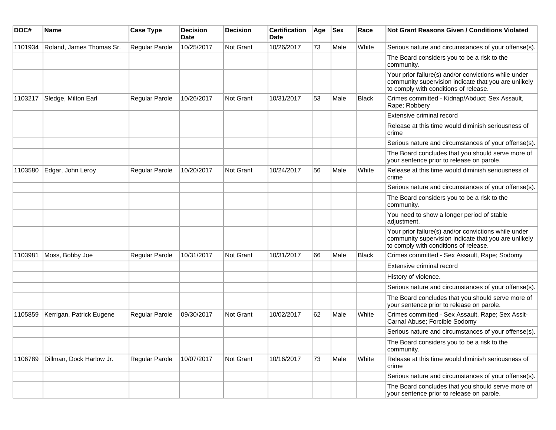| DOC#    | <b>Name</b>              | <b>Case Type</b> | <b>Decision</b><br><b>Date</b> | <b>Decision</b>  | <b>Certification</b><br>Date | Age | <b>Sex</b> | Race         | Not Grant Reasons Given / Conditions Violated                                                                                                         |
|---------|--------------------------|------------------|--------------------------------|------------------|------------------------------|-----|------------|--------------|-------------------------------------------------------------------------------------------------------------------------------------------------------|
| 1101934 | Roland, James Thomas Sr. | Regular Parole   | 10/25/2017                     | Not Grant        | 10/26/2017                   | 73  | Male       | White        | Serious nature and circumstances of your offense(s).                                                                                                  |
|         |                          |                  |                                |                  |                              |     |            |              | The Board considers you to be a risk to the<br>community.                                                                                             |
|         |                          |                  |                                |                  |                              |     |            |              | Your prior failure(s) and/or convictions while under<br>community supervision indicate that you are unlikely<br>to comply with conditions of release. |
| 1103217 | Sledge, Milton Earl      | Regular Parole   | 10/26/2017                     | <b>Not Grant</b> | 10/31/2017                   | 53  | Male       | Black        | Crimes committed - Kidnap/Abduct; Sex Assault,<br>Rape; Robbery                                                                                       |
|         |                          |                  |                                |                  |                              |     |            |              | Extensive criminal record                                                                                                                             |
|         |                          |                  |                                |                  |                              |     |            |              | Release at this time would diminish seriousness of<br>crime                                                                                           |
|         |                          |                  |                                |                  |                              |     |            |              | Serious nature and circumstances of your offense(s).                                                                                                  |
|         |                          |                  |                                |                  |                              |     |            |              | The Board concludes that you should serve more of<br>your sentence prior to release on parole.                                                        |
| 1103580 | Edgar, John Leroy        | Regular Parole   | 10/20/2017                     | <b>Not Grant</b> | 10/24/2017                   | 56  | Male       | White        | Release at this time would diminish seriousness of<br>crime                                                                                           |
|         |                          |                  |                                |                  |                              |     |            |              | Serious nature and circumstances of your offense(s).                                                                                                  |
|         |                          |                  |                                |                  |                              |     |            |              | The Board considers you to be a risk to the<br>community.                                                                                             |
|         |                          |                  |                                |                  |                              |     |            |              | You need to show a longer period of stable<br>adjustment.                                                                                             |
|         |                          |                  |                                |                  |                              |     |            |              | Your prior failure(s) and/or convictions while under<br>community supervision indicate that you are unlikely<br>to comply with conditions of release. |
| 1103981 | Moss, Bobby Joe          | Regular Parole   | 10/31/2017                     | Not Grant        | 10/31/2017                   | 66  | Male       | <b>Black</b> | Crimes committed - Sex Assault, Rape; Sodomy                                                                                                          |
|         |                          |                  |                                |                  |                              |     |            |              | Extensive criminal record                                                                                                                             |
|         |                          |                  |                                |                  |                              |     |            |              | History of violence.                                                                                                                                  |
|         |                          |                  |                                |                  |                              |     |            |              | Serious nature and circumstances of your offense(s).                                                                                                  |
|         |                          |                  |                                |                  |                              |     |            |              | The Board concludes that you should serve more of<br>your sentence prior to release on parole.                                                        |
| 1105859 | Kerrigan, Patrick Eugene | Regular Parole   | 09/30/2017                     | Not Grant        | 10/02/2017                   | 62  | Male       | White        | Crimes committed - Sex Assault, Rape; Sex Asslt-<br>Carnal Abuse; Forcible Sodomy                                                                     |
|         |                          |                  |                                |                  |                              |     |            |              | Serious nature and circumstances of your offense(s).                                                                                                  |
|         |                          |                  |                                |                  |                              |     |            |              | The Board considers you to be a risk to the<br>community.                                                                                             |
| 1106789 | Dillman, Dock Harlow Jr. | Regular Parole   | 10/07/2017                     | Not Grant        | 10/16/2017                   | 73  | Male       | White        | Release at this time would diminish seriousness of<br>crime                                                                                           |
|         |                          |                  |                                |                  |                              |     |            |              | Serious nature and circumstances of your offense(s).                                                                                                  |
|         |                          |                  |                                |                  |                              |     |            |              | The Board concludes that you should serve more of<br>your sentence prior to release on parole.                                                        |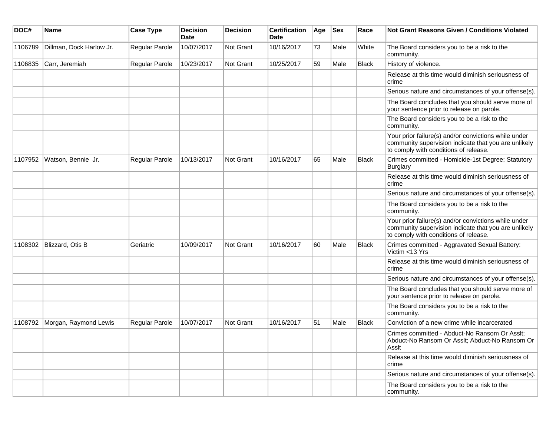| DOC#    | <b>Name</b>              | <b>Case Type</b> | <b>Decision</b><br><b>Date</b> | <b>Decision</b> | <b>Certification</b><br><b>Date</b> | Age | <b>Sex</b> | Race         | <b>Not Grant Reasons Given / Conditions Violated</b>                                                                                                  |
|---------|--------------------------|------------------|--------------------------------|-----------------|-------------------------------------|-----|------------|--------------|-------------------------------------------------------------------------------------------------------------------------------------------------------|
| 1106789 | Dillman, Dock Harlow Jr. | Regular Parole   | 10/07/2017                     | Not Grant       | 10/16/2017                          | 73  | Male       | White        | The Board considers you to be a risk to the<br>community.                                                                                             |
| 1106835 | Carr, Jeremiah           | Regular Parole   | 10/23/2017                     | Not Grant       | 10/25/2017                          | 59  | Male       | Black        | History of violence.                                                                                                                                  |
|         |                          |                  |                                |                 |                                     |     |            |              | Release at this time would diminish seriousness of<br>crime                                                                                           |
|         |                          |                  |                                |                 |                                     |     |            |              | Serious nature and circumstances of your offense(s).                                                                                                  |
|         |                          |                  |                                |                 |                                     |     |            |              | The Board concludes that you should serve more of<br>your sentence prior to release on parole.                                                        |
|         |                          |                  |                                |                 |                                     |     |            |              | The Board considers you to be a risk to the<br>community.                                                                                             |
|         |                          |                  |                                |                 |                                     |     |            |              | Your prior failure(s) and/or convictions while under<br>community supervision indicate that you are unlikely<br>to comply with conditions of release. |
| 1107952 | Watson, Bennie Jr.       | Regular Parole   | 10/13/2017                     | Not Grant       | 10/16/2017                          | 65  | Male       | Black        | Crimes committed - Homicide-1st Degree; Statutory<br><b>Burglary</b>                                                                                  |
|         |                          |                  |                                |                 |                                     |     |            |              | Release at this time would diminish seriousness of<br>crime                                                                                           |
|         |                          |                  |                                |                 |                                     |     |            |              | Serious nature and circumstances of your offense(s).                                                                                                  |
|         |                          |                  |                                |                 |                                     |     |            |              | The Board considers you to be a risk to the<br>community.                                                                                             |
|         |                          |                  |                                |                 |                                     |     |            |              | Your prior failure(s) and/or convictions while under<br>community supervision indicate that you are unlikely<br>to comply with conditions of release. |
| 1108302 | Blizzard, Otis B         | Geriatric        | 10/09/2017                     | Not Grant       | 10/16/2017                          | 60  | Male       | Black        | Crimes committed - Aggravated Sexual Battery:<br>Victim <13 Yrs                                                                                       |
|         |                          |                  |                                |                 |                                     |     |            |              | Release at this time would diminish seriousness of<br>crime                                                                                           |
|         |                          |                  |                                |                 |                                     |     |            |              | Serious nature and circumstances of your offense(s).                                                                                                  |
|         |                          |                  |                                |                 |                                     |     |            |              | The Board concludes that you should serve more of<br>your sentence prior to release on parole.                                                        |
|         |                          |                  |                                |                 |                                     |     |            |              | The Board considers you to be a risk to the<br>community.                                                                                             |
| 1108792 | Morgan, Raymond Lewis    | Regular Parole   | 10/07/2017                     | Not Grant       | 10/16/2017                          | 51  | Male       | <b>Black</b> | Conviction of a new crime while incarcerated                                                                                                          |
|         |                          |                  |                                |                 |                                     |     |            |              | Crimes committed - Abduct-No Ransom Or Asslt;<br>Abduct-No Ransom Or Asslt; Abduct-No Ransom Or<br>Asslt                                              |
|         |                          |                  |                                |                 |                                     |     |            |              | Release at this time would diminish seriousness of<br>crime                                                                                           |
|         |                          |                  |                                |                 |                                     |     |            |              | Serious nature and circumstances of your offense(s).                                                                                                  |
|         |                          |                  |                                |                 |                                     |     |            |              | The Board considers you to be a risk to the<br>community.                                                                                             |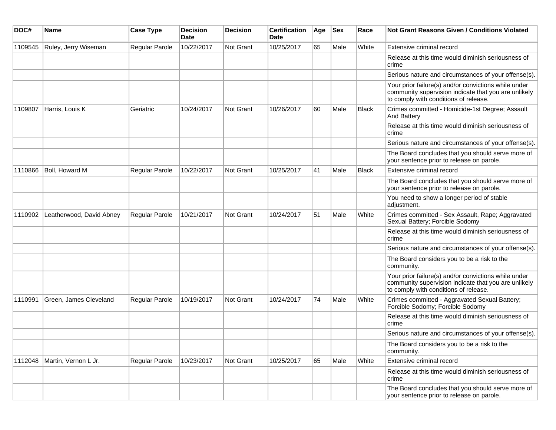| DOC#    | Name                     | <b>Case Type</b>      | <b>Decision</b><br><b>Date</b> | <b>Decision</b> | <b>Certification</b><br>Date | Age | <b>Sex</b> | Race         | <b>Not Grant Reasons Given / Conditions Violated</b>                                                                                                  |
|---------|--------------------------|-----------------------|--------------------------------|-----------------|------------------------------|-----|------------|--------------|-------------------------------------------------------------------------------------------------------------------------------------------------------|
| 1109545 | Ruley, Jerry Wiseman     | Regular Parole        | 10/22/2017                     | Not Grant       | 10/25/2017                   | 65  | Male       | White        | Extensive criminal record                                                                                                                             |
|         |                          |                       |                                |                 |                              |     |            |              | Release at this time would diminish seriousness of<br>crime                                                                                           |
|         |                          |                       |                                |                 |                              |     |            |              | Serious nature and circumstances of your offense(s).                                                                                                  |
|         |                          |                       |                                |                 |                              |     |            |              | Your prior failure(s) and/or convictions while under<br>community supervision indicate that you are unlikely<br>to comply with conditions of release. |
| 1109807 | Harris, Louis K          | Geriatric             | 10/24/2017                     | Not Grant       | 10/26/2017                   | 60  | Male       | <b>Black</b> | Crimes committed - Homicide-1st Degree; Assault<br>And Battery                                                                                        |
|         |                          |                       |                                |                 |                              |     |            |              | Release at this time would diminish seriousness of<br>crime                                                                                           |
|         |                          |                       |                                |                 |                              |     |            |              | Serious nature and circumstances of your offense(s).                                                                                                  |
|         |                          |                       |                                |                 |                              |     |            |              | The Board concludes that you should serve more of<br>your sentence prior to release on parole.                                                        |
| 1110866 | Boll, Howard M           | Regular Parole        | 10/22/2017                     | Not Grant       | 10/25/2017                   | 41  | Male       | <b>Black</b> | Extensive criminal record                                                                                                                             |
|         |                          |                       |                                |                 |                              |     |            |              | The Board concludes that you should serve more of<br>your sentence prior to release on parole.                                                        |
|         |                          |                       |                                |                 |                              |     |            |              | You need to show a longer period of stable<br>adjustment.                                                                                             |
| 1110902 | Leatherwood, David Abney | <b>Regular Parole</b> | 10/21/2017                     | Not Grant       | 10/24/2017                   | 51  | Male       | White        | Crimes committed - Sex Assault, Rape; Aggravated<br>Sexual Battery; Forcible Sodomy                                                                   |
|         |                          |                       |                                |                 |                              |     |            |              | Release at this time would diminish seriousness of<br>crime                                                                                           |
|         |                          |                       |                                |                 |                              |     |            |              | Serious nature and circumstances of your offense(s).                                                                                                  |
|         |                          |                       |                                |                 |                              |     |            |              | The Board considers you to be a risk to the<br>community.                                                                                             |
|         |                          |                       |                                |                 |                              |     |            |              | Your prior failure(s) and/or convictions while under<br>community supervision indicate that you are unlikely<br>to comply with conditions of release. |
| 1110991 | Green, James Cleveland   | Regular Parole        | 10/19/2017                     | Not Grant       | 10/24/2017                   | 74  | Male       | White        | Crimes committed - Aggravated Sexual Battery;<br>Forcible Sodomy; Forcible Sodomy                                                                     |
|         |                          |                       |                                |                 |                              |     |            |              | Release at this time would diminish seriousness of<br>crime                                                                                           |
|         |                          |                       |                                |                 |                              |     |            |              | Serious nature and circumstances of your offense(s).                                                                                                  |
|         |                          |                       |                                |                 |                              |     |            |              | The Board considers you to be a risk to the<br>community.                                                                                             |
| 1112048 | Martin, Vernon L Jr.     | Regular Parole        | 10/23/2017                     | Not Grant       | 10/25/2017                   | 65  | Male       | White        | Extensive criminal record                                                                                                                             |
|         |                          |                       |                                |                 |                              |     |            |              | Release at this time would diminish seriousness of<br>crime                                                                                           |
|         |                          |                       |                                |                 |                              |     |            |              | The Board concludes that you should serve more of<br>your sentence prior to release on parole.                                                        |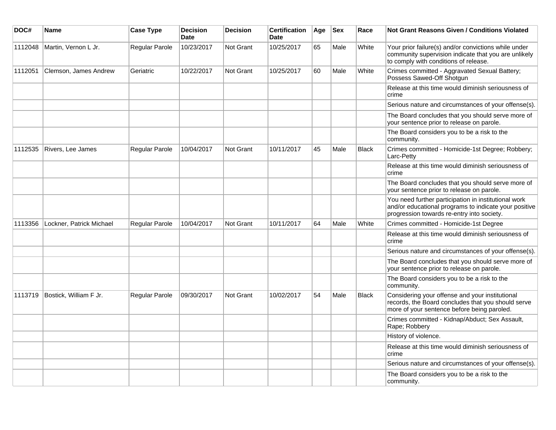| DOC#    | <b>Name</b>              | <b>Case Type</b> | <b>Decision</b><br><b>Date</b> | <b>Decision</b>  | <b>Certification</b><br>Date | Age | <b>Sex</b> | Race         | Not Grant Reasons Given / Conditions Violated                                                                                                               |
|---------|--------------------------|------------------|--------------------------------|------------------|------------------------------|-----|------------|--------------|-------------------------------------------------------------------------------------------------------------------------------------------------------------|
| 1112048 | Martin, Vernon L Jr.     | Regular Parole   | 10/23/2017                     | Not Grant        | 10/25/2017                   | 65  | Male       | White        | Your prior failure(s) and/or convictions while under<br>community supervision indicate that you are unlikely<br>to comply with conditions of release.       |
| 1112051 | Clemson, James Andrew    | Geriatric        | 10/22/2017                     | Not Grant        | 10/25/2017                   | 60  | Male       | White        | Crimes committed - Aggravated Sexual Battery;<br>Possess Sawed-Off Shotgun                                                                                  |
|         |                          |                  |                                |                  |                              |     |            |              | Release at this time would diminish seriousness of<br>crime                                                                                                 |
|         |                          |                  |                                |                  |                              |     |            |              | Serious nature and circumstances of your offense(s).                                                                                                        |
|         |                          |                  |                                |                  |                              |     |            |              | The Board concludes that you should serve more of<br>your sentence prior to release on parole.                                                              |
|         |                          |                  |                                |                  |                              |     |            |              | The Board considers you to be a risk to the<br>community.                                                                                                   |
| 1112535 | Rivers, Lee James        | Regular Parole   | 10/04/2017                     | <b>Not Grant</b> | 10/11/2017                   | 45  | Male       | <b>Black</b> | Crimes committed - Homicide-1st Degree; Robbery;<br>Larc-Petty                                                                                              |
|         |                          |                  |                                |                  |                              |     |            |              | Release at this time would diminish seriousness of<br>crime                                                                                                 |
|         |                          |                  |                                |                  |                              |     |            |              | The Board concludes that you should serve more of<br>your sentence prior to release on parole.                                                              |
|         |                          |                  |                                |                  |                              |     |            |              | You need further participation in institutional work<br>and/or educational programs to indicate your positive<br>progression towards re-entry into society. |
| 1113356 | Lockner, Patrick Michael | Regular Parole   | 10/04/2017                     | Not Grant        | 10/11/2017                   | 64  | Male       | White        | Crimes committed - Homicide-1st Degree                                                                                                                      |
|         |                          |                  |                                |                  |                              |     |            |              | Release at this time would diminish seriousness of<br>crime                                                                                                 |
|         |                          |                  |                                |                  |                              |     |            |              | Serious nature and circumstances of your offense(s).                                                                                                        |
|         |                          |                  |                                |                  |                              |     |            |              | The Board concludes that you should serve more of<br>your sentence prior to release on parole.                                                              |
|         |                          |                  |                                |                  |                              |     |            |              | The Board considers you to be a risk to the<br>community.                                                                                                   |
| 1113719 | Bostick, William F Jr.   | Regular Parole   | 09/30/2017                     | <b>Not Grant</b> | 10/02/2017                   | 54  | Male       | Black        | Considering your offense and your institutional<br>records, the Board concludes that you should serve<br>more of your sentence before being paroled.        |
|         |                          |                  |                                |                  |                              |     |            |              | Crimes committed - Kidnap/Abduct; Sex Assault,<br>Rape; Robbery                                                                                             |
|         |                          |                  |                                |                  |                              |     |            |              | History of violence.                                                                                                                                        |
|         |                          |                  |                                |                  |                              |     |            |              | Release at this time would diminish seriousness of<br>crime                                                                                                 |
|         |                          |                  |                                |                  |                              |     |            |              | Serious nature and circumstances of your offense(s).                                                                                                        |
|         |                          |                  |                                |                  |                              |     |            |              | The Board considers you to be a risk to the<br>community.                                                                                                   |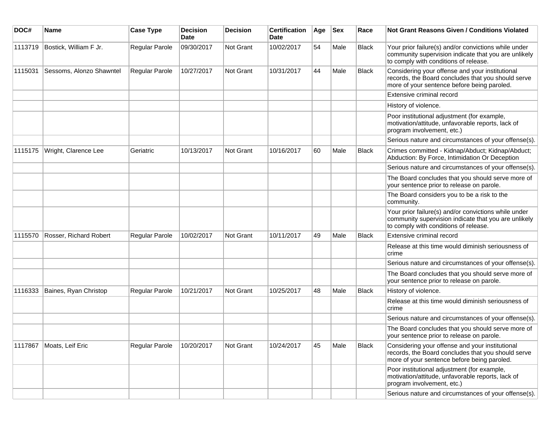| DOC#    | Name                     | <b>Case Type</b> | <b>Decision</b><br><b>Date</b> | <b>Decision</b> | <b>Certification</b><br>Date | Age | <b>Sex</b> | Race         | Not Grant Reasons Given / Conditions Violated                                                                                                         |
|---------|--------------------------|------------------|--------------------------------|-----------------|------------------------------|-----|------------|--------------|-------------------------------------------------------------------------------------------------------------------------------------------------------|
| 1113719 | Bostick, William F Jr.   | Regular Parole   | 09/30/2017                     | Not Grant       | 10/02/2017                   | 54  | Male       | <b>Black</b> | Your prior failure(s) and/or convictions while under<br>community supervision indicate that you are unlikely<br>to comply with conditions of release. |
| 1115031 | Sessoms, Alonzo Shawntel | Regular Parole   | 10/27/2017                     | Not Grant       | 10/31/2017                   | 44  | Male       | <b>Black</b> | Considering your offense and your institutional<br>records, the Board concludes that you should serve<br>more of your sentence before being paroled.  |
|         |                          |                  |                                |                 |                              |     |            |              | Extensive criminal record                                                                                                                             |
|         |                          |                  |                                |                 |                              |     |            |              | History of violence.                                                                                                                                  |
|         |                          |                  |                                |                 |                              |     |            |              | Poor institutional adjustment (for example,<br>motivation/attitude, unfavorable reports, lack of<br>program involvement, etc.)                        |
|         |                          |                  |                                |                 |                              |     |            |              | Serious nature and circumstances of your offense(s).                                                                                                  |
| 1115175 | Wright, Clarence Lee     | Geriatric        | 10/13/2017                     | Not Grant       | 10/16/2017                   | 60  | Male       | <b>Black</b> | Crimes committed - Kidnap/Abduct; Kidnap/Abduct;<br>Abduction: By Force, Intimidation Or Deception                                                    |
|         |                          |                  |                                |                 |                              |     |            |              | Serious nature and circumstances of your offense(s).                                                                                                  |
|         |                          |                  |                                |                 |                              |     |            |              | The Board concludes that you should serve more of<br>your sentence prior to release on parole.                                                        |
|         |                          |                  |                                |                 |                              |     |            |              | The Board considers you to be a risk to the<br>community.                                                                                             |
|         |                          |                  |                                |                 |                              |     |            |              | Your prior failure(s) and/or convictions while under<br>community supervision indicate that you are unlikely<br>to comply with conditions of release. |
| 1115570 | Rosser, Richard Robert   | Regular Parole   | 10/02/2017                     | Not Grant       | 10/11/2017                   | 49  | Male       | <b>Black</b> | Extensive criminal record                                                                                                                             |
|         |                          |                  |                                |                 |                              |     |            |              | Release at this time would diminish seriousness of<br>crime                                                                                           |
|         |                          |                  |                                |                 |                              |     |            |              | Serious nature and circumstances of your offense(s).                                                                                                  |
|         |                          |                  |                                |                 |                              |     |            |              | The Board concludes that you should serve more of<br>your sentence prior to release on parole.                                                        |
| 1116333 | Baines, Ryan Christop    | Regular Parole   | 10/21/2017                     | Not Grant       | 10/25/2017                   | 48  | Male       | Black        | History of violence.                                                                                                                                  |
|         |                          |                  |                                |                 |                              |     |            |              | Release at this time would diminish seriousness of<br>crime                                                                                           |
|         |                          |                  |                                |                 |                              |     |            |              | Serious nature and circumstances of your offense(s).                                                                                                  |
|         |                          |                  |                                |                 |                              |     |            |              | The Board concludes that you should serve more of<br>your sentence prior to release on parole.                                                        |
| 1117867 | Moats, Leif Eric         | Regular Parole   | 10/20/2017                     | Not Grant       | 10/24/2017                   | 45  | Male       | <b>Black</b> | Considering your offense and your institutional<br>records, the Board concludes that you should serve<br>more of your sentence before being paroled.  |
|         |                          |                  |                                |                 |                              |     |            |              | Poor institutional adjustment (for example,<br>motivation/attitude, unfavorable reports, lack of<br>program involvement, etc.)                        |
|         |                          |                  |                                |                 |                              |     |            |              | Serious nature and circumstances of your offense(s).                                                                                                  |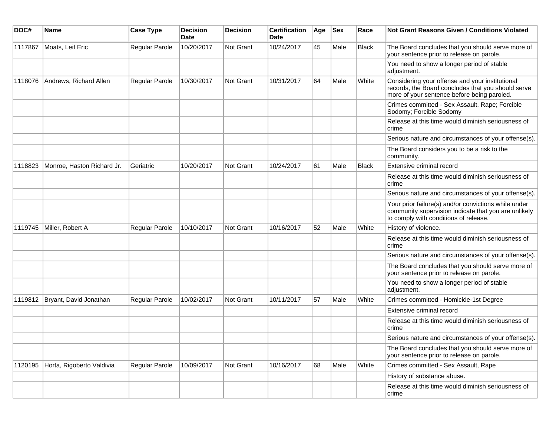| DOC#    | Name                       | <b>Case Type</b> | <b>Decision</b><br><b>Date</b> | Decision         | <b>Certification</b><br>Date | Age | <b>Sex</b> | Race         | Not Grant Reasons Given / Conditions Violated                                                                                                         |
|---------|----------------------------|------------------|--------------------------------|------------------|------------------------------|-----|------------|--------------|-------------------------------------------------------------------------------------------------------------------------------------------------------|
| 1117867 | Moats, Leif Eric           | Regular Parole   | 10/20/2017                     | Not Grant        | 10/24/2017                   | 45  | Male       | Black        | The Board concludes that you should serve more of<br>your sentence prior to release on parole.                                                        |
|         |                            |                  |                                |                  |                              |     |            |              | You need to show a longer period of stable<br>adjustment.                                                                                             |
| 1118076 | Andrews, Richard Allen     | Regular Parole   | 10/30/2017                     | Not Grant        | 10/31/2017                   | 64  | Male       | White        | Considering your offense and your institutional<br>records, the Board concludes that you should serve<br>more of your sentence before being paroled.  |
|         |                            |                  |                                |                  |                              |     |            |              | Crimes committed - Sex Assault, Rape; Forcible<br>Sodomy; Forcible Sodomy                                                                             |
|         |                            |                  |                                |                  |                              |     |            |              | Release at this time would diminish seriousness of<br>crime                                                                                           |
|         |                            |                  |                                |                  |                              |     |            |              | Serious nature and circumstances of your offense(s).                                                                                                  |
|         |                            |                  |                                |                  |                              |     |            |              | The Board considers you to be a risk to the<br>community.                                                                                             |
| 1118823 | Monroe, Haston Richard Jr. | Geriatric        | 10/20/2017                     | <b>Not Grant</b> | 10/24/2017                   | 61  | Male       | <b>Black</b> | Extensive criminal record                                                                                                                             |
|         |                            |                  |                                |                  |                              |     |            |              | Release at this time would diminish seriousness of<br>crime                                                                                           |
|         |                            |                  |                                |                  |                              |     |            |              | Serious nature and circumstances of your offense(s).                                                                                                  |
|         |                            |                  |                                |                  |                              |     |            |              | Your prior failure(s) and/or convictions while under<br>community supervision indicate that you are unlikely<br>to comply with conditions of release. |
| 1119745 | Miller, Robert A           | Regular Parole   | 10/10/2017                     | <b>Not Grant</b> | 10/16/2017                   | 52  | Male       | White        | History of violence.                                                                                                                                  |
|         |                            |                  |                                |                  |                              |     |            |              | Release at this time would diminish seriousness of<br>crime                                                                                           |
|         |                            |                  |                                |                  |                              |     |            |              | Serious nature and circumstances of your offense(s).                                                                                                  |
|         |                            |                  |                                |                  |                              |     |            |              | The Board concludes that you should serve more of<br>your sentence prior to release on parole.                                                        |
|         |                            |                  |                                |                  |                              |     |            |              | You need to show a longer period of stable<br>adjustment.                                                                                             |
| 1119812 | Bryant, David Jonathan     | Regular Parole   | 10/02/2017                     | Not Grant        | 10/11/2017                   | 57  | Male       | White        | Crimes committed - Homicide-1st Degree                                                                                                                |
|         |                            |                  |                                |                  |                              |     |            |              | Extensive criminal record                                                                                                                             |
|         |                            |                  |                                |                  |                              |     |            |              | Release at this time would diminish seriousness of<br>crime                                                                                           |
|         |                            |                  |                                |                  |                              |     |            |              | Serious nature and circumstances of your offense(s).                                                                                                  |
|         |                            |                  |                                |                  |                              |     |            |              | The Board concludes that you should serve more of<br>your sentence prior to release on parole.                                                        |
| 1120195 | Horta, Rigoberto Valdivia  | Regular Parole   | 10/09/2017                     | Not Grant        | 10/16/2017                   | 68  | Male       | White        | Crimes committed - Sex Assault, Rape                                                                                                                  |
|         |                            |                  |                                |                  |                              |     |            |              | History of substance abuse.                                                                                                                           |
|         |                            |                  |                                |                  |                              |     |            |              | Release at this time would diminish seriousness of<br>crime                                                                                           |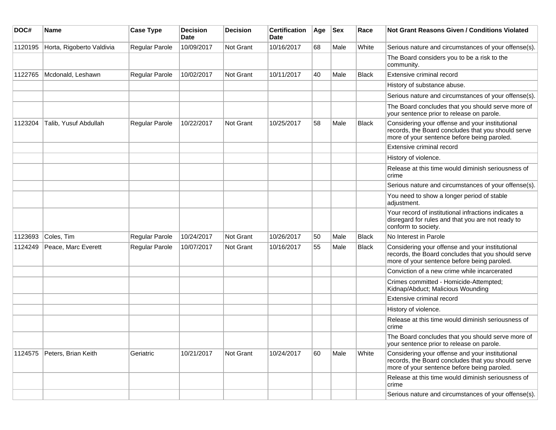| DOC#    | Name                      | <b>Case Type</b> | <b>Decision</b><br><b>Date</b> | <b>Decision</b>  | <b>Certification</b><br>Date | Age | <b>Sex</b> | Race         | <b>Not Grant Reasons Given / Conditions Violated</b>                                                                                                 |
|---------|---------------------------|------------------|--------------------------------|------------------|------------------------------|-----|------------|--------------|------------------------------------------------------------------------------------------------------------------------------------------------------|
| 1120195 | Horta, Rigoberto Valdivia | Regular Parole   | 10/09/2017                     | Not Grant        | 10/16/2017                   | 68  | Male       | White        | Serious nature and circumstances of your offense(s).                                                                                                 |
|         |                           |                  |                                |                  |                              |     |            |              | The Board considers you to be a risk to the<br>community.                                                                                            |
| 1122765 | Mcdonald, Leshawn         | Regular Parole   | 10/02/2017                     | <b>Not Grant</b> | 10/11/2017                   | 40  | Male       | <b>Black</b> | Extensive criminal record                                                                                                                            |
|         |                           |                  |                                |                  |                              |     |            |              | History of substance abuse.                                                                                                                          |
|         |                           |                  |                                |                  |                              |     |            |              | Serious nature and circumstances of your offense(s).                                                                                                 |
|         |                           |                  |                                |                  |                              |     |            |              | The Board concludes that you should serve more of<br>your sentence prior to release on parole.                                                       |
| 1123204 | Talib, Yusuf Abdullah     | Regular Parole   | 10/22/2017                     | <b>Not Grant</b> | 10/25/2017                   | 58  | Male       | Black        | Considering your offense and your institutional<br>records, the Board concludes that you should serve<br>more of your sentence before being paroled. |
|         |                           |                  |                                |                  |                              |     |            |              | Extensive criminal record                                                                                                                            |
|         |                           |                  |                                |                  |                              |     |            |              | History of violence.                                                                                                                                 |
|         |                           |                  |                                |                  |                              |     |            |              | Release at this time would diminish seriousness of<br>crime                                                                                          |
|         |                           |                  |                                |                  |                              |     |            |              | Serious nature and circumstances of your offense(s).                                                                                                 |
|         |                           |                  |                                |                  |                              |     |            |              | You need to show a longer period of stable<br>adjustment.                                                                                            |
|         |                           |                  |                                |                  |                              |     |            |              | Your record of institutional infractions indicates a<br>disregard for rules and that you are not ready to<br>conform to society.                     |
| 1123693 | Coles, Tim                | Regular Parole   | 10/24/2017                     | <b>Not Grant</b> | 10/26/2017                   | 50  | Male       | Black        | No Interest in Parole                                                                                                                                |
| 1124249 | Peace, Marc Everett       | Regular Parole   | 10/07/2017                     | Not Grant        | 10/16/2017                   | 55  | Male       | <b>Black</b> | Considering your offense and your institutional<br>records, the Board concludes that you should serve<br>more of your sentence before being paroled. |
|         |                           |                  |                                |                  |                              |     |            |              | Conviction of a new crime while incarcerated                                                                                                         |
|         |                           |                  |                                |                  |                              |     |            |              | Crimes committed - Homicide-Attempted;<br>Kidnap/Abduct; Malicious Wounding                                                                          |
|         |                           |                  |                                |                  |                              |     |            |              | Extensive criminal record                                                                                                                            |
|         |                           |                  |                                |                  |                              |     |            |              | History of violence.                                                                                                                                 |
|         |                           |                  |                                |                  |                              |     |            |              | Release at this time would diminish seriousness of<br>crime                                                                                          |
|         |                           |                  |                                |                  |                              |     |            |              | The Board concludes that you should serve more of<br>your sentence prior to release on parole.                                                       |
| 1124575 | Peters, Brian Keith       | Geriatric        | 10/21/2017                     | Not Grant        | 10/24/2017                   | 60  | Male       | White        | Considering your offense and your institutional<br>records, the Board concludes that you should serve<br>more of your sentence before being paroled. |
|         |                           |                  |                                |                  |                              |     |            |              | Release at this time would diminish seriousness of<br>crime                                                                                          |
|         |                           |                  |                                |                  |                              |     |            |              | Serious nature and circumstances of your offense(s).                                                                                                 |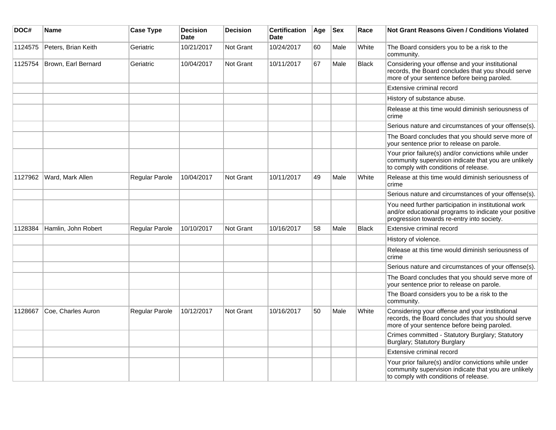| DOC#    | Name                | <b>Case Type</b> | <b>Decision</b><br><b>Date</b> | <b>Decision</b> | <b>Certification</b><br><b>Date</b> | Age | <b>Sex</b> | Race         | Not Grant Reasons Given / Conditions Violated                                                                                                               |
|---------|---------------------|------------------|--------------------------------|-----------------|-------------------------------------|-----|------------|--------------|-------------------------------------------------------------------------------------------------------------------------------------------------------------|
| 1124575 | Peters, Brian Keith | Geriatric        | 10/21/2017                     | Not Grant       | 10/24/2017                          | 60  | Male       | White        | The Board considers you to be a risk to the<br>community.                                                                                                   |
| 1125754 | Brown, Earl Bernard | Geriatric        | 10/04/2017                     | Not Grant       | 10/11/2017                          | 67  | Male       | <b>Black</b> | Considering your offense and your institutional<br>records, the Board concludes that you should serve<br>more of your sentence before being paroled.        |
|         |                     |                  |                                |                 |                                     |     |            |              | Extensive criminal record                                                                                                                                   |
|         |                     |                  |                                |                 |                                     |     |            |              | History of substance abuse.                                                                                                                                 |
|         |                     |                  |                                |                 |                                     |     |            |              | Release at this time would diminish seriousness of<br>crime                                                                                                 |
|         |                     |                  |                                |                 |                                     |     |            |              | Serious nature and circumstances of your offense(s).                                                                                                        |
|         |                     |                  |                                |                 |                                     |     |            |              | The Board concludes that you should serve more of<br>your sentence prior to release on parole.                                                              |
|         |                     |                  |                                |                 |                                     |     |            |              | Your prior failure(s) and/or convictions while under<br>community supervision indicate that you are unlikely<br>to comply with conditions of release.       |
| 1127962 | Ward, Mark Allen    | Regular Parole   | 10/04/2017                     | Not Grant       | 10/11/2017                          | 49  | Male       | White        | Release at this time would diminish seriousness of<br>crime                                                                                                 |
|         |                     |                  |                                |                 |                                     |     |            |              | Serious nature and circumstances of your offense(s).                                                                                                        |
|         |                     |                  |                                |                 |                                     |     |            |              | You need further participation in institutional work<br>and/or educational programs to indicate your positive<br>progression towards re-entry into society. |
| 1128384 | Hamlin, John Robert | Regular Parole   | 10/10/2017                     | Not Grant       | 10/16/2017                          | 58  | Male       | <b>Black</b> | Extensive criminal record                                                                                                                                   |
|         |                     |                  |                                |                 |                                     |     |            |              | History of violence.                                                                                                                                        |
|         |                     |                  |                                |                 |                                     |     |            |              | Release at this time would diminish seriousness of<br>crime                                                                                                 |
|         |                     |                  |                                |                 |                                     |     |            |              | Serious nature and circumstances of your offense(s).                                                                                                        |
|         |                     |                  |                                |                 |                                     |     |            |              | The Board concludes that you should serve more of<br>your sentence prior to release on parole.                                                              |
|         |                     |                  |                                |                 |                                     |     |            |              | The Board considers you to be a risk to the<br>community.                                                                                                   |
| 1128667 | Coe, Charles Auron  | Regular Parole   | 10/12/2017                     | Not Grant       | 10/16/2017                          | 50  | Male       | White        | Considering your offense and your institutional<br>records, the Board concludes that you should serve<br>more of your sentence before being paroled.        |
|         |                     |                  |                                |                 |                                     |     |            |              | Crimes committed - Statutory Burglary; Statutory<br>Burglary; Statutory Burglary                                                                            |
|         |                     |                  |                                |                 |                                     |     |            |              | Extensive criminal record                                                                                                                                   |
|         |                     |                  |                                |                 |                                     |     |            |              | Your prior failure(s) and/or convictions while under<br>community supervision indicate that you are unlikely<br>to comply with conditions of release.       |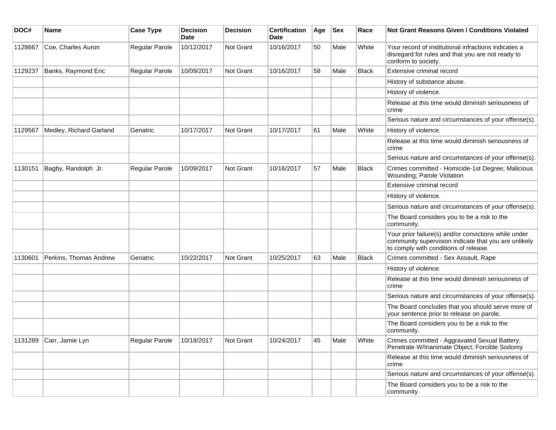| DOC#    | <b>Name</b>             | <b>Case Type</b> | <b>Decision</b><br>Date | <b>Decision</b> | <b>Certification</b><br>Date | Age | <b>Sex</b> | Race         | Not Grant Reasons Given / Conditions Violated                                                                                                         |
|---------|-------------------------|------------------|-------------------------|-----------------|------------------------------|-----|------------|--------------|-------------------------------------------------------------------------------------------------------------------------------------------------------|
| 1128667 | Coe, Charles Auron      | Regular Parole   | 10/12/2017              | Not Grant       | 10/16/2017                   | 50  | Male       | White        | Your record of institutional infractions indicates a<br>disregard for rules and that you are not ready to<br>conform to society.                      |
| 1129237 | Banks, Raymond Eric     | Regular Parole   | 10/09/2017              | Not Grant       | 10/16/2017                   | 58  | Male       | <b>Black</b> | Extensive criminal record                                                                                                                             |
|         |                         |                  |                         |                 |                              |     |            |              | History of substance abuse.                                                                                                                           |
|         |                         |                  |                         |                 |                              |     |            |              | History of violence.                                                                                                                                  |
|         |                         |                  |                         |                 |                              |     |            |              | Release at this time would diminish seriousness of<br>crime                                                                                           |
|         |                         |                  |                         |                 |                              |     |            |              | Serious nature and circumstances of your offense(s).                                                                                                  |
| 1129567 | Medley, Richard Garland | Geriatric        | 10/17/2017              | Not Grant       | 10/17/2017                   | 61  | Male       | White        | History of violence.                                                                                                                                  |
|         |                         |                  |                         |                 |                              |     |            |              | Release at this time would diminish seriousness of<br>crime                                                                                           |
|         |                         |                  |                         |                 |                              |     |            |              | Serious nature and circumstances of your offense(s).                                                                                                  |
| 1130151 | Bagby, Randolph Jr.     | Regular Parole   | 10/09/2017              | Not Grant       | 10/16/2017                   | 57  | Male       | <b>Black</b> | Crimes committed - Homicide-1st Degree; Malicious<br>Wounding; Parole Violation                                                                       |
|         |                         |                  |                         |                 |                              |     |            |              | Extensive criminal record                                                                                                                             |
|         |                         |                  |                         |                 |                              |     |            |              | History of violence.                                                                                                                                  |
|         |                         |                  |                         |                 |                              |     |            |              | Serious nature and circumstances of your offense(s).                                                                                                  |
|         |                         |                  |                         |                 |                              |     |            |              | The Board considers you to be a risk to the<br>community.                                                                                             |
|         |                         |                  |                         |                 |                              |     |            |              | Your prior failure(s) and/or convictions while under<br>community supervision indicate that you are unlikely<br>to comply with conditions of release. |
| 1130601 | Perkins, Thomas Andrew  | Geriatric        | 10/22/2017              | Not Grant       | 10/25/2017                   | 63  | Male       | <b>Black</b> | Crimes committed - Sex Assault, Rape                                                                                                                  |
|         |                         |                  |                         |                 |                              |     |            |              | History of violence.                                                                                                                                  |
|         |                         |                  |                         |                 |                              |     |            |              | Release at this time would diminish seriousness of<br>crime                                                                                           |
|         |                         |                  |                         |                 |                              |     |            |              | Serious nature and circumstances of your offense(s).                                                                                                  |
|         |                         |                  |                         |                 |                              |     |            |              | The Board concludes that you should serve more of<br>your sentence prior to release on parole.                                                        |
|         |                         |                  |                         |                 |                              |     |            |              | The Board considers you to be a risk to the<br>community.                                                                                             |
|         | 1131289 Carr, Jamie Lyn | Regular Parole   | 10/18/2017              | Not Grant       | 10/24/2017                   | 45  | Male       | White        | Crimes committed - Aggravated Sexual Battery;<br>Penetrate W/Inanimate Object; Forcible Sodomy                                                        |
|         |                         |                  |                         |                 |                              |     |            |              | Release at this time would diminish seriousness of<br>crime                                                                                           |
|         |                         |                  |                         |                 |                              |     |            |              | Serious nature and circumstances of your offense(s).                                                                                                  |
|         |                         |                  |                         |                 |                              |     |            |              | The Board considers you to be a risk to the<br>community.                                                                                             |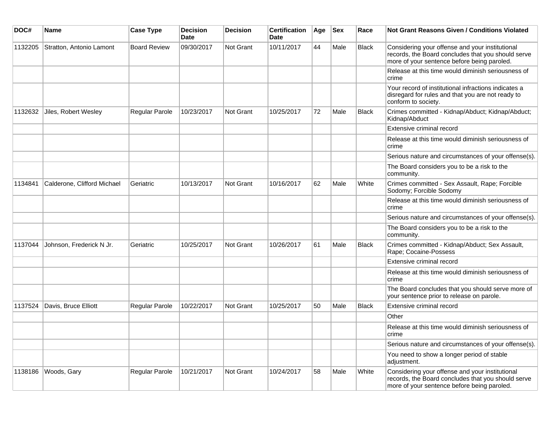| DOC#    | Name                        | <b>Case Type</b>    | <b>Decision</b><br><b>Date</b> | <b>Decision</b>  | <b>Certification</b><br><b>Date</b> | Age | <b>Sex</b> | Race         | <b>Not Grant Reasons Given / Conditions Violated</b>                                                                                                 |
|---------|-----------------------------|---------------------|--------------------------------|------------------|-------------------------------------|-----|------------|--------------|------------------------------------------------------------------------------------------------------------------------------------------------------|
| 1132205 | Stratton, Antonio Lamont    | <b>Board Review</b> | 09/30/2017                     | Not Grant        | 10/11/2017                          | 44  | Male       | <b>Black</b> | Considering your offense and your institutional<br>records, the Board concludes that you should serve<br>more of your sentence before being paroled. |
|         |                             |                     |                                |                  |                                     |     |            |              | Release at this time would diminish seriousness of<br>crime                                                                                          |
|         |                             |                     |                                |                  |                                     |     |            |              | Your record of institutional infractions indicates a<br>disregard for rules and that you are not ready to<br>conform to society.                     |
| 1132632 | Jiles, Robert Wesley        | Regular Parole      | 10/23/2017                     | <b>Not Grant</b> | 10/25/2017                          | 72  | Male       | <b>Black</b> | Crimes committed - Kidnap/Abduct; Kidnap/Abduct;<br>Kidnap/Abduct                                                                                    |
|         |                             |                     |                                |                  |                                     |     |            |              | Extensive criminal record                                                                                                                            |
|         |                             |                     |                                |                  |                                     |     |            |              | Release at this time would diminish seriousness of<br>crime                                                                                          |
|         |                             |                     |                                |                  |                                     |     |            |              | Serious nature and circumstances of your offense(s).                                                                                                 |
|         |                             |                     |                                |                  |                                     |     |            |              | The Board considers you to be a risk to the<br>community.                                                                                            |
| 1134841 | Calderone, Clifford Michael | Geriatric           | 10/13/2017                     | Not Grant        | 10/16/2017                          | 62  | Male       | White        | Crimes committed - Sex Assault, Rape; Forcible<br>Sodomy; Forcible Sodomy                                                                            |
|         |                             |                     |                                |                  |                                     |     |            |              | Release at this time would diminish seriousness of<br>crime                                                                                          |
|         |                             |                     |                                |                  |                                     |     |            |              | Serious nature and circumstances of your offense(s).                                                                                                 |
|         |                             |                     |                                |                  |                                     |     |            |              | The Board considers you to be a risk to the<br>community.                                                                                            |
| 1137044 | Johnson, Frederick N Jr.    | Geriatric           | 10/25/2017                     | Not Grant        | 10/26/2017                          | 61  | Male       | <b>Black</b> | Crimes committed - Kidnap/Abduct; Sex Assault,<br>Rape; Cocaine-Possess                                                                              |
|         |                             |                     |                                |                  |                                     |     |            |              | Extensive criminal record                                                                                                                            |
|         |                             |                     |                                |                  |                                     |     |            |              | Release at this time would diminish seriousness of<br>crime                                                                                          |
|         |                             |                     |                                |                  |                                     |     |            |              | The Board concludes that you should serve more of<br>your sentence prior to release on parole.                                                       |
| 1137524 | Davis, Bruce Elliott        | Regular Parole      | 10/22/2017                     | <b>Not Grant</b> | 10/25/2017                          | 50  | Male       | <b>Black</b> | Extensive criminal record                                                                                                                            |
|         |                             |                     |                                |                  |                                     |     |            |              | Other                                                                                                                                                |
|         |                             |                     |                                |                  |                                     |     |            |              | Release at this time would diminish seriousness of<br>crime                                                                                          |
|         |                             |                     |                                |                  |                                     |     |            |              | Serious nature and circumstances of your offense(s).                                                                                                 |
|         |                             |                     |                                |                  |                                     |     |            |              | You need to show a longer period of stable<br>adjustment.                                                                                            |
| 1138186 | Woods, Gary                 | Regular Parole      | 10/21/2017                     | Not Grant        | 10/24/2017                          | 58  | Male       | White        | Considering your offense and your institutional<br>records, the Board concludes that you should serve<br>more of your sentence before being paroled. |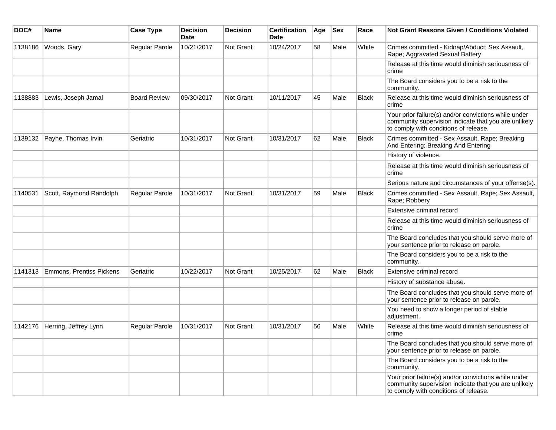| DOC#    | <b>Name</b>              | <b>Case Type</b>    | <b>Decision</b><br><b>Date</b> | <b>Decision</b>  | <b>Certification</b><br>Date | Age | <b>Sex</b> | Race         | Not Grant Reasons Given / Conditions Violated                                                                                                         |
|---------|--------------------------|---------------------|--------------------------------|------------------|------------------------------|-----|------------|--------------|-------------------------------------------------------------------------------------------------------------------------------------------------------|
| 1138186 | Woods, Gary              | Regular Parole      | 10/21/2017                     | Not Grant        | 10/24/2017                   | 58  | Male       | White        | Crimes committed - Kidnap/Abduct; Sex Assault,<br>Rape; Aggravated Sexual Battery                                                                     |
|         |                          |                     |                                |                  |                              |     |            |              | Release at this time would diminish seriousness of<br>crime                                                                                           |
|         |                          |                     |                                |                  |                              |     |            |              | The Board considers you to be a risk to the<br>community.                                                                                             |
| 1138883 | Lewis, Joseph Jamal      | <b>Board Review</b> | 09/30/2017                     | Not Grant        | 10/11/2017                   | 45  | Male       | Black        | Release at this time would diminish seriousness of<br>crime                                                                                           |
|         |                          |                     |                                |                  |                              |     |            |              | Your prior failure(s) and/or convictions while under<br>community supervision indicate that you are unlikely<br>to comply with conditions of release. |
| 1139132 | Payne, Thomas Irvin      | Geriatric           | 10/31/2017                     | <b>Not Grant</b> | 10/31/2017                   | 62  | Male       | Black        | Crimes committed - Sex Assault, Rape; Breaking<br>And Entering; Breaking And Entering                                                                 |
|         |                          |                     |                                |                  |                              |     |            |              | History of violence.                                                                                                                                  |
|         |                          |                     |                                |                  |                              |     |            |              | Release at this time would diminish seriousness of<br>crime                                                                                           |
|         |                          |                     |                                |                  |                              |     |            |              | Serious nature and circumstances of your offense(s).                                                                                                  |
| 1140531 | Scott, Raymond Randolph  | Regular Parole      | 10/31/2017                     | <b>Not Grant</b> | 10/31/2017                   | 59  | Male       | <b>Black</b> | Crimes committed - Sex Assault, Rape; Sex Assault,<br>Rape; Robbery                                                                                   |
|         |                          |                     |                                |                  |                              |     |            |              | Extensive criminal record                                                                                                                             |
|         |                          |                     |                                |                  |                              |     |            |              | Release at this time would diminish seriousness of<br>crime                                                                                           |
|         |                          |                     |                                |                  |                              |     |            |              | The Board concludes that you should serve more of<br>your sentence prior to release on parole.                                                        |
|         |                          |                     |                                |                  |                              |     |            |              | The Board considers you to be a risk to the<br>community.                                                                                             |
| 1141313 | Emmons, Prentiss Pickens | Geriatric           | 10/22/2017                     | <b>Not Grant</b> | 10/25/2017                   | 62  | Male       | <b>Black</b> | Extensive criminal record                                                                                                                             |
|         |                          |                     |                                |                  |                              |     |            |              | History of substance abuse.                                                                                                                           |
|         |                          |                     |                                |                  |                              |     |            |              | The Board concludes that you should serve more of<br>your sentence prior to release on parole.                                                        |
|         |                          |                     |                                |                  |                              |     |            |              | You need to show a longer period of stable<br>adjustment.                                                                                             |
| 1142176 | Herring, Jeffrey Lynn    | Regular Parole      | 10/31/2017                     | Not Grant        | 10/31/2017                   | 56  | Male       | White        | Release at this time would diminish seriousness of<br>crime                                                                                           |
|         |                          |                     |                                |                  |                              |     |            |              | The Board concludes that you should serve more of<br>your sentence prior to release on parole.                                                        |
|         |                          |                     |                                |                  |                              |     |            |              | The Board considers you to be a risk to the<br>community.                                                                                             |
|         |                          |                     |                                |                  |                              |     |            |              | Your prior failure(s) and/or convictions while under<br>community supervision indicate that you are unlikely<br>to comply with conditions of release. |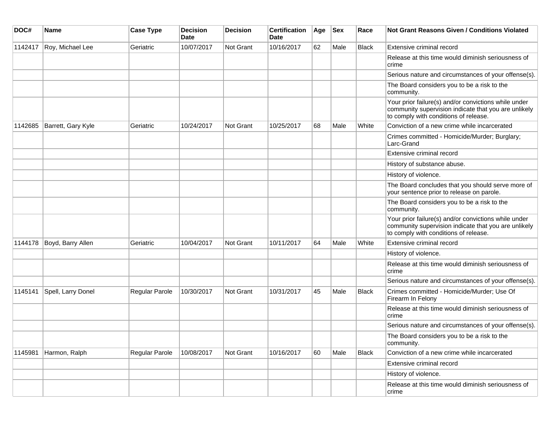| DOC#    | Name               | <b>Case Type</b> | <b>Decision</b><br><b>Date</b> | <b>Decision</b> | <b>Certification</b><br>Date | Age | <b>Sex</b> | Race         | <b>Not Grant Reasons Given / Conditions Violated</b>                                                                                                  |
|---------|--------------------|------------------|--------------------------------|-----------------|------------------------------|-----|------------|--------------|-------------------------------------------------------------------------------------------------------------------------------------------------------|
| 1142417 | Roy, Michael Lee   | Geriatric        | 10/07/2017                     | Not Grant       | 10/16/2017                   | 62  | Male       | <b>Black</b> | Extensive criminal record                                                                                                                             |
|         |                    |                  |                                |                 |                              |     |            |              | Release at this time would diminish seriousness of<br>crime                                                                                           |
|         |                    |                  |                                |                 |                              |     |            |              | Serious nature and circumstances of your offense(s).                                                                                                  |
|         |                    |                  |                                |                 |                              |     |            |              | The Board considers you to be a risk to the<br>community.                                                                                             |
|         |                    |                  |                                |                 |                              |     |            |              | Your prior failure(s) and/or convictions while under<br>community supervision indicate that you are unlikely<br>to comply with conditions of release. |
| 1142685 | Barrett, Gary Kyle | Geriatric        | 10/24/2017                     | Not Grant       | 10/25/2017                   | 68  | Male       | White        | Conviction of a new crime while incarcerated                                                                                                          |
|         |                    |                  |                                |                 |                              |     |            |              | Crimes committed - Homicide/Murder; Burglary;<br>Larc-Grand                                                                                           |
|         |                    |                  |                                |                 |                              |     |            |              | Extensive criminal record                                                                                                                             |
|         |                    |                  |                                |                 |                              |     |            |              | History of substance abuse.                                                                                                                           |
|         |                    |                  |                                |                 |                              |     |            |              | History of violence.                                                                                                                                  |
|         |                    |                  |                                |                 |                              |     |            |              | The Board concludes that you should serve more of<br>your sentence prior to release on parole.                                                        |
|         |                    |                  |                                |                 |                              |     |            |              | The Board considers you to be a risk to the<br>community.                                                                                             |
|         |                    |                  |                                |                 |                              |     |            |              | Your prior failure(s) and/or convictions while under<br>community supervision indicate that you are unlikely<br>to comply with conditions of release. |
| 1144178 | Boyd, Barry Allen  | Geriatric        | 10/04/2017                     | Not Grant       | 10/11/2017                   | 64  | Male       | White        | Extensive criminal record                                                                                                                             |
|         |                    |                  |                                |                 |                              |     |            |              | History of violence.                                                                                                                                  |
|         |                    |                  |                                |                 |                              |     |            |              | Release at this time would diminish seriousness of<br>crime                                                                                           |
|         |                    |                  |                                |                 |                              |     |            |              | Serious nature and circumstances of your offense(s).                                                                                                  |
| 1145141 | Spell, Larry Donel | Regular Parole   | 10/30/2017                     | Not Grant       | 10/31/2017                   | 45  | Male       | <b>Black</b> | Crimes committed - Homicide/Murder; Use Of<br>Firearm In Felony                                                                                       |
|         |                    |                  |                                |                 |                              |     |            |              | Release at this time would diminish seriousness of<br>crime                                                                                           |
|         |                    |                  |                                |                 |                              |     |            |              | Serious nature and circumstances of your offense(s).                                                                                                  |
|         |                    |                  |                                |                 |                              |     |            |              | The Board considers you to be a risk to the<br>community.                                                                                             |
| 1145981 | Harmon, Ralph      | Regular Parole   | 10/08/2017                     | Not Grant       | 10/16/2017                   | 60  | Male       | Black        | Conviction of a new crime while incarcerated                                                                                                          |
|         |                    |                  |                                |                 |                              |     |            |              | Extensive criminal record                                                                                                                             |
|         |                    |                  |                                |                 |                              |     |            |              | History of violence.                                                                                                                                  |
|         |                    |                  |                                |                 |                              |     |            |              | Release at this time would diminish seriousness of<br>crime                                                                                           |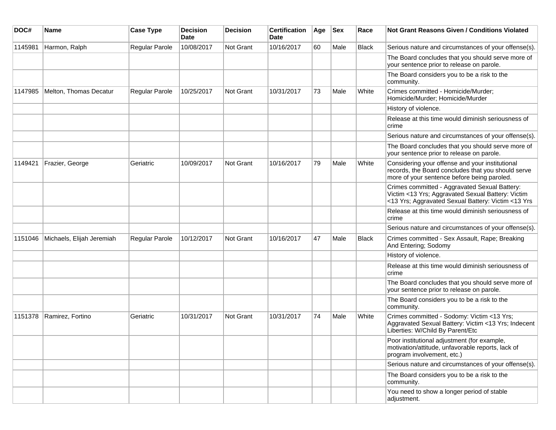| DOC#    | Name                      | <b>Case Type</b>      | <b>Decision</b><br><b>Date</b> | <b>Decision</b> | <b>Certification</b><br>Date | Age | <b>Sex</b> | Race  | Not Grant Reasons Given / Conditions Violated                                                                                                            |
|---------|---------------------------|-----------------------|--------------------------------|-----------------|------------------------------|-----|------------|-------|----------------------------------------------------------------------------------------------------------------------------------------------------------|
| 1145981 | Harmon, Ralph             | Regular Parole        | 10/08/2017                     | Not Grant       | 10/16/2017                   | 60  | Male       | Black | Serious nature and circumstances of your offense(s).                                                                                                     |
|         |                           |                       |                                |                 |                              |     |            |       | The Board concludes that you should serve more of<br>your sentence prior to release on parole.                                                           |
|         |                           |                       |                                |                 |                              |     |            |       | The Board considers you to be a risk to the<br>community.                                                                                                |
| 1147985 | Melton, Thomas Decatur    | Regular Parole        | 10/25/2017                     | Not Grant       | 10/31/2017                   | 73  | Male       | White | Crimes committed - Homicide/Murder;<br>Homicide/Murder; Homicide/Murder                                                                                  |
|         |                           |                       |                                |                 |                              |     |            |       | History of violence.                                                                                                                                     |
|         |                           |                       |                                |                 |                              |     |            |       | Release at this time would diminish seriousness of<br>crime                                                                                              |
|         |                           |                       |                                |                 |                              |     |            |       | Serious nature and circumstances of your offense(s).                                                                                                     |
|         |                           |                       |                                |                 |                              |     |            |       | The Board concludes that you should serve more of<br>your sentence prior to release on parole.                                                           |
| 1149421 | Frazier, George           | Geriatric             | 10/09/2017                     | Not Grant       | 10/16/2017                   | 79  | Male       | White | Considering your offense and your institutional<br>records, the Board concludes that you should serve<br>more of your sentence before being paroled.     |
|         |                           |                       |                                |                 |                              |     |            |       | Crimes committed - Aggravated Sexual Battery:<br>Victim <13 Yrs; Aggravated Sexual Battery: Victim<br><13 Yrs; Aggravated Sexual Battery: Victim <13 Yrs |
|         |                           |                       |                                |                 |                              |     |            |       | Release at this time would diminish seriousness of<br>crime                                                                                              |
|         |                           |                       |                                |                 |                              |     |            |       | Serious nature and circumstances of your offense(s).                                                                                                     |
| 1151046 | Michaels, Elijah Jeremiah | <b>Regular Parole</b> | 10/12/2017                     | Not Grant       | 10/16/2017                   | 47  | Male       | Black | Crimes committed - Sex Assault, Rape; Breaking<br>And Entering; Sodomy                                                                                   |
|         |                           |                       |                                |                 |                              |     |            |       | History of violence.                                                                                                                                     |
|         |                           |                       |                                |                 |                              |     |            |       | Release at this time would diminish seriousness of<br>crime                                                                                              |
|         |                           |                       |                                |                 |                              |     |            |       | The Board concludes that you should serve more of<br>your sentence prior to release on parole.                                                           |
|         |                           |                       |                                |                 |                              |     |            |       | The Board considers you to be a risk to the<br>community.                                                                                                |
| 1151378 | Ramirez, Fortino          | Geriatric             | 10/31/2017                     | Not Grant       | 10/31/2017                   | 74  | Male       | White | Crimes committed - Sodomy: Victim <13 Yrs;<br>Aggravated Sexual Battery: Victim <13 Yrs; Indecent<br>Liberties: W/Child By Parent/Etc                    |
|         |                           |                       |                                |                 |                              |     |            |       | Poor institutional adjustment (for example,<br>motivation/attitude, unfavorable reports, lack of<br>program involvement, etc.)                           |
|         |                           |                       |                                |                 |                              |     |            |       | Serious nature and circumstances of your offense(s).                                                                                                     |
|         |                           |                       |                                |                 |                              |     |            |       | The Board considers you to be a risk to the<br>community.                                                                                                |
|         |                           |                       |                                |                 |                              |     |            |       | You need to show a longer period of stable<br>adjustment.                                                                                                |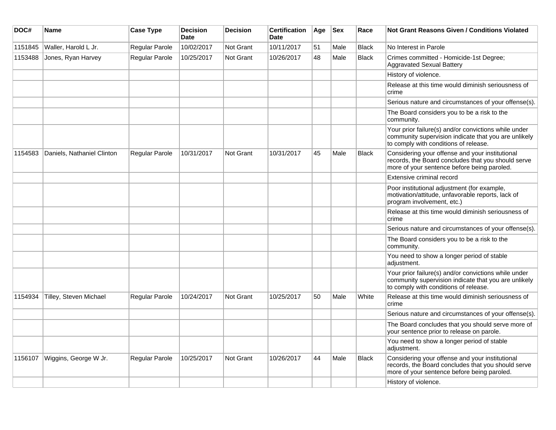| DOC#    | Name                       | <b>Case Type</b> | <b>Decision</b><br><b>Date</b> | <b>Decision</b>  | <b>Certification</b><br><b>Date</b> | Age | <b>Sex</b> | Race         | Not Grant Reasons Given / Conditions Violated                                                                                                         |
|---------|----------------------------|------------------|--------------------------------|------------------|-------------------------------------|-----|------------|--------------|-------------------------------------------------------------------------------------------------------------------------------------------------------|
| 1151845 | Waller, Harold L Jr.       | Regular Parole   | 10/02/2017                     | <b>Not Grant</b> | 10/11/2017                          | 51  | Male       | <b>Black</b> | No Interest in Parole                                                                                                                                 |
| 1153488 | Jones, Ryan Harvey         | Regular Parole   | 10/25/2017                     | <b>Not Grant</b> | 10/26/2017                          | 48  | Male       | <b>Black</b> | Crimes committed - Homicide-1st Degree;<br><b>Aggravated Sexual Battery</b>                                                                           |
|         |                            |                  |                                |                  |                                     |     |            |              | History of violence.                                                                                                                                  |
|         |                            |                  |                                |                  |                                     |     |            |              | Release at this time would diminish seriousness of<br>crime                                                                                           |
|         |                            |                  |                                |                  |                                     |     |            |              | Serious nature and circumstances of your offense(s).                                                                                                  |
|         |                            |                  |                                |                  |                                     |     |            |              | The Board considers you to be a risk to the<br>community.                                                                                             |
|         |                            |                  |                                |                  |                                     |     |            |              | Your prior failure(s) and/or convictions while under<br>community supervision indicate that you are unlikely<br>to comply with conditions of release. |
| 1154583 | Daniels, Nathaniel Clinton | Regular Parole   | 10/31/2017                     | <b>Not Grant</b> | 10/31/2017                          | 45  | Male       | <b>Black</b> | Considering your offense and your institutional<br>records, the Board concludes that you should serve<br>more of your sentence before being paroled.  |
|         |                            |                  |                                |                  |                                     |     |            |              | Extensive criminal record                                                                                                                             |
|         |                            |                  |                                |                  |                                     |     |            |              | Poor institutional adjustment (for example,<br>motivation/attitude, unfavorable reports, lack of<br>program involvement, etc.)                        |
|         |                            |                  |                                |                  |                                     |     |            |              | Release at this time would diminish seriousness of<br>crime                                                                                           |
|         |                            |                  |                                |                  |                                     |     |            |              | Serious nature and circumstances of your offense(s).                                                                                                  |
|         |                            |                  |                                |                  |                                     |     |            |              | The Board considers you to be a risk to the<br>community.                                                                                             |
|         |                            |                  |                                |                  |                                     |     |            |              | You need to show a longer period of stable<br>adjustment.                                                                                             |
|         |                            |                  |                                |                  |                                     |     |            |              | Your prior failure(s) and/or convictions while under<br>community supervision indicate that you are unlikely<br>to comply with conditions of release. |
| 1154934 | Tilley, Steven Michael     | Regular Parole   | 10/24/2017                     | Not Grant        | 10/25/2017                          | 50  | Male       | White        | Release at this time would diminish seriousness of<br>crime                                                                                           |
|         |                            |                  |                                |                  |                                     |     |            |              | Serious nature and circumstances of your offense(s).                                                                                                  |
|         |                            |                  |                                |                  |                                     |     |            |              | The Board concludes that you should serve more of<br>your sentence prior to release on parole.                                                        |
|         |                            |                  |                                |                  |                                     |     |            |              | You need to show a longer period of stable<br>adjustment.                                                                                             |
| 1156107 | Wiggins, George W Jr.      | Regular Parole   | 10/25/2017                     | <b>Not Grant</b> | 10/26/2017                          | 44  | Male       | <b>Black</b> | Considering your offense and your institutional<br>records, the Board concludes that you should serve<br>more of your sentence before being paroled.  |
|         |                            |                  |                                |                  |                                     |     |            |              | History of violence.                                                                                                                                  |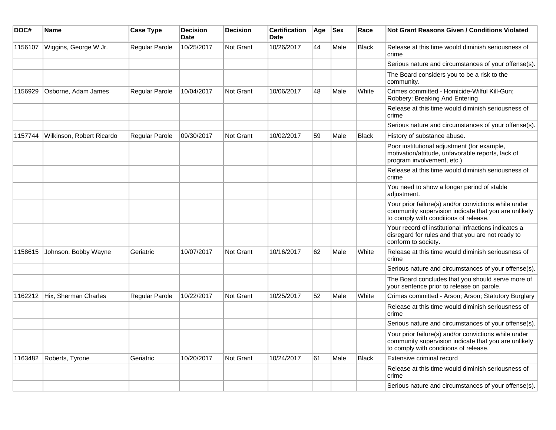| DOC#    | Name                      | <b>Case Type</b>      | <b>Decision</b><br><b>Date</b> | <b>Decision</b>  | <b>Certification</b><br><b>Date</b> | Age | <b>Sex</b> | Race         | <b>Not Grant Reasons Given / Conditions Violated</b>                                                                                                  |
|---------|---------------------------|-----------------------|--------------------------------|------------------|-------------------------------------|-----|------------|--------------|-------------------------------------------------------------------------------------------------------------------------------------------------------|
| 1156107 | Wiggins, George W Jr.     | <b>Regular Parole</b> | 10/25/2017                     | Not Grant        | 10/26/2017                          | 44  | Male       | <b>Black</b> | Release at this time would diminish seriousness of<br>crime                                                                                           |
|         |                           |                       |                                |                  |                                     |     |            |              | Serious nature and circumstances of your offense(s).                                                                                                  |
|         |                           |                       |                                |                  |                                     |     |            |              | The Board considers you to be a risk to the<br>community.                                                                                             |
| 1156929 | Osborne, Adam James       | Regular Parole        | 10/04/2017                     | Not Grant        | 10/06/2017                          | 48  | Male       | White        | Crimes committed - Homicide-Wilful Kill-Gun;<br>Robbery; Breaking And Entering                                                                        |
|         |                           |                       |                                |                  |                                     |     |            |              | Release at this time would diminish seriousness of<br>crime                                                                                           |
|         |                           |                       |                                |                  |                                     |     |            |              | Serious nature and circumstances of your offense(s).                                                                                                  |
| 1157744 | Wilkinson, Robert Ricardo | <b>Regular Parole</b> | 09/30/2017                     | <b>Not Grant</b> | 10/02/2017                          | 59  | Male       | <b>Black</b> | History of substance abuse.                                                                                                                           |
|         |                           |                       |                                |                  |                                     |     |            |              | Poor institutional adjustment (for example,<br>motivation/attitude, unfavorable reports, lack of<br>program involvement, etc.)                        |
|         |                           |                       |                                |                  |                                     |     |            |              | Release at this time would diminish seriousness of<br>crime                                                                                           |
|         |                           |                       |                                |                  |                                     |     |            |              | You need to show a longer period of stable<br>adjustment.                                                                                             |
|         |                           |                       |                                |                  |                                     |     |            |              | Your prior failure(s) and/or convictions while under<br>community supervision indicate that you are unlikely<br>to comply with conditions of release. |
|         |                           |                       |                                |                  |                                     |     |            |              | Your record of institutional infractions indicates a<br>disregard for rules and that you are not ready to<br>conform to society.                      |
| 1158615 | Johnson, Bobby Wayne      | Geriatric             | 10/07/2017                     | <b>Not Grant</b> | 10/16/2017                          | 62  | Male       | White        | Release at this time would diminish seriousness of<br>crime                                                                                           |
|         |                           |                       |                                |                  |                                     |     |            |              | Serious nature and circumstances of your offense(s).                                                                                                  |
|         |                           |                       |                                |                  |                                     |     |            |              | The Board concludes that you should serve more of<br>your sentence prior to release on parole.                                                        |
| 1162212 | Hix, Sherman Charles      | Regular Parole        | 10/22/2017                     | Not Grant        | 10/25/2017                          | 52  | Male       | White        | Crimes committed - Arson; Arson; Statutory Burglary                                                                                                   |
|         |                           |                       |                                |                  |                                     |     |            |              | Release at this time would diminish seriousness of<br>crime                                                                                           |
|         |                           |                       |                                |                  |                                     |     |            |              | Serious nature and circumstances of your offense(s).                                                                                                  |
|         |                           |                       |                                |                  |                                     |     |            |              | Your prior failure(s) and/or convictions while under<br>community supervision indicate that you are unlikely<br>to comply with conditions of release. |
| 1163482 | Roberts, Tyrone           | Geriatric             | 10/20/2017                     | Not Grant        | 10/24/2017                          | 61  | Male       | <b>Black</b> | Extensive criminal record                                                                                                                             |
|         |                           |                       |                                |                  |                                     |     |            |              | Release at this time would diminish seriousness of<br>crime                                                                                           |
|         |                           |                       |                                |                  |                                     |     |            |              | Serious nature and circumstances of your offense(s).                                                                                                  |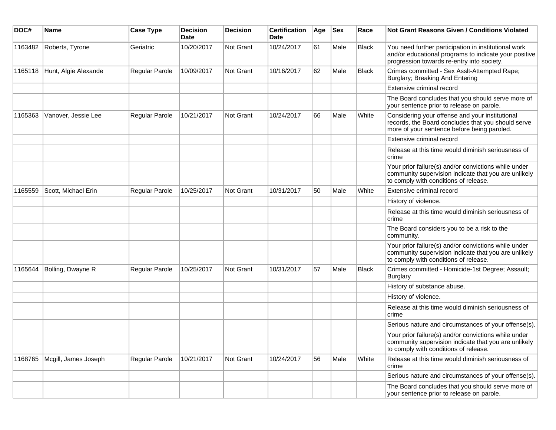| DOC#    | Name                 | <b>Case Type</b> | <b>Decision</b><br>Date | <b>Decision</b>  | <b>Certification</b><br>Date | Age | <b>Sex</b> | Race         | Not Grant Reasons Given / Conditions Violated                                                                                                               |
|---------|----------------------|------------------|-------------------------|------------------|------------------------------|-----|------------|--------------|-------------------------------------------------------------------------------------------------------------------------------------------------------------|
| 1163482 | Roberts, Tyrone      | Geriatric        | 10/20/2017              | Not Grant        | 10/24/2017                   | 61  | Male       | <b>Black</b> | You need further participation in institutional work<br>and/or educational programs to indicate your positive<br>progression towards re-entry into society. |
| 1165118 | Hunt, Algie Alexande | Regular Parole   | 10/09/2017              | Not Grant        | 10/16/2017                   | 62  | Male       | Black        | Crimes committed - Sex Asslt-Attempted Rape;<br>Burglary; Breaking And Entering                                                                             |
|         |                      |                  |                         |                  |                              |     |            |              | Extensive criminal record                                                                                                                                   |
|         |                      |                  |                         |                  |                              |     |            |              | The Board concludes that you should serve more of<br>your sentence prior to release on parole.                                                              |
| 1165363 | Vanover, Jessie Lee  | Regular Parole   | 10/21/2017              | <b>Not Grant</b> | 10/24/2017                   | 66  | Male       | White        | Considering your offense and your institutional<br>records, the Board concludes that you should serve<br>more of your sentence before being paroled.        |
|         |                      |                  |                         |                  |                              |     |            |              | Extensive criminal record                                                                                                                                   |
|         |                      |                  |                         |                  |                              |     |            |              | Release at this time would diminish seriousness of<br>crime                                                                                                 |
|         |                      |                  |                         |                  |                              |     |            |              | Your prior failure(s) and/or convictions while under<br>community supervision indicate that you are unlikely<br>to comply with conditions of release.       |
| 1165559 | Scott. Michael Erin  | Regular Parole   | 10/25/2017              | Not Grant        | 10/31/2017                   | 50  | Male       | White        | Extensive criminal record                                                                                                                                   |
|         |                      |                  |                         |                  |                              |     |            |              | History of violence.                                                                                                                                        |
|         |                      |                  |                         |                  |                              |     |            |              | Release at this time would diminish seriousness of<br>crime                                                                                                 |
|         |                      |                  |                         |                  |                              |     |            |              | The Board considers you to be a risk to the<br>community.                                                                                                   |
|         |                      |                  |                         |                  |                              |     |            |              | Your prior failure(s) and/or convictions while under<br>community supervision indicate that you are unlikely<br>to comply with conditions of release.       |
| 1165644 | Bolling, Dwayne R    | Regular Parole   | 10/25/2017              | Not Grant        | 10/31/2017                   | 57  | Male       | <b>Black</b> | Crimes committed - Homicide-1st Degree; Assault;<br><b>Burglary</b>                                                                                         |
|         |                      |                  |                         |                  |                              |     |            |              | History of substance abuse.                                                                                                                                 |
|         |                      |                  |                         |                  |                              |     |            |              | History of violence.                                                                                                                                        |
|         |                      |                  |                         |                  |                              |     |            |              | Release at this time would diminish seriousness of<br>crime                                                                                                 |
|         |                      |                  |                         |                  |                              |     |            |              | Serious nature and circumstances of your offense(s).                                                                                                        |
|         |                      |                  |                         |                  |                              |     |            |              | Your prior failure(s) and/or convictions while under<br>community supervision indicate that you are unlikely<br>to comply with conditions of release.       |
| 1168765 | Mcgill, James Joseph | Regular Parole   | 10/21/2017              | Not Grant        | 10/24/2017                   | 56  | Male       | White        | Release at this time would diminish seriousness of<br>crime                                                                                                 |
|         |                      |                  |                         |                  |                              |     |            |              | Serious nature and circumstances of your offense(s).                                                                                                        |
|         |                      |                  |                         |                  |                              |     |            |              | The Board concludes that you should serve more of<br>your sentence prior to release on parole.                                                              |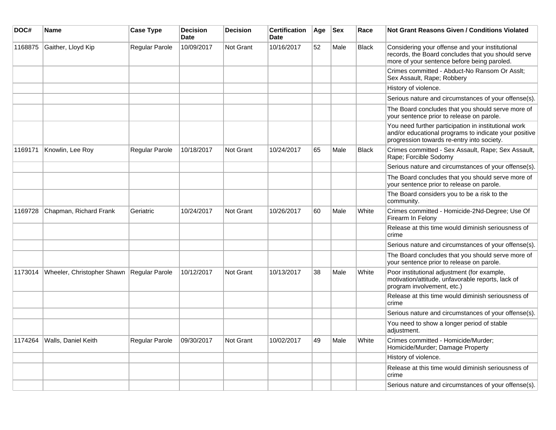| DOC#    | <b>Name</b>                | <b>Case Type</b> | <b>Decision</b><br><b>Date</b> | <b>Decision</b> | <b>Certification</b><br><b>Date</b> | Age | <b>Sex</b> | Race         | <b>Not Grant Reasons Given / Conditions Violated</b>                                                                                                        |
|---------|----------------------------|------------------|--------------------------------|-----------------|-------------------------------------|-----|------------|--------------|-------------------------------------------------------------------------------------------------------------------------------------------------------------|
| 1168875 | Gaither, Lloyd Kip         | Regular Parole   | 10/09/2017                     | Not Grant       | 10/16/2017                          | 52  | Male       | <b>Black</b> | Considering your offense and your institutional<br>records, the Board concludes that you should serve<br>more of your sentence before being paroled.        |
|         |                            |                  |                                |                 |                                     |     |            |              | Crimes committed - Abduct-No Ransom Or Asslt;<br>Sex Assault, Rape; Robbery                                                                                 |
|         |                            |                  |                                |                 |                                     |     |            |              | History of violence.                                                                                                                                        |
|         |                            |                  |                                |                 |                                     |     |            |              | Serious nature and circumstances of your offense(s).                                                                                                        |
|         |                            |                  |                                |                 |                                     |     |            |              | The Board concludes that you should serve more of<br>your sentence prior to release on parole.                                                              |
|         |                            |                  |                                |                 |                                     |     |            |              | You need further participation in institutional work<br>and/or educational programs to indicate your positive<br>progression towards re-entry into society. |
| 1169171 | Knowlin, Lee Roy           | Regular Parole   | 10/18/2017                     | Not Grant       | 10/24/2017                          | 65  | Male       | Black        | Crimes committed - Sex Assault, Rape; Sex Assault,<br>Rape; Forcible Sodomy                                                                                 |
|         |                            |                  |                                |                 |                                     |     |            |              | Serious nature and circumstances of your offense(s).                                                                                                        |
|         |                            |                  |                                |                 |                                     |     |            |              | The Board concludes that you should serve more of<br>your sentence prior to release on parole.                                                              |
|         |                            |                  |                                |                 |                                     |     |            |              | The Board considers you to be a risk to the<br>community.                                                                                                   |
| 1169728 | Chapman, Richard Frank     | Geriatric        | 10/24/2017                     | Not Grant       | 10/26/2017                          | 60  | Male       | White        | Crimes committed - Homicide-2Nd-Degree; Use Of<br>Firearm In Felony                                                                                         |
|         |                            |                  |                                |                 |                                     |     |            |              | Release at this time would diminish seriousness of<br>crime                                                                                                 |
|         |                            |                  |                                |                 |                                     |     |            |              | Serious nature and circumstances of your offense(s).                                                                                                        |
|         |                            |                  |                                |                 |                                     |     |            |              | The Board concludes that you should serve more of<br>your sentence prior to release on parole.                                                              |
| 1173014 | Wheeler, Christopher Shawn | Regular Parole   | 10/12/2017                     | Not Grant       | 10/13/2017                          | 38  | Male       | White        | Poor institutional adjustment (for example,<br>motivation/attitude, unfavorable reports, lack of<br>program involvement, etc.)                              |
|         |                            |                  |                                |                 |                                     |     |            |              | Release at this time would diminish seriousness of<br>crime                                                                                                 |
|         |                            |                  |                                |                 |                                     |     |            |              | Serious nature and circumstances of your offense(s).                                                                                                        |
|         |                            |                  |                                |                 |                                     |     |            |              | You need to show a longer period of stable<br>adjustment.                                                                                                   |
| 1174264 | Walls, Daniel Keith        | Regular Parole   | 09/30/2017                     | Not Grant       | 10/02/2017                          | 49  | Male       | White        | Crimes committed - Homicide/Murder;<br>Homicide/Murder; Damage Property                                                                                     |
|         |                            |                  |                                |                 |                                     |     |            |              | History of violence.                                                                                                                                        |
|         |                            |                  |                                |                 |                                     |     |            |              | Release at this time would diminish seriousness of<br>crime                                                                                                 |
|         |                            |                  |                                |                 |                                     |     |            |              | Serious nature and circumstances of your offense(s).                                                                                                        |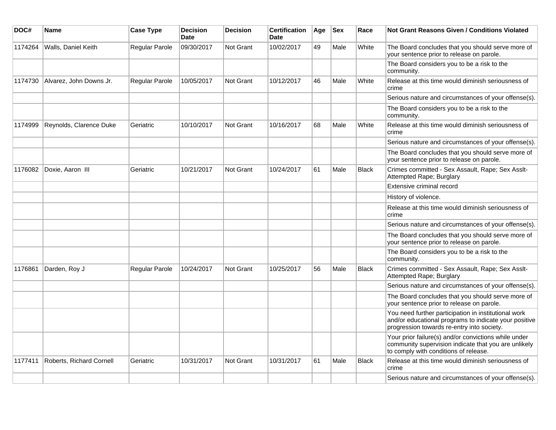| DOC#    | Name                     | <b>Case Type</b> | <b>Decision</b><br>Date | <b>Decision</b>  | <b>Certification</b><br>Date | Age | <b>Sex</b> | Race         | <b>Not Grant Reasons Given / Conditions Violated</b>                                                                                                        |
|---------|--------------------------|------------------|-------------------------|------------------|------------------------------|-----|------------|--------------|-------------------------------------------------------------------------------------------------------------------------------------------------------------|
| 1174264 | Walls, Daniel Keith      | Regular Parole   | 09/30/2017              | <b>Not Grant</b> | 10/02/2017                   | 49  | Male       | White        | The Board concludes that you should serve more of<br>your sentence prior to release on parole.                                                              |
|         |                          |                  |                         |                  |                              |     |            |              | The Board considers you to be a risk to the<br>community.                                                                                                   |
| 1174730 | Alvarez, John Downs Jr.  | Regular Parole   | 10/05/2017              | Not Grant        | 10/12/2017                   | 46  | Male       | White        | Release at this time would diminish seriousness of<br>crime                                                                                                 |
|         |                          |                  |                         |                  |                              |     |            |              | Serious nature and circumstances of your offense(s).                                                                                                        |
|         |                          |                  |                         |                  |                              |     |            |              | The Board considers you to be a risk to the<br>community.                                                                                                   |
| 1174999 | Reynolds, Clarence Duke  | Geriatric        | 10/10/2017              | <b>Not Grant</b> | 10/16/2017                   | 68  | Male       | White        | Release at this time would diminish seriousness of<br>crime                                                                                                 |
|         |                          |                  |                         |                  |                              |     |            |              | Serious nature and circumstances of your offense(s).                                                                                                        |
|         |                          |                  |                         |                  |                              |     |            |              | The Board concludes that you should serve more of<br>your sentence prior to release on parole.                                                              |
| 1176082 | Doxie, Aaron III         | Geriatric        | 10/21/2017              | <b>Not Grant</b> | 10/24/2017                   | 61  | Male       | <b>Black</b> | Crimes committed - Sex Assault, Rape; Sex Asslt-<br>Attempted Rape; Burglary                                                                                |
|         |                          |                  |                         |                  |                              |     |            |              | Extensive criminal record                                                                                                                                   |
|         |                          |                  |                         |                  |                              |     |            |              | History of violence.                                                                                                                                        |
|         |                          |                  |                         |                  |                              |     |            |              | Release at this time would diminish seriousness of<br>crime                                                                                                 |
|         |                          |                  |                         |                  |                              |     |            |              | Serious nature and circumstances of your offense(s).                                                                                                        |
|         |                          |                  |                         |                  |                              |     |            |              | The Board concludes that you should serve more of<br>your sentence prior to release on parole.                                                              |
|         |                          |                  |                         |                  |                              |     |            |              | The Board considers you to be a risk to the<br>community.                                                                                                   |
| 1176861 | Darden, Roy J            | Regular Parole   | 10/24/2017              | <b>Not Grant</b> | 10/25/2017                   | 56  | Male       | <b>Black</b> | Crimes committed - Sex Assault, Rape; Sex Asslt-<br>Attempted Rape; Burglary                                                                                |
|         |                          |                  |                         |                  |                              |     |            |              | Serious nature and circumstances of your offense(s).                                                                                                        |
|         |                          |                  |                         |                  |                              |     |            |              | The Board concludes that you should serve more of<br>your sentence prior to release on parole.                                                              |
|         |                          |                  |                         |                  |                              |     |            |              | You need further participation in institutional work<br>and/or educational programs to indicate your positive<br>progression towards re-entry into society. |
|         |                          |                  |                         |                  |                              |     |            |              | Your prior failure(s) and/or convictions while under<br>community supervision indicate that you are unlikely<br>to comply with conditions of release.       |
| 1177411 | Roberts, Richard Cornell | Geriatric        | 10/31/2017              | <b>Not Grant</b> | 10/31/2017                   | 61  | Male       | <b>Black</b> | Release at this time would diminish seriousness of<br>crime                                                                                                 |
|         |                          |                  |                         |                  |                              |     |            |              | Serious nature and circumstances of your offense(s).                                                                                                        |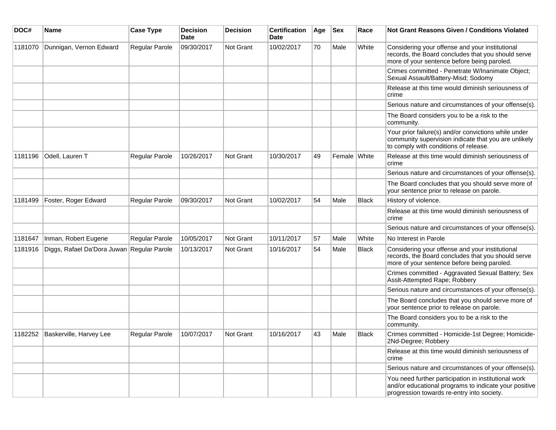| DOC#    | <b>Name</b>                                | <b>Case Type</b> | <b>Decision</b><br>Date | <b>Decision</b>  | <b>Certification</b><br>Date | Age | <b>Sex</b>   | Race         | <b>Not Grant Reasons Given / Conditions Violated</b>                                                                                                        |
|---------|--------------------------------------------|------------------|-------------------------|------------------|------------------------------|-----|--------------|--------------|-------------------------------------------------------------------------------------------------------------------------------------------------------------|
| 1181070 | Dunnigan, Vernon Edward                    | Regular Parole   | 09/30/2017              | Not Grant        | 10/02/2017                   | 70  | Male         | White        | Considering your offense and your institutional<br>records, the Board concludes that you should serve<br>more of your sentence before being paroled.        |
|         |                                            |                  |                         |                  |                              |     |              |              | Crimes committed - Penetrate W/Inanimate Object;<br>Sexual Assault/Battery-Misd; Sodomy                                                                     |
|         |                                            |                  |                         |                  |                              |     |              |              | Release at this time would diminish seriousness of<br>crime                                                                                                 |
|         |                                            |                  |                         |                  |                              |     |              |              | Serious nature and circumstances of your offense(s).                                                                                                        |
|         |                                            |                  |                         |                  |                              |     |              |              | The Board considers you to be a risk to the<br>community.                                                                                                   |
|         |                                            |                  |                         |                  |                              |     |              |              | Your prior failure(s) and/or convictions while under<br>community supervision indicate that you are unlikely<br>to comply with conditions of release.       |
| 1181196 | Odell, Lauren T                            | Regular Parole   | 10/26/2017              | Not Grant        | 10/30/2017                   | 49  | Female White |              | Release at this time would diminish seriousness of<br>crime                                                                                                 |
|         |                                            |                  |                         |                  |                              |     |              |              | Serious nature and circumstances of your offense(s).                                                                                                        |
|         |                                            |                  |                         |                  |                              |     |              |              | The Board concludes that you should serve more of<br>your sentence prior to release on parole.                                                              |
| 1181499 | Foster, Roger Edward                       | Regular Parole   | 09/30/2017              | <b>Not Grant</b> | 10/02/2017                   | 54  | Male         | <b>Black</b> | History of violence.                                                                                                                                        |
|         |                                            |                  |                         |                  |                              |     |              |              | Release at this time would diminish seriousness of<br>crime                                                                                                 |
|         |                                            |                  |                         |                  |                              |     |              |              | Serious nature and circumstances of your offense(s).                                                                                                        |
| 1181647 | Inman, Robert Eugene                       | Regular Parole   | 10/05/2017              | Not Grant        | 10/11/2017                   | 57  | Male         | White        | No Interest in Parole                                                                                                                                       |
| 1181916 | Diggs, Rafael Da'Dora Juwan Regular Parole |                  | 10/13/2017              | <b>Not Grant</b> | 10/16/2017                   | 54  | Male         | <b>Black</b> | Considering your offense and your institutional<br>records, the Board concludes that you should serve<br>more of your sentence before being paroled.        |
|         |                                            |                  |                         |                  |                              |     |              |              | Crimes committed - Aggravated Sexual Battery; Sex<br>Asslt-Attempted Rape; Robbery                                                                          |
|         |                                            |                  |                         |                  |                              |     |              |              | Serious nature and circumstances of your offense(s).                                                                                                        |
|         |                                            |                  |                         |                  |                              |     |              |              | The Board concludes that you should serve more of<br>your sentence prior to release on parole.                                                              |
|         |                                            |                  |                         |                  |                              |     |              |              | The Board considers you to be a risk to the<br>community.                                                                                                   |
|         | 1182252   Baskerville, Harvey Lee          | Regular Parole   | 10/07/2017              | Not Grant        | 10/16/2017                   | 43  | Male         | <b>Black</b> | Crimes committed - Homicide-1st Degree; Homicide-<br>2Nd-Degree; Robbery                                                                                    |
|         |                                            |                  |                         |                  |                              |     |              |              | Release at this time would diminish seriousness of<br>crime                                                                                                 |
|         |                                            |                  |                         |                  |                              |     |              |              | Serious nature and circumstances of your offense(s).                                                                                                        |
|         |                                            |                  |                         |                  |                              |     |              |              | You need further participation in institutional work<br>and/or educational programs to indicate your positive<br>progression towards re-entry into society. |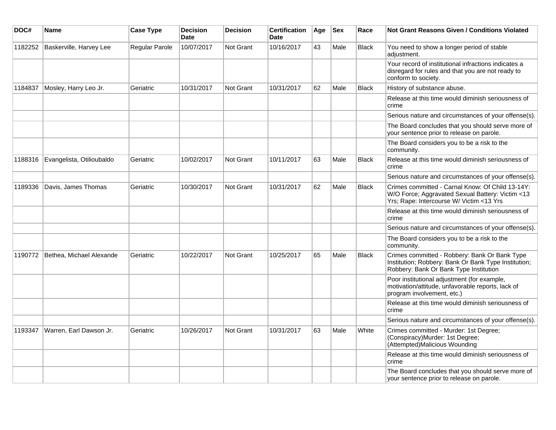| DOC#    | Name                      | <b>Case Type</b> | <b>Decision</b><br><b>Date</b> | <b>Decision</b>  | <b>Certification</b><br><b>Date</b> | Age | <b>Sex</b> | Race         | <b>Not Grant Reasons Given / Conditions Violated</b>                                                                                             |
|---------|---------------------------|------------------|--------------------------------|------------------|-------------------------------------|-----|------------|--------------|--------------------------------------------------------------------------------------------------------------------------------------------------|
| 1182252 | Baskerville, Harvey Lee   | Regular Parole   | 10/07/2017                     | Not Grant        | 10/16/2017                          | 43  | Male       | <b>Black</b> | You need to show a longer period of stable<br>adjustment.                                                                                        |
|         |                           |                  |                                |                  |                                     |     |            |              | Your record of institutional infractions indicates a<br>disregard for rules and that you are not ready to<br>conform to society.                 |
| 1184837 | Mosley, Harry Leo Jr.     | Geriatric        | 10/31/2017                     | <b>Not Grant</b> | 10/31/2017                          | 62  | Male       | <b>Black</b> | History of substance abuse.                                                                                                                      |
|         |                           |                  |                                |                  |                                     |     |            |              | Release at this time would diminish seriousness of<br>crime                                                                                      |
|         |                           |                  |                                |                  |                                     |     |            |              | Serious nature and circumstances of your offense(s).                                                                                             |
|         |                           |                  |                                |                  |                                     |     |            |              | The Board concludes that you should serve more of<br>your sentence prior to release on parole.                                                   |
|         |                           |                  |                                |                  |                                     |     |            |              | The Board considers you to be a risk to the<br>community.                                                                                        |
| 1188316 | Evangelista, Otilioubaldo | Geriatric        | 10/02/2017                     | Not Grant        | 10/11/2017                          | 63  | Male       | <b>Black</b> | Release at this time would diminish seriousness of<br>crime                                                                                      |
|         |                           |                  |                                |                  |                                     |     |            |              | Serious nature and circumstances of your offense(s).                                                                                             |
| 1189336 | Davis, James Thomas       | Geriatric        | 10/30/2017                     | <b>Not Grant</b> | 10/31/2017                          | 62  | Male       | <b>Black</b> | Crimes committed - Carnal Know: Of Child 13-14Y:<br>W/O Force; Aggravated Sexual Battery: Victim <13<br>Yrs; Rape: Intercourse W/ Victim <13 Yrs |
|         |                           |                  |                                |                  |                                     |     |            |              | Release at this time would diminish seriousness of<br>crime                                                                                      |
|         |                           |                  |                                |                  |                                     |     |            |              | Serious nature and circumstances of your offense(s).                                                                                             |
|         |                           |                  |                                |                  |                                     |     |            |              | The Board considers you to be a risk to the<br>community.                                                                                        |
| 1190772 | Bethea, Michael Alexande  | Geriatric        | 10/22/2017                     | <b>Not Grant</b> | 10/25/2017                          | 65  | Male       | <b>Black</b> | Crimes committed - Robbery: Bank Or Bank Type<br>Institution; Robbery: Bank Or Bank Type Institution;<br>Robbery: Bank Or Bank Type Institution  |
|         |                           |                  |                                |                  |                                     |     |            |              | Poor institutional adjustment (for example,<br>motivation/attitude, unfavorable reports, lack of<br>program involvement, etc.)                   |
|         |                           |                  |                                |                  |                                     |     |            |              | Release at this time would diminish seriousness of<br>crime                                                                                      |
|         |                           |                  |                                |                  |                                     |     |            |              | Serious nature and circumstances of your offense(s).                                                                                             |
| 1193347 | Warren, Earl Dawson Jr.   | Geriatric        | 10/26/2017                     | <b>Not Grant</b> | 10/31/2017                          | 63  | Male       | White        | Crimes committed - Murder: 1st Degree;<br>(Conspiracy)Murder: 1st Degree;<br>(Attempted)Malicious Wounding                                       |
|         |                           |                  |                                |                  |                                     |     |            |              | Release at this time would diminish seriousness of<br>crime                                                                                      |
|         |                           |                  |                                |                  |                                     |     |            |              | The Board concludes that you should serve more of<br>your sentence prior to release on parole.                                                   |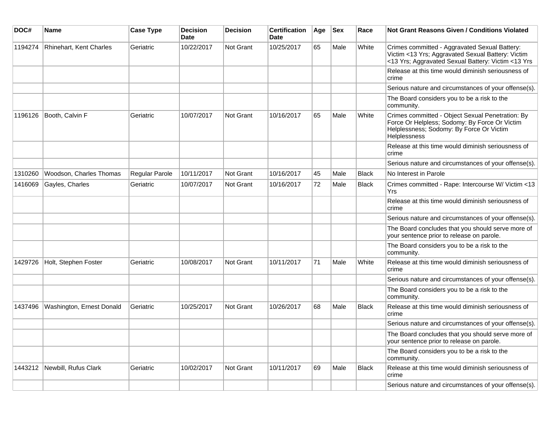| DOC#    | Name                      | <b>Case Type</b> | <b>Decision</b><br><b>Date</b> | <b>Decision</b>  | <b>Certification</b><br><b>Date</b> | Age | <b>Sex</b> | Race         | <b>Not Grant Reasons Given / Conditions Violated</b>                                                                                                          |
|---------|---------------------------|------------------|--------------------------------|------------------|-------------------------------------|-----|------------|--------------|---------------------------------------------------------------------------------------------------------------------------------------------------------------|
| 1194274 | Rhinehart, Kent Charles   | Geriatric        | 10/22/2017                     | Not Grant        | 10/25/2017                          | 65  | Male       | White        | Crimes committed - Aggravated Sexual Battery:<br>Victim <13 Yrs; Aggravated Sexual Battery: Victim<br><13 Yrs; Aggravated Sexual Battery: Victim <13 Yrs      |
|         |                           |                  |                                |                  |                                     |     |            |              | Release at this time would diminish seriousness of<br>crime                                                                                                   |
|         |                           |                  |                                |                  |                                     |     |            |              | Serious nature and circumstances of your offense(s).                                                                                                          |
|         |                           |                  |                                |                  |                                     |     |            |              | The Board considers you to be a risk to the<br>community.                                                                                                     |
| 1196126 | Booth, Calvin F           | Geriatric        | 10/07/2017                     | <b>Not Grant</b> | 10/16/2017                          | 65  | Male       | White        | Crimes committed - Object Sexual Penetration: By<br>Force Or Helpless; Sodomy: By Force Or Victim<br>Helplessness; Sodomy: By Force Or Victim<br>Helplessness |
|         |                           |                  |                                |                  |                                     |     |            |              | Release at this time would diminish seriousness of<br>crime                                                                                                   |
|         |                           |                  |                                |                  |                                     |     |            |              | Serious nature and circumstances of your offense(s).                                                                                                          |
| 1310260 | Woodson, Charles Thomas   | Regular Parole   | 10/11/2017                     | Not Grant        | 10/16/2017                          | 45  | Male       | <b>Black</b> | No Interest in Parole                                                                                                                                         |
| 1416069 | Gayles, Charles           | Geriatric        | 10/07/2017                     | Not Grant        | 10/16/2017                          | 72  | Male       | <b>Black</b> | Crimes committed - Rape: Intercourse W/ Victim <13<br>Yrs                                                                                                     |
|         |                           |                  |                                |                  |                                     |     |            |              | Release at this time would diminish seriousness of<br>crime                                                                                                   |
|         |                           |                  |                                |                  |                                     |     |            |              | Serious nature and circumstances of your offense(s).                                                                                                          |
|         |                           |                  |                                |                  |                                     |     |            |              | The Board concludes that you should serve more of<br>your sentence prior to release on parole.                                                                |
|         |                           |                  |                                |                  |                                     |     |            |              | The Board considers you to be a risk to the<br>community.                                                                                                     |
| 1429726 | Holt, Stephen Foster      | Geriatric        | 10/08/2017                     | <b>Not Grant</b> | 10/11/2017                          | 71  | Male       | White        | Release at this time would diminish seriousness of<br>crime                                                                                                   |
|         |                           |                  |                                |                  |                                     |     |            |              | Serious nature and circumstances of your offense(s).                                                                                                          |
|         |                           |                  |                                |                  |                                     |     |            |              | The Board considers you to be a risk to the<br>community.                                                                                                     |
| 1437496 | Washington, Ernest Donald | Geriatric        | 10/25/2017                     | <b>Not Grant</b> | 10/26/2017                          | 68  | Male       | <b>Black</b> | Release at this time would diminish seriousness of<br>crime                                                                                                   |
|         |                           |                  |                                |                  |                                     |     |            |              | Serious nature and circumstances of your offense(s).                                                                                                          |
|         |                           |                  |                                |                  |                                     |     |            |              | The Board concludes that you should serve more of<br>your sentence prior to release on parole.                                                                |
|         |                           |                  |                                |                  |                                     |     |            |              | The Board considers you to be a risk to the<br>community.                                                                                                     |
| 1443212 | Newbill, Rufus Clark      | Geriatric        | 10/02/2017                     | <b>Not Grant</b> | 10/11/2017                          | 69  | Male       | <b>Black</b> | Release at this time would diminish seriousness of<br>crime                                                                                                   |
|         |                           |                  |                                |                  |                                     |     |            |              | Serious nature and circumstances of your offense(s).                                                                                                          |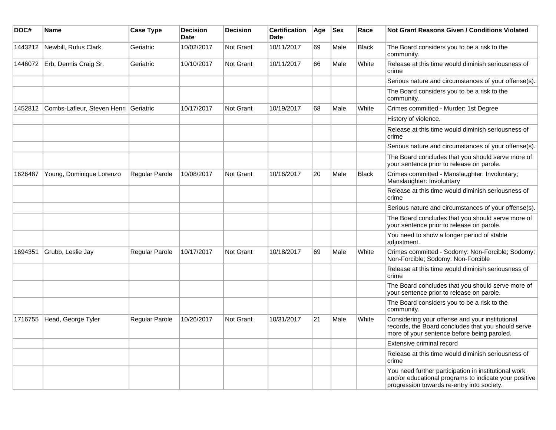| DOC#    | <b>Name</b>                           | <b>Case Type</b> | <b>Decision</b><br>Date | <b>Decision</b>  | <b>Certification</b><br><b>Date</b> | Age | <b>Sex</b> | Race         | <b>Not Grant Reasons Given / Conditions Violated</b>                                                                                                        |
|---------|---------------------------------------|------------------|-------------------------|------------------|-------------------------------------|-----|------------|--------------|-------------------------------------------------------------------------------------------------------------------------------------------------------------|
| 1443212 | Newbill, Rufus Clark                  | Geriatric        | 10/02/2017              | <b>Not Grant</b> | 10/11/2017                          | 69  | Male       | <b>Black</b> | The Board considers you to be a risk to the<br>community.                                                                                                   |
| 1446072 | Erb, Dennis Craig Sr.                 | Geriatric        | 10/10/2017              | Not Grant        | 10/11/2017                          | 66  | Male       | White        | Release at this time would diminish seriousness of<br>crime                                                                                                 |
|         |                                       |                  |                         |                  |                                     |     |            |              | Serious nature and circumstances of your offense(s).                                                                                                        |
|         |                                       |                  |                         |                  |                                     |     |            |              | The Board considers you to be a risk to the<br>community.                                                                                                   |
| 1452812 | Combs-Lafleur, Steven Henri Geriatric |                  | 10/17/2017              | <b>Not Grant</b> | 10/19/2017                          | 68  | Male       | White        | Crimes committed - Murder: 1st Degree                                                                                                                       |
|         |                                       |                  |                         |                  |                                     |     |            |              | History of violence.                                                                                                                                        |
|         |                                       |                  |                         |                  |                                     |     |            |              | Release at this time would diminish seriousness of<br>crime                                                                                                 |
|         |                                       |                  |                         |                  |                                     |     |            |              | Serious nature and circumstances of your offense(s).                                                                                                        |
|         |                                       |                  |                         |                  |                                     |     |            |              | The Board concludes that you should serve more of<br>your sentence prior to release on parole.                                                              |
| 1626487 | Young, Dominique Lorenzo              | Regular Parole   | 10/08/2017              | <b>Not Grant</b> | 10/16/2017                          | 20  | Male       | <b>Black</b> | Crimes committed - Manslaughter: Involuntary;<br>Manslaughter: Involuntary                                                                                  |
|         |                                       |                  |                         |                  |                                     |     |            |              | Release at this time would diminish seriousness of<br>crime                                                                                                 |
|         |                                       |                  |                         |                  |                                     |     |            |              | Serious nature and circumstances of your offense(s).                                                                                                        |
|         |                                       |                  |                         |                  |                                     |     |            |              | The Board concludes that you should serve more of<br>your sentence prior to release on parole.                                                              |
|         |                                       |                  |                         |                  |                                     |     |            |              | You need to show a longer period of stable<br>adjustment.                                                                                                   |
| 1694351 | Grubb, Leslie Jay                     | Regular Parole   | 10/17/2017              | <b>Not Grant</b> | 10/18/2017                          | 69  | Male       | White        | Crimes committed - Sodomy: Non-Forcible; Sodomy:<br>Non-Forcible; Sodomy: Non-Forcible                                                                      |
|         |                                       |                  |                         |                  |                                     |     |            |              | Release at this time would diminish seriousness of<br>crime                                                                                                 |
|         |                                       |                  |                         |                  |                                     |     |            |              | The Board concludes that you should serve more of<br>your sentence prior to release on parole.                                                              |
|         |                                       |                  |                         |                  |                                     |     |            |              | The Board considers you to be a risk to the<br>community.                                                                                                   |
| 1716755 | Head, George Tyler                    | Regular Parole   | 10/26/2017              | <b>Not Grant</b> | 10/31/2017                          | 21  | Male       | White        | Considering your offense and your institutional<br>records, the Board concludes that you should serve<br>more of your sentence before being paroled.        |
|         |                                       |                  |                         |                  |                                     |     |            |              | Extensive criminal record                                                                                                                                   |
|         |                                       |                  |                         |                  |                                     |     |            |              | Release at this time would diminish seriousness of<br>crime                                                                                                 |
|         |                                       |                  |                         |                  |                                     |     |            |              | You need further participation in institutional work<br>and/or educational programs to indicate your positive<br>progression towards re-entry into society. |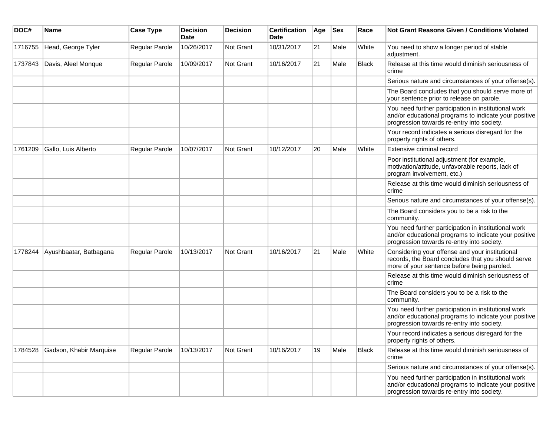| DOC#    | Name                    | <b>Case Type</b> | <b>Decision</b><br><b>Date</b> | <b>Decision</b> | <b>Certification</b><br><b>Date</b> | Age | <b>Sex</b> | Race         | Not Grant Reasons Given / Conditions Violated                                                                                                               |
|---------|-------------------------|------------------|--------------------------------|-----------------|-------------------------------------|-----|------------|--------------|-------------------------------------------------------------------------------------------------------------------------------------------------------------|
| 1716755 | Head, George Tyler      | Regular Parole   | 10/26/2017                     | Not Grant       | 10/31/2017                          | 21  | Male       | White        | You need to show a longer period of stable<br>adjustment.                                                                                                   |
| 1737843 | Davis, Aleel Monque     | Regular Parole   | 10/09/2017                     | Not Grant       | 10/16/2017                          | 21  | Male       | <b>Black</b> | Release at this time would diminish seriousness of<br>crime                                                                                                 |
|         |                         |                  |                                |                 |                                     |     |            |              | Serious nature and circumstances of your offense(s).                                                                                                        |
|         |                         |                  |                                |                 |                                     |     |            |              | The Board concludes that you should serve more of<br>your sentence prior to release on parole.                                                              |
|         |                         |                  |                                |                 |                                     |     |            |              | You need further participation in institutional work<br>and/or educational programs to indicate your positive<br>progression towards re-entry into society. |
|         |                         |                  |                                |                 |                                     |     |            |              | Your record indicates a serious disregard for the<br>property rights of others.                                                                             |
| 1761209 | Gallo, Luis Alberto     | Regular Parole   | 10/07/2017                     | Not Grant       | 10/12/2017                          | 20  | Male       | White        | Extensive criminal record                                                                                                                                   |
|         |                         |                  |                                |                 |                                     |     |            |              | Poor institutional adjustment (for example,<br>motivation/attitude, unfavorable reports, lack of<br>program involvement, etc.)                              |
|         |                         |                  |                                |                 |                                     |     |            |              | Release at this time would diminish seriousness of<br>crime                                                                                                 |
|         |                         |                  |                                |                 |                                     |     |            |              | Serious nature and circumstances of your offense(s).                                                                                                        |
|         |                         |                  |                                |                 |                                     |     |            |              | The Board considers you to be a risk to the<br>community.                                                                                                   |
|         |                         |                  |                                |                 |                                     |     |            |              | You need further participation in institutional work<br>and/or educational programs to indicate your positive<br>progression towards re-entry into society. |
| 1778244 | Ayushbaatar, Batbagana  | Regular Parole   | 10/13/2017                     | Not Grant       | 10/16/2017                          | 21  | Male       | White        | Considering your offense and your institutional<br>records, the Board concludes that you should serve<br>more of your sentence before being paroled.        |
|         |                         |                  |                                |                 |                                     |     |            |              | Release at this time would diminish seriousness of<br>crime                                                                                                 |
|         |                         |                  |                                |                 |                                     |     |            |              | The Board considers you to be a risk to the<br>community.                                                                                                   |
|         |                         |                  |                                |                 |                                     |     |            |              | You need further participation in institutional work<br>and/or educational programs to indicate your positive<br>progression towards re-entry into society. |
|         |                         |                  |                                |                 |                                     |     |            |              | Your record indicates a serious disregard for the<br>property rights of others.                                                                             |
| 1784528 | Gadson, Khabir Marquise | Regular Parole   | 10/13/2017                     | Not Grant       | 10/16/2017                          | 19  | Male       | Black        | Release at this time would diminish seriousness of<br>crime                                                                                                 |
|         |                         |                  |                                |                 |                                     |     |            |              | Serious nature and circumstances of your offense(s).                                                                                                        |
|         |                         |                  |                                |                 |                                     |     |            |              | You need further participation in institutional work<br>and/or educational programs to indicate your positive<br>progression towards re-entry into society. |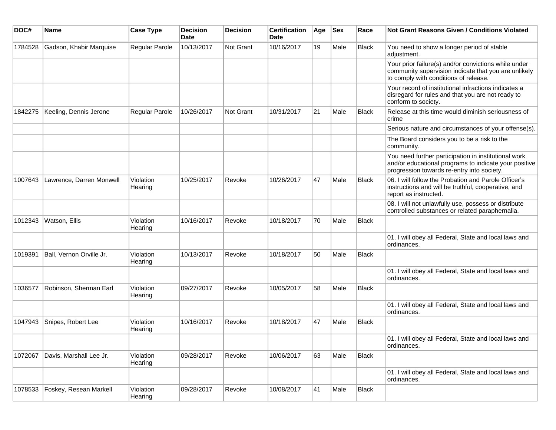| DOC#    | <b>Name</b>              | <b>Case Type</b>      | <b>Decision</b><br><b>Date</b> | Decision  | <b>Certification</b><br><b>Date</b> | Age | <b>Sex</b> | Race         | <b>Not Grant Reasons Given / Conditions Violated</b>                                                                                                        |
|---------|--------------------------|-----------------------|--------------------------------|-----------|-------------------------------------|-----|------------|--------------|-------------------------------------------------------------------------------------------------------------------------------------------------------------|
| 1784528 | Gadson, Khabir Marquise  | Regular Parole        | 10/13/2017                     | Not Grant | 10/16/2017                          | 19  | Male       | <b>Black</b> | You need to show a longer period of stable<br>adjustment.                                                                                                   |
|         |                          |                       |                                |           |                                     |     |            |              | Your prior failure(s) and/or convictions while under<br>community supervision indicate that you are unlikely<br>to comply with conditions of release.       |
|         |                          |                       |                                |           |                                     |     |            |              | Your record of institutional infractions indicates a<br>disregard for rules and that you are not ready to<br>conform to society.                            |
| 1842275 | Keeling, Dennis Jerone   | <b>Regular Parole</b> | 10/26/2017                     | Not Grant | 10/31/2017                          | 21  | Male       | <b>Black</b> | Release at this time would diminish seriousness of<br>crime                                                                                                 |
|         |                          |                       |                                |           |                                     |     |            |              | Serious nature and circumstances of your offense(s).                                                                                                        |
|         |                          |                       |                                |           |                                     |     |            |              | The Board considers you to be a risk to the<br>community.                                                                                                   |
|         |                          |                       |                                |           |                                     |     |            |              | You need further participation in institutional work<br>and/or educational programs to indicate your positive<br>progression towards re-entry into society. |
| 1007643 | Lawrence, Darren Monwell | Violation<br>Hearing  | 10/25/2017                     | Revoke    | 10/26/2017                          | 47  | Male       | <b>Black</b> | 06. I will follow the Probation and Parole Officer's<br>instructions and will be truthful, cooperative, and<br>report as instructed.                        |
|         |                          |                       |                                |           |                                     |     |            |              | 08. I will not unlawfully use, possess or distribute<br>controlled substances or related paraphernalia.                                                     |
| 1012343 | Watson, Ellis            | Violation<br>Hearing  | 10/16/2017                     | Revoke    | 10/18/2017                          | 70  | Male       | <b>Black</b> |                                                                                                                                                             |
|         |                          |                       |                                |           |                                     |     |            |              | 01. I will obey all Federal, State and local laws and<br>ordinances.                                                                                        |
| 1019391 | Ball, Vernon Orville Jr. | Violation<br>Hearing  | 10/13/2017                     | Revoke    | 10/18/2017                          | 50  | Male       | <b>Black</b> |                                                                                                                                                             |
|         |                          |                       |                                |           |                                     |     |            |              | 01. I will obey all Federal, State and local laws and<br>ordinances.                                                                                        |
| 1036577 | Robinson, Sherman Earl   | Violation<br>Hearing  | 09/27/2017                     | Revoke    | 10/05/2017                          | 58  | Male       | <b>Black</b> |                                                                                                                                                             |
|         |                          |                       |                                |           |                                     |     |            |              | 01. I will obey all Federal, State and local laws and<br>ordinances.                                                                                        |
| 1047943 | Snipes, Robert Lee       | Violation<br>Hearing  | 10/16/2017                     | Revoke    | 10/18/2017                          | 47  | Male       | <b>Black</b> |                                                                                                                                                             |
|         |                          |                       |                                |           |                                     |     |            |              | 01. I will obey all Federal, State and local laws and<br>ordinances.                                                                                        |
| 1072067 | Davis, Marshall Lee Jr.  | Violation<br>Hearing  | 09/28/2017                     | Revoke    | 10/06/2017                          | 63  | Male       | <b>Black</b> |                                                                                                                                                             |
|         |                          |                       |                                |           |                                     |     |            |              | 01. I will obey all Federal, State and local laws and<br>ordinances.                                                                                        |
| 1078533 | Foskey, Resean Markell   | Violation<br>Hearing  | 09/28/2017                     | Revoke    | 10/08/2017                          | 41  | Male       | <b>Black</b> |                                                                                                                                                             |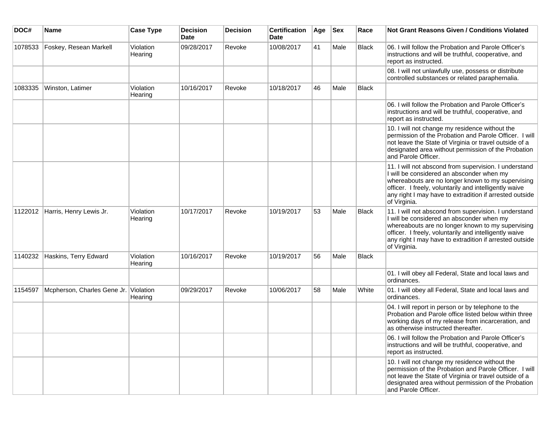| DOC#    | Name                        | <b>Case Type</b>     | <b>Decision</b><br><b>Date</b> | <b>Decision</b> | <b>Certification</b><br>Date | Age | <b>Sex</b> | Race         | <b>Not Grant Reasons Given / Conditions Violated</b>                                                                                                                                                                                                                                         |
|---------|-----------------------------|----------------------|--------------------------------|-----------------|------------------------------|-----|------------|--------------|----------------------------------------------------------------------------------------------------------------------------------------------------------------------------------------------------------------------------------------------------------------------------------------------|
| 1078533 | Foskey, Resean Markell      | Violation<br>Hearing | 09/28/2017                     | Revoke          | 10/08/2017                   | 41  | Male       | <b>Black</b> | 06. I will follow the Probation and Parole Officer's<br>instructions and will be truthful, cooperative, and<br>report as instructed.                                                                                                                                                         |
|         |                             |                      |                                |                 |                              |     |            |              | 08. I will not unlawfully use, possess or distribute<br>controlled substances or related paraphernalia.                                                                                                                                                                                      |
| 1083335 | Winston, Latimer            | Violation<br>Hearing | 10/16/2017                     | Revoke          | 10/18/2017                   | 46  | Male       | Black        |                                                                                                                                                                                                                                                                                              |
|         |                             |                      |                                |                 |                              |     |            |              | 06. I will follow the Probation and Parole Officer's<br>instructions and will be truthful, cooperative, and<br>report as instructed.                                                                                                                                                         |
|         |                             |                      |                                |                 |                              |     |            |              | 10. I will not change my residence without the<br>permission of the Probation and Parole Officer. I will<br>not leave the State of Virginia or travel outside of a<br>designated area without permission of the Probation<br>and Parole Officer.                                             |
|         |                             |                      |                                |                 |                              |     |            |              | 11. I will not abscond from supervision. I understand<br>I will be considered an absconder when my<br>whereabouts are no longer known to my supervising<br>officer. I freely, voluntarily and intelligently waive<br>any right I may have to extradition if arrested outside<br>of Virginia. |
| 1122012 | Harris, Henry Lewis Jr.     | Violation<br>Hearing | 10/17/2017                     | Revoke          | 10/19/2017                   | 53  | Male       | <b>Black</b> | 11. I will not abscond from supervision. I understand<br>I will be considered an absconder when my<br>whereabouts are no longer known to my supervising<br>officer. I freely, voluntarily and intelligently waive<br>any right I may have to extradition if arrested outside<br>of Virginia. |
| 1140232 | Haskins, Terry Edward       | Violation<br>Hearing | 10/16/2017                     | Revoke          | 10/19/2017                   | 56  | Male       | Black        |                                                                                                                                                                                                                                                                                              |
|         |                             |                      |                                |                 |                              |     |            |              | 01. I will obey all Federal, State and local laws and<br>ordinances.                                                                                                                                                                                                                         |
| 1154597 | Mcpherson, Charles Gene Jr. | Violation<br>Hearing | 09/29/2017                     | Revoke          | 10/06/2017                   | 58  | Male       | White        | 01. I will obey all Federal, State and local laws and<br>ordinances.                                                                                                                                                                                                                         |
|         |                             |                      |                                |                 |                              |     |            |              | 04. I will report in person or by telephone to the<br>Probation and Parole office listed below within three<br>working days of my release from incarceration, and<br>as otherwise instructed thereafter.                                                                                     |
|         |                             |                      |                                |                 |                              |     |            |              | 06. I will follow the Probation and Parole Officer's<br>instructions and will be truthful, cooperative, and<br>report as instructed.                                                                                                                                                         |
|         |                             |                      |                                |                 |                              |     |            |              | 10. I will not change my residence without the<br>permission of the Probation and Parole Officer. I will<br>not leave the State of Virginia or travel outside of a<br>designated area without permission of the Probation<br>and Parole Officer.                                             |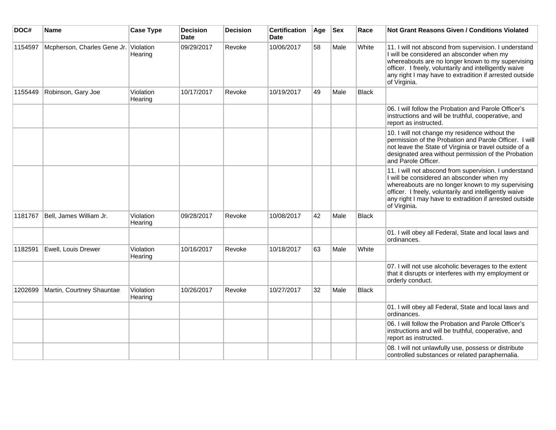| DOC#    | Name                                  | <b>Case Type</b>     | <b>Decision</b><br><b>Date</b> | <b>Decision</b> | <b>Certification</b><br><b>Date</b> | Age | <b>Sex</b> | Race         | <b>Not Grant Reasons Given / Conditions Violated</b>                                                                                                                                                                                                                                         |
|---------|---------------------------------------|----------------------|--------------------------------|-----------------|-------------------------------------|-----|------------|--------------|----------------------------------------------------------------------------------------------------------------------------------------------------------------------------------------------------------------------------------------------------------------------------------------------|
| 1154597 | Mcpherson, Charles Gene Jr. Violation | Hearing              | 09/29/2017                     | Revoke          | 10/06/2017                          | 58  | Male       | White        | 11. I will not abscond from supervision. I understand<br>I will be considered an absconder when my<br>whereabouts are no longer known to my supervising<br>officer. I freely, voluntarily and intelligently waive<br>any right I may have to extradition if arrested outside<br>of Virginia. |
| 1155449 | Robinson, Gary Joe                    | Violation<br>Hearing | 10/17/2017                     | Revoke          | 10/19/2017                          | 49  | Male       | Black        |                                                                                                                                                                                                                                                                                              |
|         |                                       |                      |                                |                 |                                     |     |            |              | 06. I will follow the Probation and Parole Officer's<br>instructions and will be truthful, cooperative, and<br>report as instructed.                                                                                                                                                         |
|         |                                       |                      |                                |                 |                                     |     |            |              | 10. I will not change my residence without the<br>permission of the Probation and Parole Officer. I will<br>not leave the State of Virginia or travel outside of a<br>designated area without permission of the Probation<br>and Parole Officer.                                             |
|         |                                       |                      |                                |                 |                                     |     |            |              | 11. I will not abscond from supervision. I understand<br>I will be considered an absconder when my<br>whereabouts are no longer known to my supervising<br>officer. I freely, voluntarily and intelligently waive<br>any right I may have to extradition if arrested outside<br>of Virginia. |
| 1181767 | Bell, James William Jr.               | Violation<br>Hearing | 09/28/2017                     | Revoke          | 10/08/2017                          | 42  | Male       | <b>Black</b> |                                                                                                                                                                                                                                                                                              |
|         |                                       |                      |                                |                 |                                     |     |            |              | 01. I will obey all Federal, State and local laws and<br>ordinances.                                                                                                                                                                                                                         |
| 1182591 | Ewell, Louis Drewer                   | Violation<br>Hearing | 10/16/2017                     | Revoke          | 10/18/2017                          | 63  | Male       | White        |                                                                                                                                                                                                                                                                                              |
|         |                                       |                      |                                |                 |                                     |     |            |              | 07. I will not use alcoholic beverages to the extent<br>that it disrupts or interferes with my employment or<br>orderly conduct.                                                                                                                                                             |
| 1202699 | Martin, Courtney Shauntae             | Violation<br>Hearing | 10/26/2017                     | Revoke          | 10/27/2017                          | 32  | Male       | <b>Black</b> |                                                                                                                                                                                                                                                                                              |
|         |                                       |                      |                                |                 |                                     |     |            |              | 01. I will obey all Federal, State and local laws and<br>ordinances.                                                                                                                                                                                                                         |
|         |                                       |                      |                                |                 |                                     |     |            |              | 06. I will follow the Probation and Parole Officer's<br>instructions and will be truthful, cooperative, and<br>report as instructed.                                                                                                                                                         |
|         |                                       |                      |                                |                 |                                     |     |            |              | 08. I will not unlawfully use, possess or distribute<br>controlled substances or related paraphernalia.                                                                                                                                                                                      |